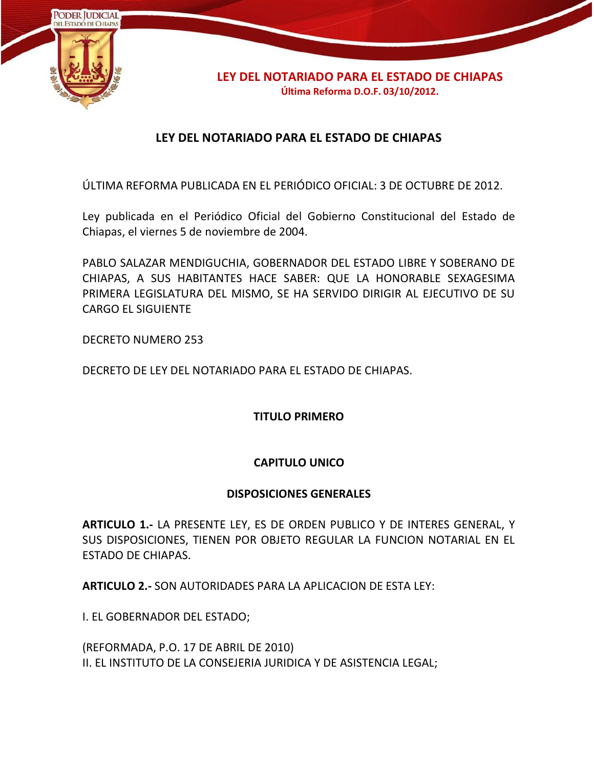

# **LEY DEL NOTARIADO PARA EL ESTADO DE CHIAPAS**

ÚLTIMA REFORMA PUBLICADA EN EL PERIÓDICO OFICIAL: 3 DE OCTUBRE DE 2012.

Ley publicada en el Periódico Oficial del Gobierno Constitucional del Estado de Chiapas, el viernes 5 de noviembre de 2004.

PABLO SALAZAR MENDIGUCHIA, GOBERNADOR DEL ESTADO LIBRE Y SOBERANO DE CHIAPAS, A SUS HABITANTES HACE SABER: QUE LA HONORABLE SEXAGESIMA PRIMERA LEGISLATURA DEL MISMO, SE HA SERVIDO DIRIGIR AL EJECUTIVO DE SU CARGO EL SIGUIENTE

DECRETO NUMERO 253

DECRETO DE LEY DEL NOTARIADO PARA EL ESTADO DE CHIAPAS.

**TITULO PRIMERO**

#### **CAPITULO UNICO**

#### **DISPOSICIONES GENERALES**

**ARTICULO 1.-** LA PRESENTE LEY, ES DE ORDEN PUBLICO Y DE INTERES GENERAL, Y SUS DISPOSICIONES, TIENEN POR OBJETO REGULAR LA FUNCION NOTARIAL EN EL ESTADO DE CHIAPAS.

**ARTICULO 2.-** SON AUTORIDADES PARA LA APLICACION DE ESTA LEY:

I. EL GOBERNADOR DEL ESTADO;

(REFORMADA, P.O. 17 DE ABRIL DE 2010) II. EL INSTITUTO DE LA CONSEJERIA JURIDICA Y DE ASISTENCIA LEGAL;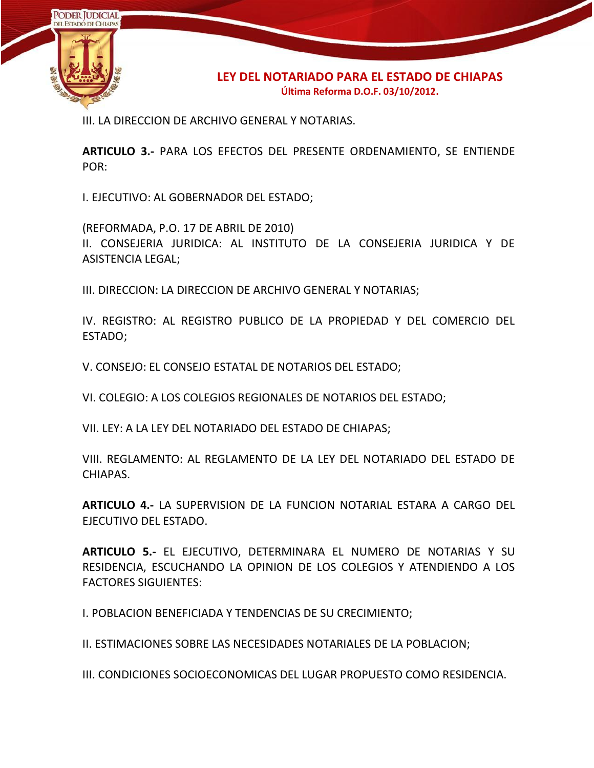

III. LA DIRECCION DE ARCHIVO GENERAL Y NOTARIAS.

**ARTICULO 3.-** PARA LOS EFECTOS DEL PRESENTE ORDENAMIENTO, SE ENTIENDE POR:

I. EJECUTIVO: AL GOBERNADOR DEL ESTADO;

(REFORMADA, P.O. 17 DE ABRIL DE 2010)

II. CONSEJERIA JURIDICA: AL INSTITUTO DE LA CONSEJERIA JURIDICA Y DE ASISTENCIA LEGAL;

III. DIRECCION: LA DIRECCION DE ARCHIVO GENERAL Y NOTARIAS;

IV. REGISTRO: AL REGISTRO PUBLICO DE LA PROPIEDAD Y DEL COMERCIO DEL ESTADO;

V. CONSEJO: EL CONSEJO ESTATAL DE NOTARIOS DEL ESTADO;

VI. COLEGIO: A LOS COLEGIOS REGIONALES DE NOTARIOS DEL ESTADO;

VII. LEY: A LA LEY DEL NOTARIADO DEL ESTADO DE CHIAPAS;

VIII. REGLAMENTO: AL REGLAMENTO DE LA LEY DEL NOTARIADO DEL ESTADO DE CHIAPAS.

**ARTICULO 4.-** LA SUPERVISION DE LA FUNCION NOTARIAL ESTARA A CARGO DEL EJECUTIVO DEL ESTADO.

**ARTICULO 5.-** EL EJECUTIVO, DETERMINARA EL NUMERO DE NOTARIAS Y SU RESIDENCIA, ESCUCHANDO LA OPINION DE LOS COLEGIOS Y ATENDIENDO A LOS FACTORES SIGUIENTES:

I. POBLACION BENEFICIADA Y TENDENCIAS DE SU CRECIMIENTO;

II. ESTIMACIONES SOBRE LAS NECESIDADES NOTARIALES DE LA POBLACION;

III. CONDICIONES SOCIOECONOMICAS DEL LUGAR PROPUESTO COMO RESIDENCIA.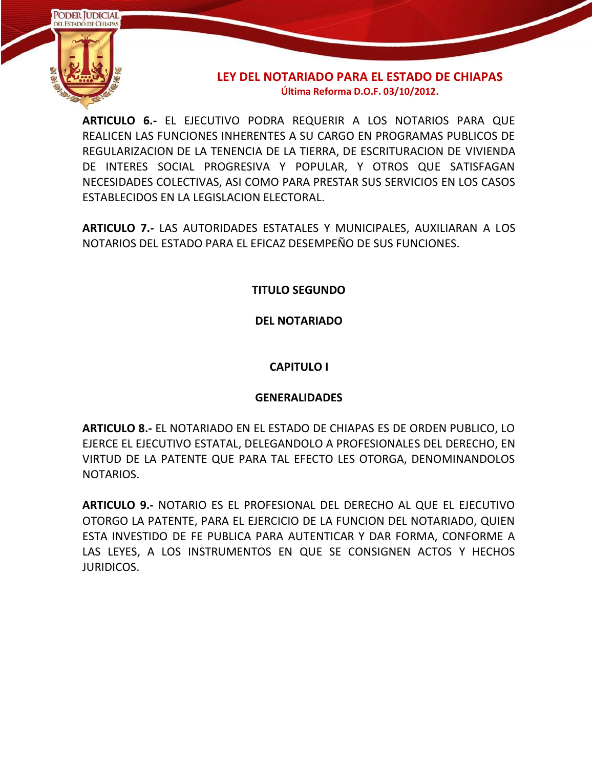

**ARTICULO 6.-** EL EJECUTIVO PODRA REQUERIR A LOS NOTARIOS PARA QUE REALICEN LAS FUNCIONES INHERENTES A SU CARGO EN PROGRAMAS PUBLICOS DE REGULARIZACION DE LA TENENCIA DE LA TIERRA, DE ESCRITURACION DE VIVIENDA DE INTERES SOCIAL PROGRESIVA Y POPULAR, Y OTROS QUE SATISFAGAN NECESIDADES COLECTIVAS, ASI COMO PARA PRESTAR SUS SERVICIOS EN LOS CASOS ESTABLECIDOS EN LA LEGISLACION ELECTORAL.

**ARTICULO 7.-** LAS AUTORIDADES ESTATALES Y MUNICIPALES, AUXILIARAN A LOS NOTARIOS DEL ESTADO PARA EL EFICAZ DESEMPEÑO DE SUS FUNCIONES.

**TITULO SEGUNDO**

**DEL NOTARIADO**

# **CAPITULO I**

# **GENERALIDADES**

**ARTICULO 8.-** EL NOTARIADO EN EL ESTADO DE CHIAPAS ES DE ORDEN PUBLICO, LO EJERCE EL EJECUTIVO ESTATAL, DELEGANDOLO A PROFESIONALES DEL DERECHO, EN VIRTUD DE LA PATENTE QUE PARA TAL EFECTO LES OTORGA, DENOMINANDOLOS NOTARIOS.

**ARTICULO 9.-** NOTARIO ES EL PROFESIONAL DEL DERECHO AL QUE EL EJECUTIVO OTORGO LA PATENTE, PARA EL EJERCICIO DE LA FUNCION DEL NOTARIADO, QUIEN ESTA INVESTIDO DE FE PUBLICA PARA AUTENTICAR Y DAR FORMA, CONFORME A LAS LEYES, A LOS INSTRUMENTOS EN QUE SE CONSIGNEN ACTOS Y HECHOS JURIDICOS.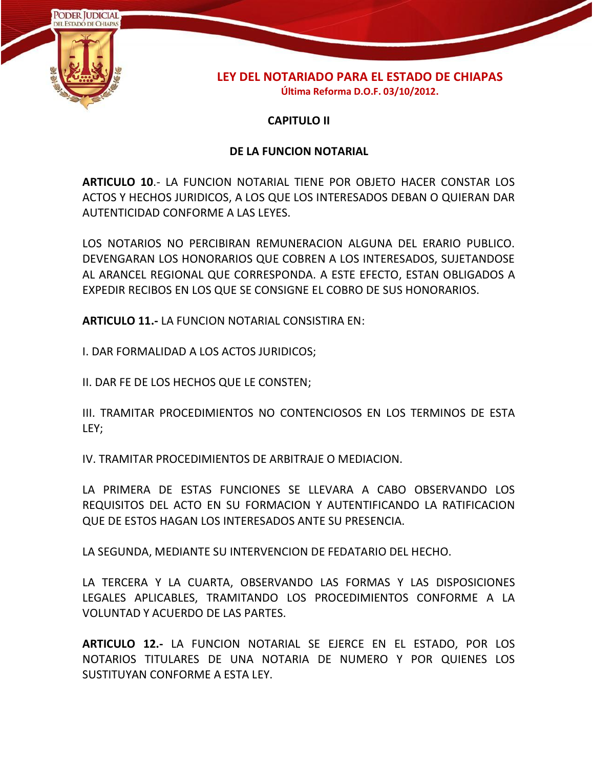

### **CAPITULO II**

### **DE LA FUNCION NOTARIAL**

**ARTICULO 10**.- LA FUNCION NOTARIAL TIENE POR OBJETO HACER CONSTAR LOS ACTOS Y HECHOS JURIDICOS, A LOS QUE LOS INTERESADOS DEBAN O QUIERAN DAR AUTENTICIDAD CONFORME A LAS LEYES.

LOS NOTARIOS NO PERCIBIRAN REMUNERACION ALGUNA DEL ERARIO PUBLICO. DEVENGARAN LOS HONORARIOS QUE COBREN A LOS INTERESADOS, SUJETANDOSE AL ARANCEL REGIONAL QUE CORRESPONDA. A ESTE EFECTO, ESTAN OBLIGADOS A EXPEDIR RECIBOS EN LOS QUE SE CONSIGNE EL COBRO DE SUS HONORARIOS.

**ARTICULO 11.-** LA FUNCION NOTARIAL CONSISTIRA EN:

I. DAR FORMALIDAD A LOS ACTOS JURIDICOS;

II. DAR FE DE LOS HECHOS QUE LE CONSTEN;

III. TRAMITAR PROCEDIMIENTOS NO CONTENCIOSOS EN LOS TERMINOS DE ESTA LEY;

IV. TRAMITAR PROCEDIMIENTOS DE ARBITRAJE O MEDIACION.

LA PRIMERA DE ESTAS FUNCIONES SE LLEVARA A CABO OBSERVANDO LOS REQUISITOS DEL ACTO EN SU FORMACION Y AUTENTIFICANDO LA RATIFICACION QUE DE ESTOS HAGAN LOS INTERESADOS ANTE SU PRESENCIA.

LA SEGUNDA, MEDIANTE SU INTERVENCION DE FEDATARIO DEL HECHO.

LA TERCERA Y LA CUARTA, OBSERVANDO LAS FORMAS Y LAS DISPOSICIONES LEGALES APLICABLES, TRAMITANDO LOS PROCEDIMIENTOS CONFORME A LA VOLUNTAD Y ACUERDO DE LAS PARTES.

**ARTICULO 12.-** LA FUNCION NOTARIAL SE EJERCE EN EL ESTADO, POR LOS NOTARIOS TITULARES DE UNA NOTARIA DE NUMERO Y POR QUIENES LOS SUSTITUYAN CONFORME A ESTA LEY.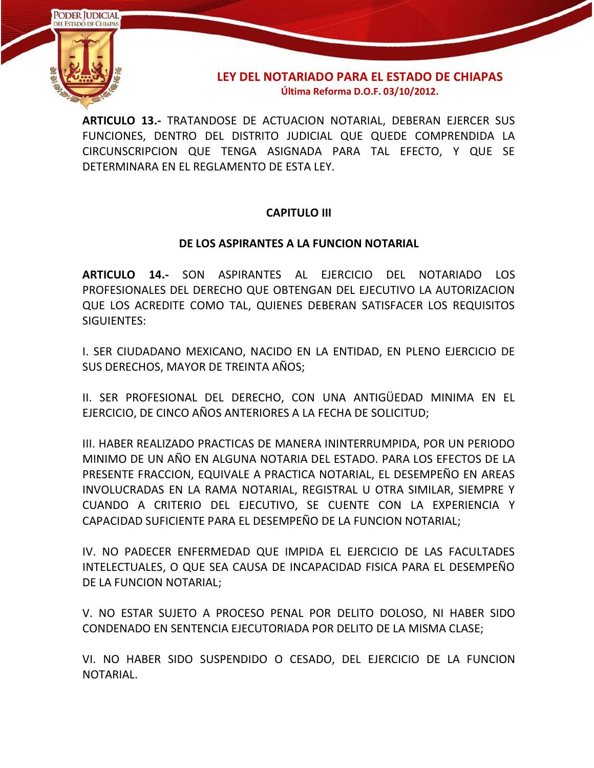

**ARTICULO 13.-** TRATANDOSE DE ACTUACION NOTARIAL, DEBERAN EJERCER SUS FUNCIONES, DENTRO DEL DISTRITO JUDICIAL QUE QUEDE COMPRENDIDA LA CIRCUNSCRIPCION QUE TENGA ASIGNADA PARA TAL EFECTO, Y QUE SE DETERMINARA EN EL REGLAMENTO DE ESTA LEY.

# **CAPITULO III**

# **DE LOS ASPIRANTES A LA FUNCION NOTARIAL**

**ARTICULO 14.-** SON ASPIRANTES AL EJERCICIO DEL NOTARIADO LOS PROFESIONALES DEL DERECHO QUE OBTENGAN DEL EJECUTIVO LA AUTORIZACION QUE LOS ACREDITE COMO TAL, QUIENES DEBERAN SATISFACER LOS REQUISITOS SIGUIENTES:

I. SER CIUDADANO MEXICANO, NACIDO EN LA ENTIDAD, EN PLENO EJERCICIO DE SUS DERECHOS, MAYOR DE TREINTA AÑOS;

II. SER PROFESIONAL DEL DERECHO, CON UNA ANTIGÜEDAD MINIMA EN EL EJERCICIO, DE CINCO AÑOS ANTERIORES A LA FECHA DE SOLICITUD;

III. HABER REALIZADO PRACTICAS DE MANERA ININTERRUMPIDA, POR UN PERIODO MINIMO DE UN AÑO EN ALGUNA NOTARIA DEL ESTADO. PARA LOS EFECTOS DE LA PRESENTE FRACCION, EQUIVALE A PRACTICA NOTARIAL, EL DESEMPEÑO EN AREAS INVOLUCRADAS EN LA RAMA NOTARIAL, REGISTRAL U OTRA SIMILAR, SIEMPRE Y CUANDO A CRITERIO DEL EJECUTIVO, SE CUENTE CON LA EXPERIENCIA Y CAPACIDAD SUFICIENTE PARA EL DESEMPEÑO DE LA FUNCION NOTARIAL;

IV. NO PADECER ENFERMEDAD QUE IMPIDA EL EJERCICIO DE LAS FACULTADES INTELECTUALES, O QUE SEA CAUSA DE INCAPACIDAD FISICA PARA EL DESEMPEÑO DE LA FUNCION NOTARIAL;

V. NO ESTAR SUJETO A PROCESO PENAL POR DELITO DOLOSO, NI HABER SIDO CONDENADO EN SENTENCIA EJECUTORIADA POR DELITO DE LA MISMA CLASE;

VI. NO HABER SIDO SUSPENDIDO O CESADO, DEL EJERCICIO DE LA FUNCION NOTARIAL.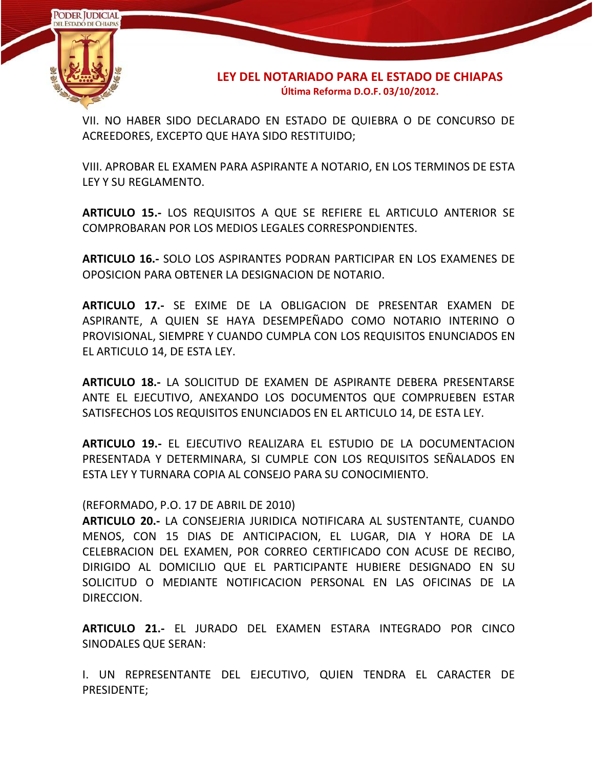

VII. NO HABER SIDO DECLARADO EN ESTADO DE QUIEBRA O DE CONCURSO DE ACREEDORES, EXCEPTO QUE HAYA SIDO RESTITUIDO;

VIII. APROBAR EL EXAMEN PARA ASPIRANTE A NOTARIO, EN LOS TERMINOS DE ESTA LEY Y SU REGLAMENTO.

**ARTICULO 15.-** LOS REQUISITOS A QUE SE REFIERE EL ARTICULO ANTERIOR SE COMPROBARAN POR LOS MEDIOS LEGALES CORRESPONDIENTES.

**ARTICULO 16.-** SOLO LOS ASPIRANTES PODRAN PARTICIPAR EN LOS EXAMENES DE OPOSICION PARA OBTENER LA DESIGNACION DE NOTARIO.

**ARTICULO 17.-** SE EXIME DE LA OBLIGACION DE PRESENTAR EXAMEN DE ASPIRANTE, A QUIEN SE HAYA DESEMPEÑADO COMO NOTARIO INTERINO O PROVISIONAL, SIEMPRE Y CUANDO CUMPLA CON LOS REQUISITOS ENUNCIADOS EN EL ARTICULO 14, DE ESTA LEY.

**ARTICULO 18.-** LA SOLICITUD DE EXAMEN DE ASPIRANTE DEBERA PRESENTARSE ANTE EL EJECUTIVO, ANEXANDO LOS DOCUMENTOS QUE COMPRUEBEN ESTAR SATISFECHOS LOS REQUISITOS ENUNCIADOS EN EL ARTICULO 14, DE ESTA LEY.

**ARTICULO 19.-** EL EJECUTIVO REALIZARA EL ESTUDIO DE LA DOCUMENTACION PRESENTADA Y DETERMINARA, SI CUMPLE CON LOS REQUISITOS SEÑALADOS EN ESTA LEY Y TURNARA COPIA AL CONSEJO PARA SU CONOCIMIENTO.

#### (REFORMADO, P.O. 17 DE ABRIL DE 2010)

**ARTICULO 20.-** LA CONSEJERIA JURIDICA NOTIFICARA AL SUSTENTANTE, CUANDO MENOS, CON 15 DIAS DE ANTICIPACION, EL LUGAR, DIA Y HORA DE LA CELEBRACION DEL EXAMEN, POR CORREO CERTIFICADO CON ACUSE DE RECIBO, DIRIGIDO AL DOMICILIO QUE EL PARTICIPANTE HUBIERE DESIGNADO EN SU SOLICITUD O MEDIANTE NOTIFICACION PERSONAL EN LAS OFICINAS DE LA DIRECCION.

**ARTICULO 21.-** EL JURADO DEL EXAMEN ESTARA INTEGRADO POR CINCO SINODALES QUE SERAN:

I. UN REPRESENTANTE DEL EJECUTIVO, QUIEN TENDRA EL CARACTER DE PRESIDENTE;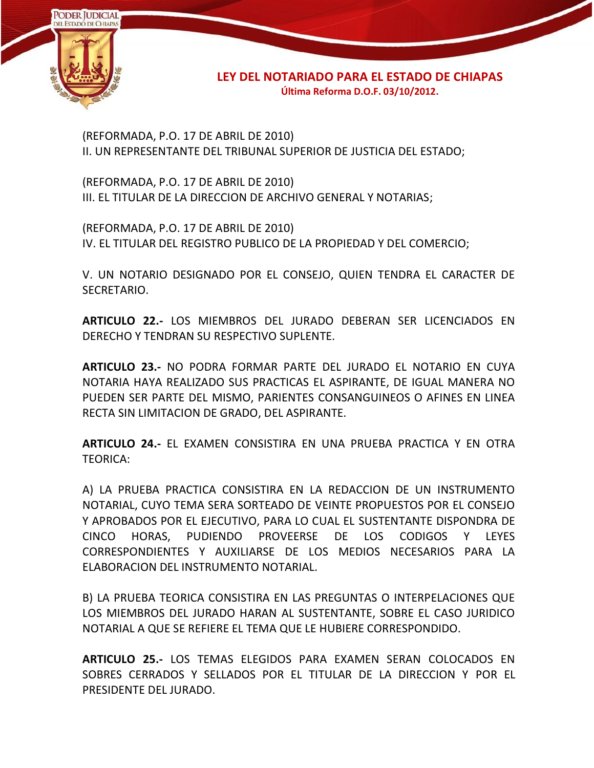

(REFORMADA, P.O. 17 DE ABRIL DE 2010) II. UN REPRESENTANTE DEL TRIBUNAL SUPERIOR DE JUSTICIA DEL ESTADO;

(REFORMADA, P.O. 17 DE ABRIL DE 2010) III. EL TITULAR DE LA DIRECCION DE ARCHIVO GENERAL Y NOTARIAS;

(REFORMADA, P.O. 17 DE ABRIL DE 2010) IV. EL TITULAR DEL REGISTRO PUBLICO DE LA PROPIEDAD Y DEL COMERCIO;

V. UN NOTARIO DESIGNADO POR EL CONSEJO, QUIEN TENDRA EL CARACTER DE SECRETARIO.

**ARTICULO 22.-** LOS MIEMBROS DEL JURADO DEBERAN SER LICENCIADOS EN DERECHO Y TENDRAN SU RESPECTIVO SUPLENTE.

**ARTICULO 23.-** NO PODRA FORMAR PARTE DEL JURADO EL NOTARIO EN CUYA NOTARIA HAYA REALIZADO SUS PRACTICAS EL ASPIRANTE, DE IGUAL MANERA NO PUEDEN SER PARTE DEL MISMO, PARIENTES CONSANGUINEOS O AFINES EN LINEA RECTA SIN LIMITACION DE GRADO, DEL ASPIRANTE.

**ARTICULO 24.-** EL EXAMEN CONSISTIRA EN UNA PRUEBA PRACTICA Y EN OTRA TEORICA:

A) LA PRUEBA PRACTICA CONSISTIRA EN LA REDACCION DE UN INSTRUMENTO NOTARIAL, CUYO TEMA SERA SORTEADO DE VEINTE PROPUESTOS POR EL CONSEJO Y APROBADOS POR EL EJECUTIVO, PARA LO CUAL EL SUSTENTANTE DISPONDRA DE CINCO HORAS, PUDIENDO PROVEERSE DE LOS CODIGOS Y LEYES CORRESPONDIENTES Y AUXILIARSE DE LOS MEDIOS NECESARIOS PARA LA ELABORACION DEL INSTRUMENTO NOTARIAL.

B) LA PRUEBA TEORICA CONSISTIRA EN LAS PREGUNTAS O INTERPELACIONES QUE LOS MIEMBROS DEL JURADO HARAN AL SUSTENTANTE, SOBRE EL CASO JURIDICO NOTARIAL A QUE SE REFIERE EL TEMA QUE LE HUBIERE CORRESPONDIDO.

**ARTICULO 25.-** LOS TEMAS ELEGIDOS PARA EXAMEN SERAN COLOCADOS EN SOBRES CERRADOS Y SELLADOS POR EL TITULAR DE LA DIRECCION Y POR EL PRESIDENTE DEL JURADO.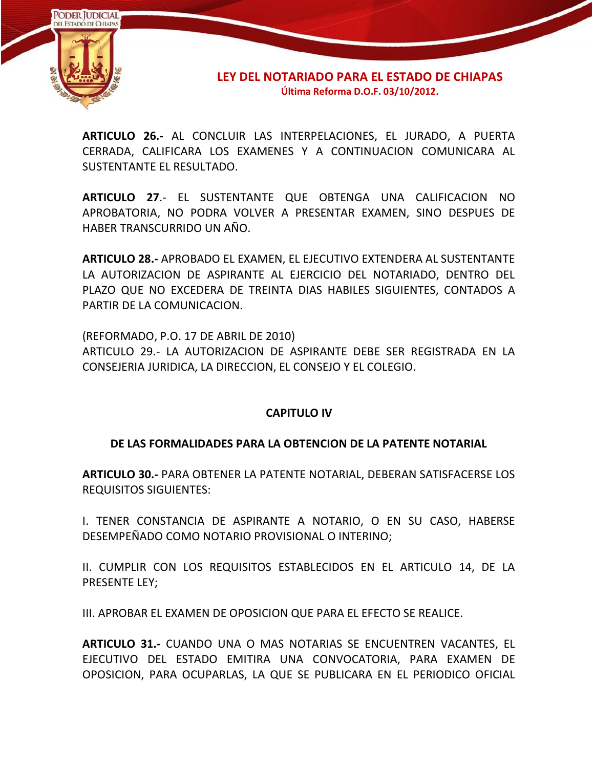

**ARTICULO 26.-** AL CONCLUIR LAS INTERPELACIONES, EL JURADO, A PUERTA CERRADA, CALIFICARA LOS EXAMENES Y A CONTINUACION COMUNICARA AL SUSTENTANTE EL RESULTADO.

**ARTICULO 27**.- EL SUSTENTANTE QUE OBTENGA UNA CALIFICACION NO APROBATORIA, NO PODRA VOLVER A PRESENTAR EXAMEN, SINO DESPUES DE HABER TRANSCURRIDO UN AÑO.

**ARTICULO 28.-** APROBADO EL EXAMEN, EL EJECUTIVO EXTENDERA AL SUSTENTANTE LA AUTORIZACION DE ASPIRANTE AL EJERCICIO DEL NOTARIADO, DENTRO DEL PLAZO QUE NO EXCEDERA DE TREINTA DIAS HABILES SIGUIENTES, CONTADOS A PARTIR DE LA COMUNICACION.

(REFORMADO, P.O. 17 DE ABRIL DE 2010) ARTICULO 29.- LA AUTORIZACION DE ASPIRANTE DEBE SER REGISTRADA EN LA CONSEJERIA JURIDICA, LA DIRECCION, EL CONSEJO Y EL COLEGIO.

# **CAPITULO IV**

# **DE LAS FORMALIDADES PARA LA OBTENCION DE LA PATENTE NOTARIAL**

**ARTICULO 30.-** PARA OBTENER LA PATENTE NOTARIAL, DEBERAN SATISFACERSE LOS REQUISITOS SIGUIENTES:

I. TENER CONSTANCIA DE ASPIRANTE A NOTARIO, O EN SU CASO, HABERSE DESEMPEÑADO COMO NOTARIO PROVISIONAL O INTERINO;

II. CUMPLIR CON LOS REQUISITOS ESTABLECIDOS EN EL ARTICULO 14, DE LA PRESENTE LEY;

III. APROBAR EL EXAMEN DE OPOSICION QUE PARA EL EFECTO SE REALICE.

**ARTICULO 31.-** CUANDO UNA O MAS NOTARIAS SE ENCUENTREN VACANTES, EL EJECUTIVO DEL ESTADO EMITIRA UNA CONVOCATORIA, PARA EXAMEN DE OPOSICION, PARA OCUPARLAS, LA QUE SE PUBLICARA EN EL PERIODICO OFICIAL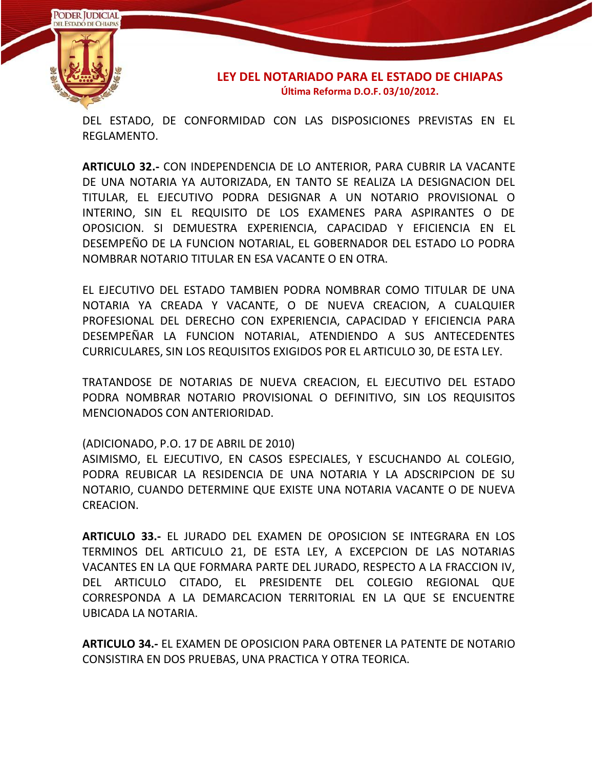

DEL ESTADO, DE CONFORMIDAD CON LAS DISPOSICIONES PREVISTAS EN EL REGLAMENTO.

**ARTICULO 32.-** CON INDEPENDENCIA DE LO ANTERIOR, PARA CUBRIR LA VACANTE DE UNA NOTARIA YA AUTORIZADA, EN TANTO SE REALIZA LA DESIGNACION DEL TITULAR, EL EJECUTIVO PODRA DESIGNAR A UN NOTARIO PROVISIONAL O INTERINO, SIN EL REQUISITO DE LOS EXAMENES PARA ASPIRANTES O DE OPOSICION. SI DEMUESTRA EXPERIENCIA, CAPACIDAD Y EFICIENCIA EN EL DESEMPEÑO DE LA FUNCION NOTARIAL, EL GOBERNADOR DEL ESTADO LO PODRA NOMBRAR NOTARIO TITULAR EN ESA VACANTE O EN OTRA.

EL EJECUTIVO DEL ESTADO TAMBIEN PODRA NOMBRAR COMO TITULAR DE UNA NOTARIA YA CREADA Y VACANTE, O DE NUEVA CREACION, A CUALQUIER PROFESIONAL DEL DERECHO CON EXPERIENCIA, CAPACIDAD Y EFICIENCIA PARA DESEMPEÑAR LA FUNCION NOTARIAL, ATENDIENDO A SUS ANTECEDENTES CURRICULARES, SIN LOS REQUISITOS EXIGIDOS POR EL ARTICULO 30, DE ESTA LEY.

TRATANDOSE DE NOTARIAS DE NUEVA CREACION, EL EJECUTIVO DEL ESTADO PODRA NOMBRAR NOTARIO PROVISIONAL O DEFINITIVO, SIN LOS REQUISITOS MENCIONADOS CON ANTERIORIDAD.

(ADICIONADO, P.O. 17 DE ABRIL DE 2010)

ASIMISMO, EL EJECUTIVO, EN CASOS ESPECIALES, Y ESCUCHANDO AL COLEGIO, PODRA REUBICAR LA RESIDENCIA DE UNA NOTARIA Y LA ADSCRIPCION DE SU NOTARIO, CUANDO DETERMINE QUE EXISTE UNA NOTARIA VACANTE O DE NUEVA CREACION.

**ARTICULO 33.-** EL JURADO DEL EXAMEN DE OPOSICION SE INTEGRARA EN LOS TERMINOS DEL ARTICULO 21, DE ESTA LEY, A EXCEPCION DE LAS NOTARIAS VACANTES EN LA QUE FORMARA PARTE DEL JURADO, RESPECTO A LA FRACCION IV, DEL ARTICULO CITADO, EL PRESIDENTE DEL COLEGIO REGIONAL QUE CORRESPONDA A LA DEMARCACION TERRITORIAL EN LA QUE SE ENCUENTRE UBICADA LA NOTARIA.

**ARTICULO 34.-** EL EXAMEN DE OPOSICION PARA OBTENER LA PATENTE DE NOTARIO CONSISTIRA EN DOS PRUEBAS, UNA PRACTICA Y OTRA TEORICA.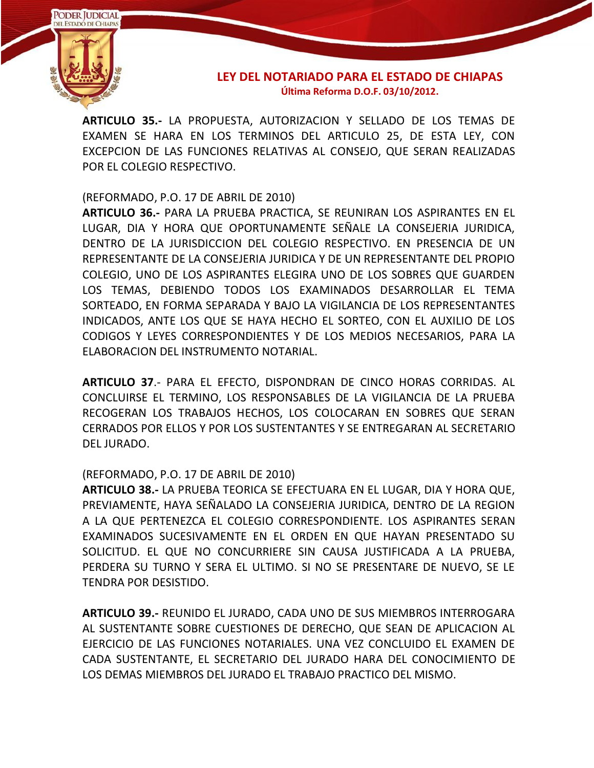

**ARTICULO 35.-** LA PROPUESTA, AUTORIZACION Y SELLADO DE LOS TEMAS DE EXAMEN SE HARA EN LOS TERMINOS DEL ARTICULO 25, DE ESTA LEY, CON EXCEPCION DE LAS FUNCIONES RELATIVAS AL CONSEJO, QUE SERAN REALIZADAS POR EL COLEGIO RESPECTIVO.

### (REFORMADO, P.O. 17 DE ABRIL DE 2010)

**ARTICULO 36.-** PARA LA PRUEBA PRACTICA, SE REUNIRAN LOS ASPIRANTES EN EL LUGAR, DIA Y HORA QUE OPORTUNAMENTE SEÑALE LA CONSEJERIA JURIDICA, DENTRO DE LA JURISDICCION DEL COLEGIO RESPECTIVO. EN PRESENCIA DE UN REPRESENTANTE DE LA CONSEJERIA JURIDICA Y DE UN REPRESENTANTE DEL PROPIO COLEGIO, UNO DE LOS ASPIRANTES ELEGIRA UNO DE LOS SOBRES QUE GUARDEN LOS TEMAS, DEBIENDO TODOS LOS EXAMINADOS DESARROLLAR EL TEMA SORTEADO, EN FORMA SEPARADA Y BAJO LA VIGILANCIA DE LOS REPRESENTANTES INDICADOS, ANTE LOS QUE SE HAYA HECHO EL SORTEO, CON EL AUXILIO DE LOS CODIGOS Y LEYES CORRESPONDIENTES Y DE LOS MEDIOS NECESARIOS, PARA LA ELABORACION DEL INSTRUMENTO NOTARIAL.

**ARTICULO 37**.- PARA EL EFECTO, DISPONDRAN DE CINCO HORAS CORRIDAS. AL CONCLUIRSE EL TERMINO, LOS RESPONSABLES DE LA VIGILANCIA DE LA PRUEBA RECOGERAN LOS TRABAJOS HECHOS, LOS COLOCARAN EN SOBRES QUE SERAN CERRADOS POR ELLOS Y POR LOS SUSTENTANTES Y SE ENTREGARAN AL SECRETARIO DEL JURADO.

#### (REFORMADO, P.O. 17 DE ABRIL DE 2010)

**ARTICULO 38.-** LA PRUEBA TEORICA SE EFECTUARA EN EL LUGAR, DIA Y HORA QUE, PREVIAMENTE, HAYA SEÑALADO LA CONSEJERIA JURIDICA, DENTRO DE LA REGION A LA QUE PERTENEZCA EL COLEGIO CORRESPONDIENTE. LOS ASPIRANTES SERAN EXAMINADOS SUCESIVAMENTE EN EL ORDEN EN QUE HAYAN PRESENTADO SU SOLICITUD. EL QUE NO CONCURRIERE SIN CAUSA JUSTIFICADA A LA PRUEBA, PERDERA SU TURNO Y SERA EL ULTIMO. SI NO SE PRESENTARE DE NUEVO, SE LE TENDRA POR DESISTIDO.

**ARTICULO 39.-** REUNIDO EL JURADO, CADA UNO DE SUS MIEMBROS INTERROGARA AL SUSTENTANTE SOBRE CUESTIONES DE DERECHO, QUE SEAN DE APLICACION AL EJERCICIO DE LAS FUNCIONES NOTARIALES. UNA VEZ CONCLUIDO EL EXAMEN DE CADA SUSTENTANTE, EL SECRETARIO DEL JURADO HARA DEL CONOCIMIENTO DE LOS DEMAS MIEMBROS DEL JURADO EL TRABAJO PRACTICO DEL MISMO.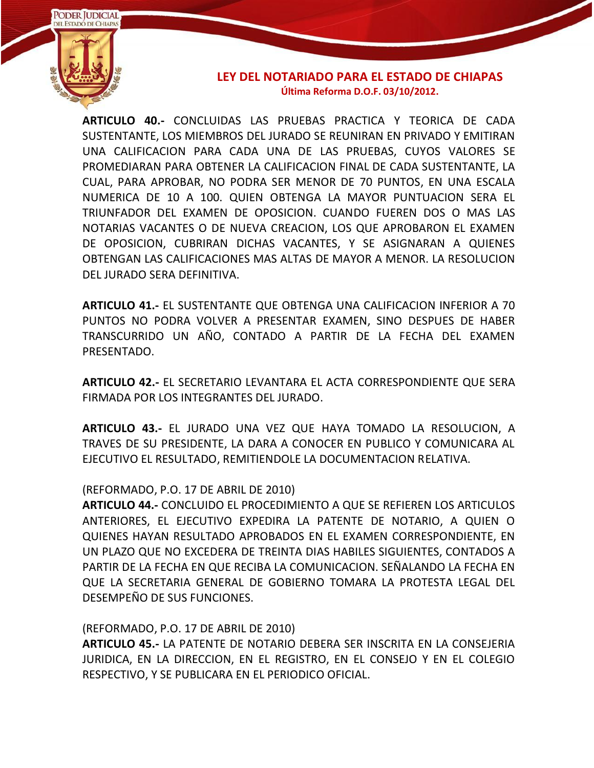

**ARTICULO 40.-** CONCLUIDAS LAS PRUEBAS PRACTICA Y TEORICA DE CADA SUSTENTANTE, LOS MIEMBROS DEL JURADO SE REUNIRAN EN PRIVADO Y EMITIRAN UNA CALIFICACION PARA CADA UNA DE LAS PRUEBAS, CUYOS VALORES SE PROMEDIARAN PARA OBTENER LA CALIFICACION FINAL DE CADA SUSTENTANTE, LA CUAL, PARA APROBAR, NO PODRA SER MENOR DE 70 PUNTOS, EN UNA ESCALA NUMERICA DE 10 A 100. QUIEN OBTENGA LA MAYOR PUNTUACION SERA EL TRIUNFADOR DEL EXAMEN DE OPOSICION. CUANDO FUEREN DOS O MAS LAS NOTARIAS VACANTES O DE NUEVA CREACION, LOS QUE APROBARON EL EXAMEN DE OPOSICION, CUBRIRAN DICHAS VACANTES, Y SE ASIGNARAN A QUIENES OBTENGAN LAS CALIFICACIONES MAS ALTAS DE MAYOR A MENOR. LA RESOLUCION DEL JURADO SERA DEFINITIVA.

**ARTICULO 41.-** EL SUSTENTANTE QUE OBTENGA UNA CALIFICACION INFERIOR A 70 PUNTOS NO PODRA VOLVER A PRESENTAR EXAMEN, SINO DESPUES DE HABER TRANSCURRIDO UN AÑO, CONTADO A PARTIR DE LA FECHA DEL EXAMEN PRESENTADO.

**ARTICULO 42.-** EL SECRETARIO LEVANTARA EL ACTA CORRESPONDIENTE QUE SERA FIRMADA POR LOS INTEGRANTES DEL JURADO.

**ARTICULO 43.-** EL JURADO UNA VEZ QUE HAYA TOMADO LA RESOLUCION, A TRAVES DE SU PRESIDENTE, LA DARA A CONOCER EN PUBLICO Y COMUNICARA AL EJECUTIVO EL RESULTADO, REMITIENDOLE LA DOCUMENTACION RELATIVA.

#### (REFORMADO, P.O. 17 DE ABRIL DE 2010)

**ARTICULO 44.-** CONCLUIDO EL PROCEDIMIENTO A QUE SE REFIEREN LOS ARTICULOS ANTERIORES, EL EJECUTIVO EXPEDIRA LA PATENTE DE NOTARIO, A QUIEN O QUIENES HAYAN RESULTADO APROBADOS EN EL EXAMEN CORRESPONDIENTE, EN UN PLAZO QUE NO EXCEDERA DE TREINTA DIAS HABILES SIGUIENTES, CONTADOS A PARTIR DE LA FECHA EN QUE RECIBA LA COMUNICACION. SEÑALANDO LA FECHA EN QUE LA SECRETARIA GENERAL DE GOBIERNO TOMARA LA PROTESTA LEGAL DEL DESEMPEÑO DE SUS FUNCIONES.

(REFORMADO, P.O. 17 DE ABRIL DE 2010)

**ARTICULO 45.-** LA PATENTE DE NOTARIO DEBERA SER INSCRITA EN LA CONSEJERIA JURIDICA, EN LA DIRECCION, EN EL REGISTRO, EN EL CONSEJO Y EN EL COLEGIO RESPECTIVO, Y SE PUBLICARA EN EL PERIODICO OFICIAL.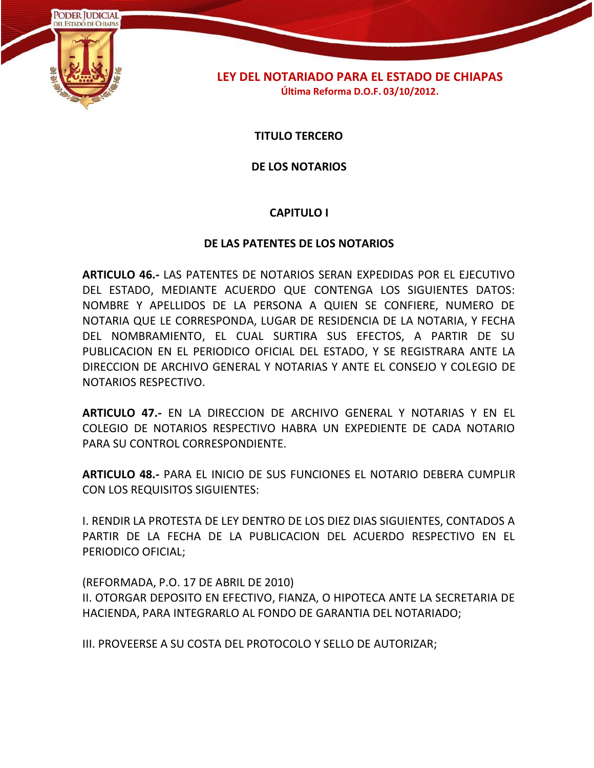

**TITULO TERCERO**

**DE LOS NOTARIOS**

# **CAPITULO I**

#### **DE LAS PATENTES DE LOS NOTARIOS**

**ARTICULO 46.-** LAS PATENTES DE NOTARIOS SERAN EXPEDIDAS POR EL EJECUTIVO DEL ESTADO, MEDIANTE ACUERDO QUE CONTENGA LOS SIGUIENTES DATOS: NOMBRE Y APELLIDOS DE LA PERSONA A QUIEN SE CONFIERE, NUMERO DE NOTARIA QUE LE CORRESPONDA, LUGAR DE RESIDENCIA DE LA NOTARIA, Y FECHA DEL NOMBRAMIENTO, EL CUAL SURTIRA SUS EFECTOS, A PARTIR DE SU PUBLICACION EN EL PERIODICO OFICIAL DEL ESTADO, Y SE REGISTRARA ANTE LA DIRECCION DE ARCHIVO GENERAL Y NOTARIAS Y ANTE EL CONSEJO Y COLEGIO DE NOTARIOS RESPECTIVO.

**ARTICULO 47.-** EN LA DIRECCION DE ARCHIVO GENERAL Y NOTARIAS Y EN EL COLEGIO DE NOTARIOS RESPECTIVO HABRA UN EXPEDIENTE DE CADA NOTARIO PARA SU CONTROL CORRESPONDIENTE.

**ARTICULO 48.-** PARA EL INICIO DE SUS FUNCIONES EL NOTARIO DEBERA CUMPLIR CON LOS REQUISITOS SIGUIENTES:

I. RENDIR LA PROTESTA DE LEY DENTRO DE LOS DIEZ DIAS SIGUIENTES, CONTADOS A PARTIR DE LA FECHA DE LA PUBLICACION DEL ACUERDO RESPECTIVO EN EL PERIODICO OFICIAL;

(REFORMADA, P.O. 17 DE ABRIL DE 2010) II. OTORGAR DEPOSITO EN EFECTIVO, FIANZA, O HIPOTECA ANTE LA SECRETARIA DE HACIENDA, PARA INTEGRARLO AL FONDO DE GARANTIA DEL NOTARIADO;

III. PROVEERSE A SU COSTA DEL PROTOCOLO Y SELLO DE AUTORIZAR;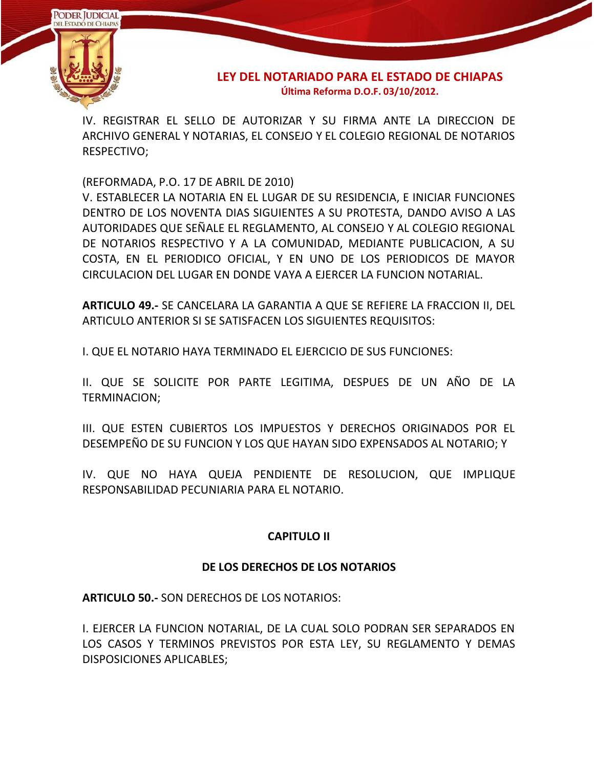

IV. REGISTRAR EL SELLO DE AUTORIZAR Y SU FIRMA ANTE LA DIRECCION DE ARCHIVO GENERAL Y NOTARIAS, EL CONSEJO Y EL COLEGIO REGIONAL DE NOTARIOS RESPECTIVO;

(REFORMADA, P.O. 17 DE ABRIL DE 2010)

V. ESTABLECER LA NOTARIA EN EL LUGAR DE SU RESIDENCIA, E INICIAR FUNCIONES DENTRO DE LOS NOVENTA DIAS SIGUIENTES A SU PROTESTA, DANDO AVISO A LAS AUTORIDADES QUE SEÑALE EL REGLAMENTO, AL CONSEJO Y AL COLEGIO REGIONAL DE NOTARIOS RESPECTIVO Y A LA COMUNIDAD, MEDIANTE PUBLICACION, A SU COSTA, EN EL PERIODICO OFICIAL, Y EN UNO DE LOS PERIODICOS DE MAYOR CIRCULACION DEL LUGAR EN DONDE VAYA A EJERCER LA FUNCION NOTARIAL.

**ARTICULO 49.-** SE CANCELARA LA GARANTIA A QUE SE REFIERE LA FRACCION II, DEL ARTICULO ANTERIOR SI SE SATISFACEN LOS SIGUIENTES REQUISITOS:

I. QUE EL NOTARIO HAYA TERMINADO EL EJERCICIO DE SUS FUNCIONES:

II. QUE SE SOLICITE POR PARTE LEGITIMA, DESPUES DE UN AÑO DE LA TERMINACION;

III. QUE ESTEN CUBIERTOS LOS IMPUESTOS Y DERECHOS ORIGINADOS POR EL DESEMPEÑO DE SU FUNCION Y LOS QUE HAYAN SIDO EXPENSADOS AL NOTARIO; Y

IV. QUE NO HAYA QUEJA PENDIENTE DE RESOLUCION, QUE IMPLIQUE RESPONSABILIDAD PECUNIARIA PARA EL NOTARIO.

# **CAPITULO II**

# **DE LOS DERECHOS DE LOS NOTARIOS**

**ARTICULO 50.-** SON DERECHOS DE LOS NOTARIOS:

I. EJERCER LA FUNCION NOTARIAL, DE LA CUAL SOLO PODRAN SER SEPARADOS EN LOS CASOS Y TERMINOS PREVISTOS POR ESTA LEY, SU REGLAMENTO Y DEMAS DISPOSICIONES APLICABLES;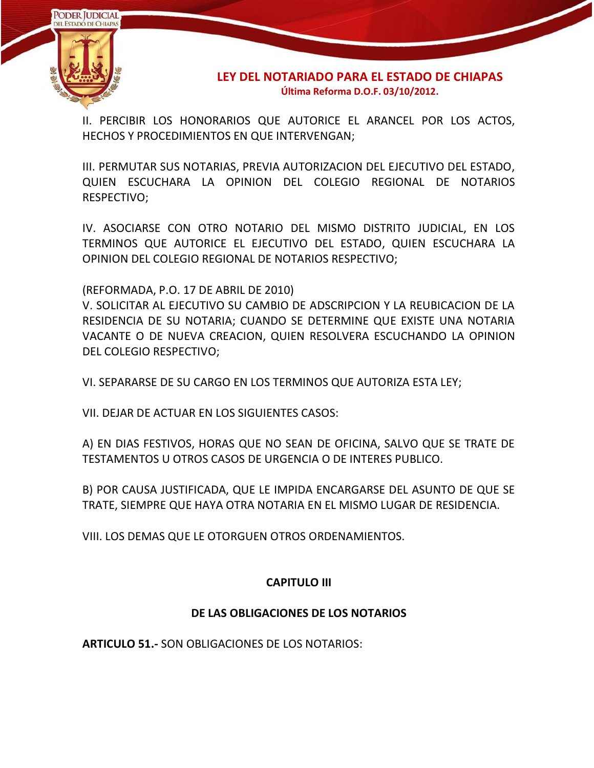

II. PERCIBIR LOS HONORARIOS QUE AUTORICE EL ARANCEL POR LOS ACTOS, HECHOS Y PROCEDIMIENTOS EN QUE INTERVENGAN;

III. PERMUTAR SUS NOTARIAS, PREVIA AUTORIZACION DEL EJECUTIVO DEL ESTADO, QUIEN ESCUCHARA LA OPINION DEL COLEGIO REGIONAL DE NOTARIOS RESPECTIVO;

IV. ASOCIARSE CON OTRO NOTARIO DEL MISMO DISTRITO JUDICIAL, EN LOS TERMINOS QUE AUTORICE EL EJECUTIVO DEL ESTADO, QUIEN ESCUCHARA LA OPINION DEL COLEGIO REGIONAL DE NOTARIOS RESPECTIVO;

(REFORMADA, P.O. 17 DE ABRIL DE 2010)

V. SOLICITAR AL EJECUTIVO SU CAMBIO DE ADSCRIPCION Y LA REUBICACION DE LA RESIDENCIA DE SU NOTARIA; CUANDO SE DETERMINE QUE EXISTE UNA NOTARIA VACANTE O DE NUEVA CREACION, QUIEN RESOLVERA ESCUCHANDO LA OPINION DEL COLEGIO RESPECTIVO;

VI. SEPARARSE DE SU CARGO EN LOS TERMINOS QUE AUTORIZA ESTA LEY;

VII. DEJAR DE ACTUAR EN LOS SIGUIENTES CASOS:

A) EN DIAS FESTIVOS, HORAS QUE NO SEAN DE OFICINA, SALVO QUE SE TRATE DE TESTAMENTOS U OTROS CASOS DE URGENCIA O DE INTERES PUBLICO.

B) POR CAUSA JUSTIFICADA, QUE LE IMPIDA ENCARGARSE DEL ASUNTO DE QUE SE TRATE, SIEMPRE QUE HAYA OTRA NOTARIA EN EL MISMO LUGAR DE RESIDENCIA.

VIII. LOS DEMAS QUE LE OTORGUEN OTROS ORDENAMIENTOS.

# **CAPITULO III**

# **DE LAS OBLIGACIONES DE LOS NOTARIOS**

**ARTICULO 51.-** SON OBLIGACIONES DE LOS NOTARIOS: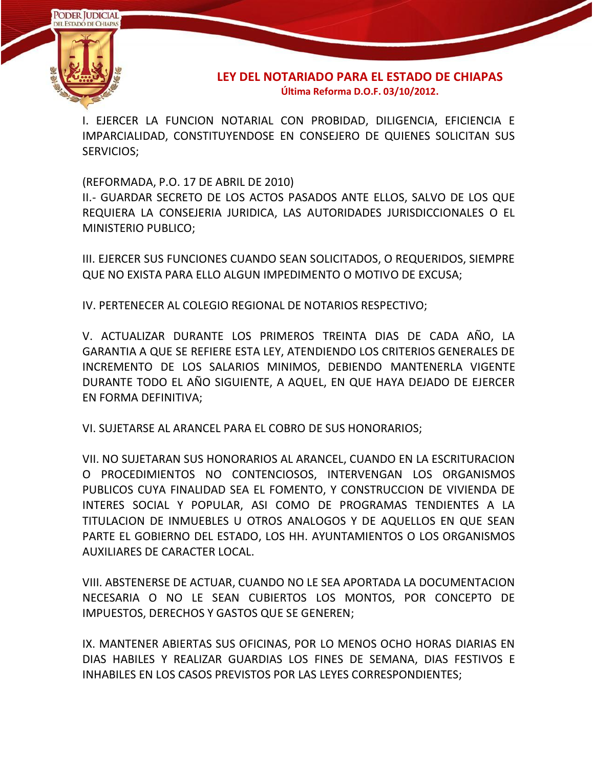

I. EJERCER LA FUNCION NOTARIAL CON PROBIDAD, DILIGENCIA, EFICIENCIA E IMPARCIALIDAD, CONSTITUYENDOSE EN CONSEJERO DE QUIENES SOLICITAN SUS SERVICIOS;

(REFORMADA, P.O. 17 DE ABRIL DE 2010)

II.- GUARDAR SECRETO DE LOS ACTOS PASADOS ANTE ELLOS, SALVO DE LOS QUE REQUIERA LA CONSEJERIA JURIDICA, LAS AUTORIDADES JURISDICCIONALES O EL MINISTERIO PUBLICO;

III. EJERCER SUS FUNCIONES CUANDO SEAN SOLICITADOS, O REQUERIDOS, SIEMPRE QUE NO EXISTA PARA ELLO ALGUN IMPEDIMENTO O MOTIVO DE EXCUSA;

IV. PERTENECER AL COLEGIO REGIONAL DE NOTARIOS RESPECTIVO;

V. ACTUALIZAR DURANTE LOS PRIMEROS TREINTA DIAS DE CADA AÑO, LA GARANTIA A QUE SE REFIERE ESTA LEY, ATENDIENDO LOS CRITERIOS GENERALES DE INCREMENTO DE LOS SALARIOS MINIMOS, DEBIENDO MANTENERLA VIGENTE DURANTE TODO EL AÑO SIGUIENTE, A AQUEL, EN QUE HAYA DEJADO DE EJERCER EN FORMA DEFINITIVA;

VI. SUJETARSE AL ARANCEL PARA EL COBRO DE SUS HONORARIOS;

VII. NO SUJETARAN SUS HONORARIOS AL ARANCEL, CUANDO EN LA ESCRITURACION O PROCEDIMIENTOS NO CONTENCIOSOS, INTERVENGAN LOS ORGANISMOS PUBLICOS CUYA FINALIDAD SEA EL FOMENTO, Y CONSTRUCCION DE VIVIENDA DE INTERES SOCIAL Y POPULAR, ASI COMO DE PROGRAMAS TENDIENTES A LA TITULACION DE INMUEBLES U OTROS ANALOGOS Y DE AQUELLOS EN QUE SEAN PARTE EL GOBIERNO DEL ESTADO, LOS HH. AYUNTAMIENTOS O LOS ORGANISMOS AUXILIARES DE CARACTER LOCAL.

VIII. ABSTENERSE DE ACTUAR, CUANDO NO LE SEA APORTADA LA DOCUMENTACION NECESARIA O NO LE SEAN CUBIERTOS LOS MONTOS, POR CONCEPTO DE IMPUESTOS, DERECHOS Y GASTOS QUE SE GENEREN;

IX. MANTENER ABIERTAS SUS OFICINAS, POR LO MENOS OCHO HORAS DIARIAS EN DIAS HABILES Y REALIZAR GUARDIAS LOS FINES DE SEMANA, DIAS FESTIVOS E INHABILES EN LOS CASOS PREVISTOS POR LAS LEYES CORRESPONDIENTES;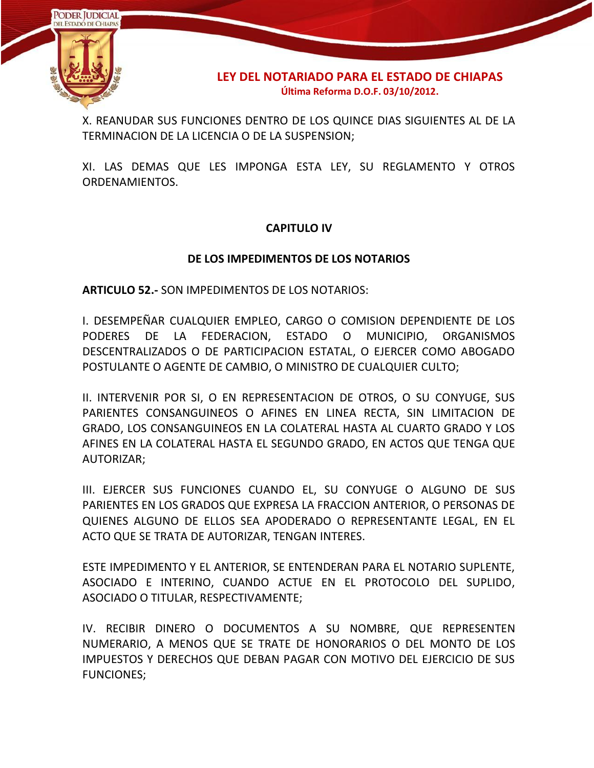

X. REANUDAR SUS FUNCIONES DENTRO DE LOS QUINCE DIAS SIGUIENTES AL DE LA TERMINACION DE LA LICENCIA O DE LA SUSPENSION;

XI. LAS DEMAS QUE LES IMPONGA ESTA LEY, SU REGLAMENTO Y OTROS ORDENAMIENTOS.

# **CAPITULO IV**

### **DE LOS IMPEDIMENTOS DE LOS NOTARIOS**

**ARTICULO 52.-** SON IMPEDIMENTOS DE LOS NOTARIOS:

I. DESEMPEÑAR CUALQUIER EMPLEO, CARGO O COMISION DEPENDIENTE DE LOS PODERES DE LA FEDERACION, ESTADO O MUNICIPIO, ORGANISMOS DESCENTRALIZADOS O DE PARTICIPACION ESTATAL, O EJERCER COMO ABOGADO POSTULANTE O AGENTE DE CAMBIO, O MINISTRO DE CUALQUIER CULTO;

II. INTERVENIR POR SI, O EN REPRESENTACION DE OTROS, O SU CONYUGE, SUS PARIENTES CONSANGUINEOS O AFINES EN LINEA RECTA, SIN LIMITACION DE GRADO, LOS CONSANGUINEOS EN LA COLATERAL HASTA AL CUARTO GRADO Y LOS AFINES EN LA COLATERAL HASTA EL SEGUNDO GRADO, EN ACTOS QUE TENGA QUE AUTORIZAR;

III. EJERCER SUS FUNCIONES CUANDO EL, SU CONYUGE O ALGUNO DE SUS PARIENTES EN LOS GRADOS QUE EXPRESA LA FRACCION ANTERIOR, O PERSONAS DE QUIENES ALGUNO DE ELLOS SEA APODERADO O REPRESENTANTE LEGAL, EN EL ACTO QUE SE TRATA DE AUTORIZAR, TENGAN INTERES.

ESTE IMPEDIMENTO Y EL ANTERIOR, SE ENTENDERAN PARA EL NOTARIO SUPLENTE, ASOCIADO E INTERINO, CUANDO ACTUE EN EL PROTOCOLO DEL SUPLIDO, ASOCIADO O TITULAR, RESPECTIVAMENTE;

IV. RECIBIR DINERO O DOCUMENTOS A SU NOMBRE, QUE REPRESENTEN NUMERARIO, A MENOS QUE SE TRATE DE HONORARIOS O DEL MONTO DE LOS IMPUESTOS Y DERECHOS QUE DEBAN PAGAR CON MOTIVO DEL EJERCICIO DE SUS FUNCIONES;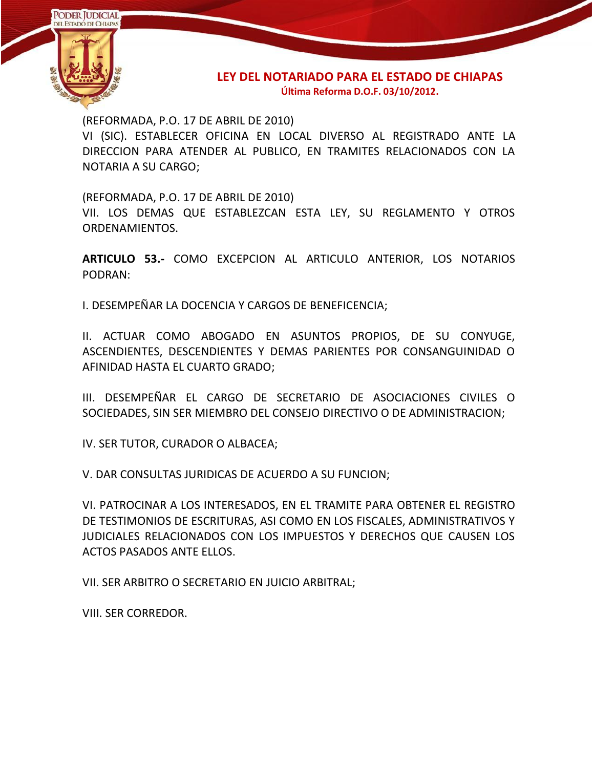

(REFORMADA, P.O. 17 DE ABRIL DE 2010)

VI (SIC). ESTABLECER OFICINA EN LOCAL DIVERSO AL REGISTRADO ANTE LA DIRECCION PARA ATENDER AL PUBLICO, EN TRAMITES RELACIONADOS CON LA NOTARIA A SU CARGO;

(REFORMADA, P.O. 17 DE ABRIL DE 2010)

VII. LOS DEMAS QUE ESTABLEZCAN ESTA LEY, SU REGLAMENTO Y OTROS ORDENAMIENTOS.

**ARTICULO 53.-** COMO EXCEPCION AL ARTICULO ANTERIOR, LOS NOTARIOS PODRAN:

I. DESEMPEÑAR LA DOCENCIA Y CARGOS DE BENEFICENCIA;

II. ACTUAR COMO ABOGADO EN ASUNTOS PROPIOS, DE SU CONYUGE, ASCENDIENTES, DESCENDIENTES Y DEMAS PARIENTES POR CONSANGUINIDAD O AFINIDAD HASTA EL CUARTO GRADO;

III. DESEMPEÑAR EL CARGO DE SECRETARIO DE ASOCIACIONES CIVILES O SOCIEDADES, SIN SER MIEMBRO DEL CONSEJO DIRECTIVO O DE ADMINISTRACION;

IV. SER TUTOR, CURADOR O ALBACEA;

V. DAR CONSULTAS JURIDICAS DE ACUERDO A SU FUNCION;

VI. PATROCINAR A LOS INTERESADOS, EN EL TRAMITE PARA OBTENER EL REGISTRO DE TESTIMONIOS DE ESCRITURAS, ASI COMO EN LOS FISCALES, ADMINISTRATIVOS Y JUDICIALES RELACIONADOS CON LOS IMPUESTOS Y DERECHOS QUE CAUSEN LOS ACTOS PASADOS ANTE ELLOS.

VII. SER ARBITRO O SECRETARIO EN JUICIO ARBITRAL;

VIII. SER CORREDOR.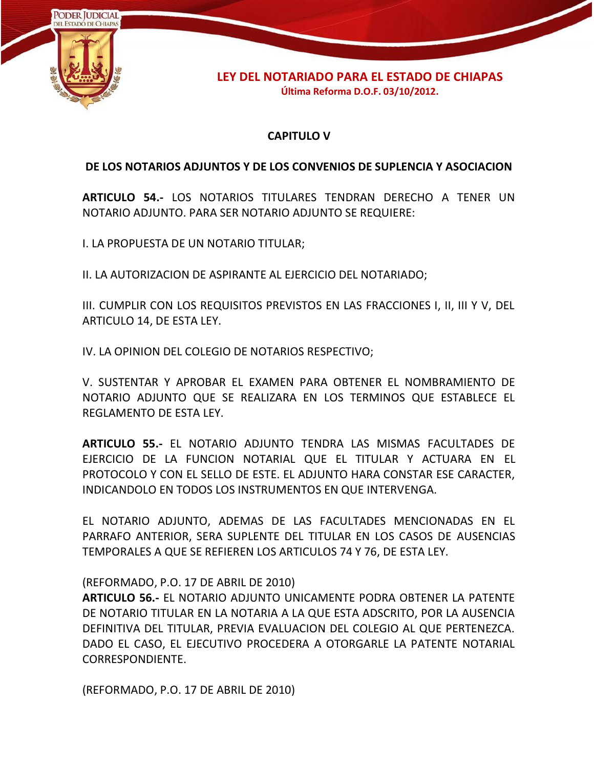

# **CAPITULO V**

### **DE LOS NOTARIOS ADJUNTOS Y DE LOS CONVENIOS DE SUPLENCIA Y ASOCIACION**

**ARTICULO 54.-** LOS NOTARIOS TITULARES TENDRAN DERECHO A TENER UN NOTARIO ADJUNTO. PARA SER NOTARIO ADJUNTO SE REQUIERE:

I. LA PROPUESTA DE UN NOTARIO TITULAR;

II. LA AUTORIZACION DE ASPIRANTE AL EJERCICIO DEL NOTARIADO;

III. CUMPLIR CON LOS REQUISITOS PREVISTOS EN LAS FRACCIONES I, II, III Y V, DEL ARTICULO 14, DE ESTA LEY.

IV. LA OPINION DEL COLEGIO DE NOTARIOS RESPECTIVO;

V. SUSTENTAR Y APROBAR EL EXAMEN PARA OBTENER EL NOMBRAMIENTO DE NOTARIO ADJUNTO QUE SE REALIZARA EN LOS TERMINOS QUE ESTABLECE EL REGLAMENTO DE ESTA LEY.

**ARTICULO 55.-** EL NOTARIO ADJUNTO TENDRA LAS MISMAS FACULTADES DE EJERCICIO DE LA FUNCION NOTARIAL QUE EL TITULAR Y ACTUARA EN EL PROTOCOLO Y CON EL SELLO DE ESTE. EL ADJUNTO HARA CONSTAR ESE CARACTER, INDICANDOLO EN TODOS LOS INSTRUMENTOS EN QUE INTERVENGA.

EL NOTARIO ADJUNTO, ADEMAS DE LAS FACULTADES MENCIONADAS EN EL PARRAFO ANTERIOR, SERA SUPLENTE DEL TITULAR EN LOS CASOS DE AUSENCIAS TEMPORALES A QUE SE REFIEREN LOS ARTICULOS 74 Y 76, DE ESTA LEY.

#### (REFORMADO, P.O. 17 DE ABRIL DE 2010)

**ARTICULO 56.-** EL NOTARIO ADJUNTO UNICAMENTE PODRA OBTENER LA PATENTE DE NOTARIO TITULAR EN LA NOTARIA A LA QUE ESTA ADSCRITO, POR LA AUSENCIA DEFINITIVA DEL TITULAR, PREVIA EVALUACION DEL COLEGIO AL QUE PERTENEZCA. DADO EL CASO, EL EJECUTIVO PROCEDERA A OTORGARLE LA PATENTE NOTARIAL CORRESPONDIENTE.

(REFORMADO, P.O. 17 DE ABRIL DE 2010)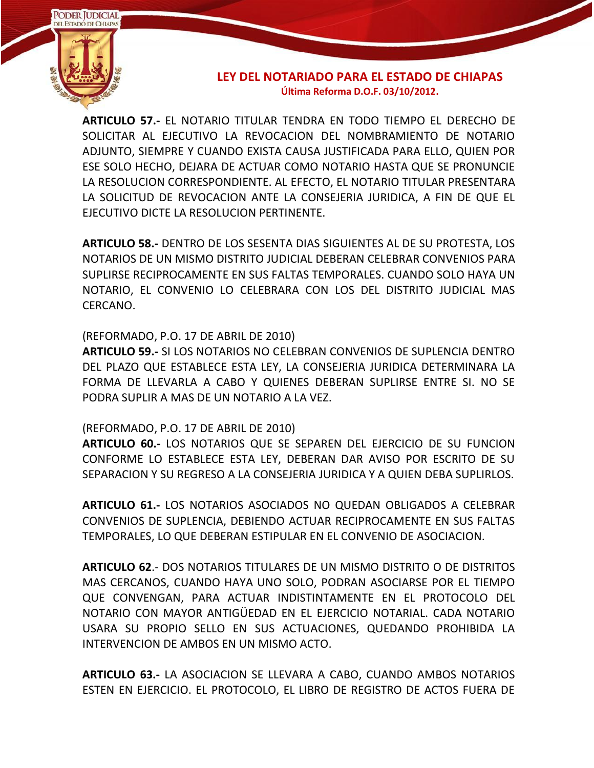

**ARTICULO 57.-** EL NOTARIO TITULAR TENDRA EN TODO TIEMPO EL DERECHO DE SOLICITAR AL EJECUTIVO LA REVOCACION DEL NOMBRAMIENTO DE NOTARIO ADJUNTO, SIEMPRE Y CUANDO EXISTA CAUSA JUSTIFICADA PARA ELLO, QUIEN POR ESE SOLO HECHO, DEJARA DE ACTUAR COMO NOTARIO HASTA QUE SE PRONUNCIE LA RESOLUCION CORRESPONDIENTE. AL EFECTO, EL NOTARIO TITULAR PRESENTARA LA SOLICITUD DE REVOCACION ANTE LA CONSEJERIA JURIDICA, A FIN DE QUE EL EJECUTIVO DICTE LA RESOLUCION PERTINENTE.

**ARTICULO 58.-** DENTRO DE LOS SESENTA DIAS SIGUIENTES AL DE SU PROTESTA, LOS NOTARIOS DE UN MISMO DISTRITO JUDICIAL DEBERAN CELEBRAR CONVENIOS PARA SUPLIRSE RECIPROCAMENTE EN SUS FALTAS TEMPORALES. CUANDO SOLO HAYA UN NOTARIO, EL CONVENIO LO CELEBRARA CON LOS DEL DISTRITO JUDICIAL MAS CERCANO.

### (REFORMADO, P.O. 17 DE ABRIL DE 2010)

**ARTICULO 59.-** SI LOS NOTARIOS NO CELEBRAN CONVENIOS DE SUPLENCIA DENTRO DEL PLAZO QUE ESTABLECE ESTA LEY, LA CONSEJERIA JURIDICA DETERMINARA LA FORMA DE LLEVARLA A CABO Y QUIENES DEBERAN SUPLIRSE ENTRE SI. NO SE PODRA SUPLIR A MAS DE UN NOTARIO A LA VEZ.

#### (REFORMADO, P.O. 17 DE ABRIL DE 2010)

**ARTICULO 60.-** LOS NOTARIOS QUE SE SEPAREN DEL EJERCICIO DE SU FUNCION CONFORME LO ESTABLECE ESTA LEY, DEBERAN DAR AVISO POR ESCRITO DE SU SEPARACION Y SU REGRESO A LA CONSEJERIA JURIDICA Y A QUIEN DEBA SUPLIRLOS.

**ARTICULO 61.-** LOS NOTARIOS ASOCIADOS NO QUEDAN OBLIGADOS A CELEBRAR CONVENIOS DE SUPLENCIA, DEBIENDO ACTUAR RECIPROCAMENTE EN SUS FALTAS TEMPORALES, LO QUE DEBERAN ESTIPULAR EN EL CONVENIO DE ASOCIACION.

**ARTICULO 62**.- DOS NOTARIOS TITULARES DE UN MISMO DISTRITO O DE DISTRITOS MAS CERCANOS, CUANDO HAYA UNO SOLO, PODRAN ASOCIARSE POR EL TIEMPO QUE CONVENGAN, PARA ACTUAR INDISTINTAMENTE EN EL PROTOCOLO DEL NOTARIO CON MAYOR ANTIGÜEDAD EN EL EJERCICIO NOTARIAL. CADA NOTARIO USARA SU PROPIO SELLO EN SUS ACTUACIONES, QUEDANDO PROHIBIDA LA INTERVENCION DE AMBOS EN UN MISMO ACTO.

**ARTICULO 63.-** LA ASOCIACION SE LLEVARA A CABO, CUANDO AMBOS NOTARIOS ESTEN EN EJERCICIO. EL PROTOCOLO, EL LIBRO DE REGISTRO DE ACTOS FUERA DE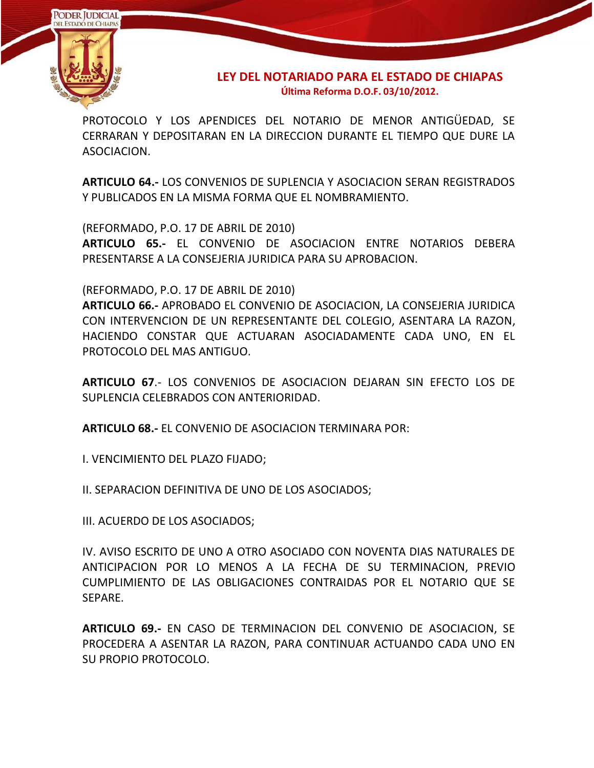

PROTOCOLO Y LOS APENDICES DEL NOTARIO DE MENOR ANTIGÜEDAD, SE CERRARAN Y DEPOSITARAN EN LA DIRECCION DURANTE EL TIEMPO QUE DURE LA ASOCIACION.

**ARTICULO 64.-** LOS CONVENIOS DE SUPLENCIA Y ASOCIACION SERAN REGISTRADOS Y PUBLICADOS EN LA MISMA FORMA QUE EL NOMBRAMIENTO.

(REFORMADO, P.O. 17 DE ABRIL DE 2010)

**ARTICULO 65.-** EL CONVENIO DE ASOCIACION ENTRE NOTARIOS DEBERA PRESENTARSE A LA CONSEJERIA JURIDICA PARA SU APROBACION.

(REFORMADO, P.O. 17 DE ABRIL DE 2010)

**ARTICULO 66.-** APROBADO EL CONVENIO DE ASOCIACION, LA CONSEJERIA JURIDICA CON INTERVENCION DE UN REPRESENTANTE DEL COLEGIO, ASENTARA LA RAZON, HACIENDO CONSTAR QUE ACTUARAN ASOCIADAMENTE CADA UNO, EN EL PROTOCOLO DEL MAS ANTIGUO.

**ARTICULO 67**.- LOS CONVENIOS DE ASOCIACION DEJARAN SIN EFECTO LOS DE SUPLENCIA CELEBRADOS CON ANTERIORIDAD.

**ARTICULO 68.-** EL CONVENIO DE ASOCIACION TERMINARA POR:

I. VENCIMIENTO DEL PLAZO FIJADO;

II. SEPARACION DEFINITIVA DE UNO DE LOS ASOCIADOS;

III. ACUERDO DE LOS ASOCIADOS;

IV. AVISO ESCRITO DE UNO A OTRO ASOCIADO CON NOVENTA DIAS NATURALES DE ANTICIPACION POR LO MENOS A LA FECHA DE SU TERMINACION, PREVIO CUMPLIMIENTO DE LAS OBLIGACIONES CONTRAIDAS POR EL NOTARIO QUE SE SEPARE.

**ARTICULO 69.-** EN CASO DE TERMINACION DEL CONVENIO DE ASOCIACION, SE PROCEDERA A ASENTAR LA RAZON, PARA CONTINUAR ACTUANDO CADA UNO EN SU PROPIO PROTOCOLO.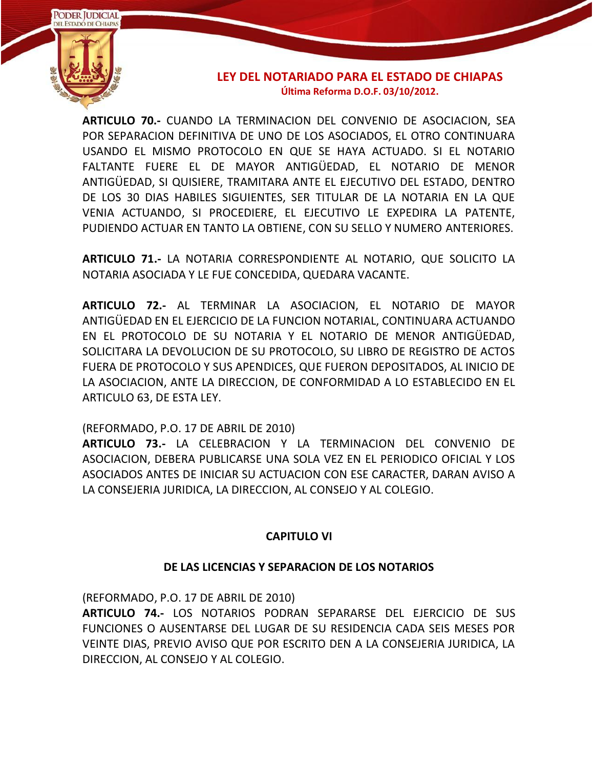

**ARTICULO 70.-** CUANDO LA TERMINACION DEL CONVENIO DE ASOCIACION, SEA POR SEPARACION DEFINITIVA DE UNO DE LOS ASOCIADOS, EL OTRO CONTINUARA USANDO EL MISMO PROTOCOLO EN QUE SE HAYA ACTUADO. SI EL NOTARIO FALTANTE FUERE EL DE MAYOR ANTIGÜEDAD, EL NOTARIO DE MENOR ANTIGÜEDAD, SI QUISIERE, TRAMITARA ANTE EL EJECUTIVO DEL ESTADO, DENTRO DE LOS 30 DIAS HABILES SIGUIENTES, SER TITULAR DE LA NOTARIA EN LA QUE VENIA ACTUANDO, SI PROCEDIERE, EL EJECUTIVO LE EXPEDIRA LA PATENTE, PUDIENDO ACTUAR EN TANTO LA OBTIENE, CON SU SELLO Y NUMERO ANTERIORES.

**ARTICULO 71.-** LA NOTARIA CORRESPONDIENTE AL NOTARIO, QUE SOLICITO LA NOTARIA ASOCIADA Y LE FUE CONCEDIDA, QUEDARA VACANTE.

**ARTICULO 72.-** AL TERMINAR LA ASOCIACION, EL NOTARIO DE MAYOR ANTIGÜEDAD EN EL EJERCICIO DE LA FUNCION NOTARIAL, CONTINUARA ACTUANDO EN EL PROTOCOLO DE SU NOTARIA Y EL NOTARIO DE MENOR ANTIGÜEDAD, SOLICITARA LA DEVOLUCION DE SU PROTOCOLO, SU LIBRO DE REGISTRO DE ACTOS FUERA DE PROTOCOLO Y SUS APENDICES, QUE FUERON DEPOSITADOS, AL INICIO DE LA ASOCIACION, ANTE LA DIRECCION, DE CONFORMIDAD A LO ESTABLECIDO EN EL ARTICULO 63, DE ESTA LEY.

(REFORMADO, P.O. 17 DE ABRIL DE 2010)

**ARTICULO 73.-** LA CELEBRACION Y LA TERMINACION DEL CONVENIO DE ASOCIACION, DEBERA PUBLICARSE UNA SOLA VEZ EN EL PERIODICO OFICIAL Y LOS ASOCIADOS ANTES DE INICIAR SU ACTUACION CON ESE CARACTER, DARAN AVISO A LA CONSEJERIA JURIDICA, LA DIRECCION, AL CONSEJO Y AL COLEGIO.

# **CAPITULO VI**

# **DE LAS LICENCIAS Y SEPARACION DE LOS NOTARIOS**

(REFORMADO, P.O. 17 DE ABRIL DE 2010)

**ARTICULO 74.-** LOS NOTARIOS PODRAN SEPARARSE DEL EJERCICIO DE SUS FUNCIONES O AUSENTARSE DEL LUGAR DE SU RESIDENCIA CADA SEIS MESES POR VEINTE DIAS, PREVIO AVISO QUE POR ESCRITO DEN A LA CONSEJERIA JURIDICA, LA DIRECCION, AL CONSEJO Y AL COLEGIO.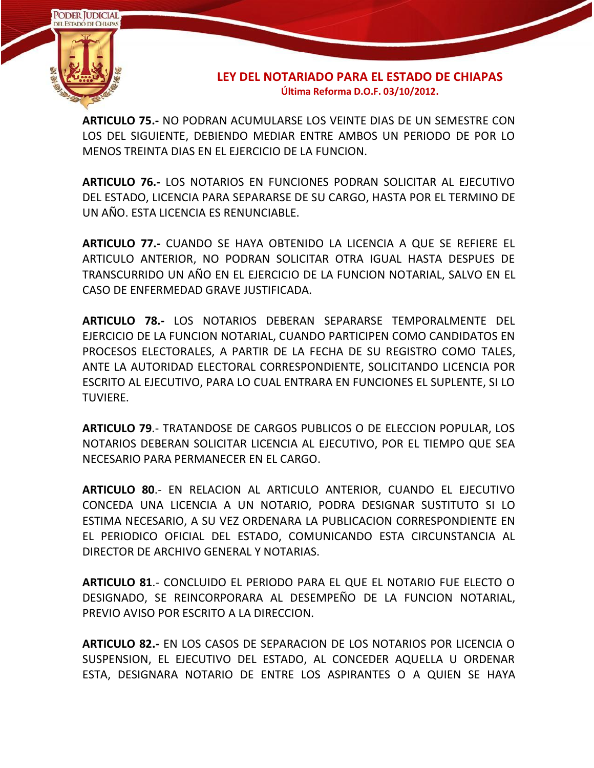

**ARTICULO 75.-** NO PODRAN ACUMULARSE LOS VEINTE DIAS DE UN SEMESTRE CON LOS DEL SIGUIENTE, DEBIENDO MEDIAR ENTRE AMBOS UN PERIODO DE POR LO MENOS TREINTA DIAS EN EL EJERCICIO DE LA FUNCION.

**ARTICULO 76.-** LOS NOTARIOS EN FUNCIONES PODRAN SOLICITAR AL EJECUTIVO DEL ESTADO, LICENCIA PARA SEPARARSE DE SU CARGO, HASTA POR EL TERMINO DE UN AÑO. ESTA LICENCIA ES RENUNCIABLE.

**ARTICULO 77.-** CUANDO SE HAYA OBTENIDO LA LICENCIA A QUE SE REFIERE EL ARTICULO ANTERIOR, NO PODRAN SOLICITAR OTRA IGUAL HASTA DESPUES DE TRANSCURRIDO UN AÑO EN EL EJERCICIO DE LA FUNCION NOTARIAL, SALVO EN EL CASO DE ENFERMEDAD GRAVE JUSTIFICADA.

**ARTICULO 78.-** LOS NOTARIOS DEBERAN SEPARARSE TEMPORALMENTE DEL EJERCICIO DE LA FUNCION NOTARIAL, CUANDO PARTICIPEN COMO CANDIDATOS EN PROCESOS ELECTORALES, A PARTIR DE LA FECHA DE SU REGISTRO COMO TALES, ANTE LA AUTORIDAD ELECTORAL CORRESPONDIENTE, SOLICITANDO LICENCIA POR ESCRITO AL EJECUTIVO, PARA LO CUAL ENTRARA EN FUNCIONES EL SUPLENTE, SI LO TUVIERE.

**ARTICULO 79**.- TRATANDOSE DE CARGOS PUBLICOS O DE ELECCION POPULAR, LOS NOTARIOS DEBERAN SOLICITAR LICENCIA AL EJECUTIVO, POR EL TIEMPO QUE SEA NECESARIO PARA PERMANECER EN EL CARGO.

**ARTICULO 80**.- EN RELACION AL ARTICULO ANTERIOR, CUANDO EL EJECUTIVO CONCEDA UNA LICENCIA A UN NOTARIO, PODRA DESIGNAR SUSTITUTO SI LO ESTIMA NECESARIO, A SU VEZ ORDENARA LA PUBLICACION CORRESPONDIENTE EN EL PERIODICO OFICIAL DEL ESTADO, COMUNICANDO ESTA CIRCUNSTANCIA AL DIRECTOR DE ARCHIVO GENERAL Y NOTARIAS.

**ARTICULO 81**.- CONCLUIDO EL PERIODO PARA EL QUE EL NOTARIO FUE ELECTO O DESIGNADO, SE REINCORPORARA AL DESEMPEÑO DE LA FUNCION NOTARIAL, PREVIO AVISO POR ESCRITO A LA DIRECCION.

**ARTICULO 82.-** EN LOS CASOS DE SEPARACION DE LOS NOTARIOS POR LICENCIA O SUSPENSION, EL EJECUTIVO DEL ESTADO, AL CONCEDER AQUELLA U ORDENAR ESTA, DESIGNARA NOTARIO DE ENTRE LOS ASPIRANTES O A QUIEN SE HAYA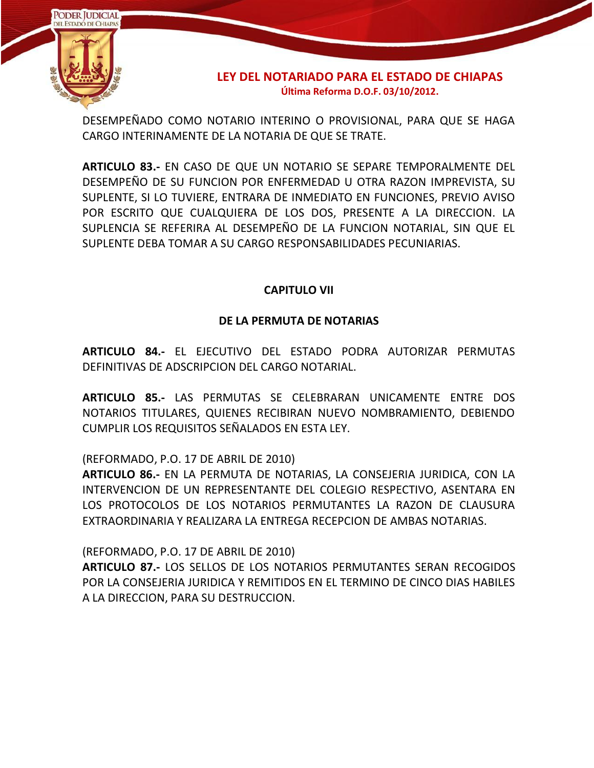

DESEMPEÑADO COMO NOTARIO INTERINO O PROVISIONAL, PARA QUE SE HAGA CARGO INTERINAMENTE DE LA NOTARIA DE QUE SE TRATE.

**ARTICULO 83.-** EN CASO DE QUE UN NOTARIO SE SEPARE TEMPORALMENTE DEL DESEMPEÑO DE SU FUNCION POR ENFERMEDAD U OTRA RAZON IMPREVISTA, SU SUPLENTE, SI LO TUVIERE, ENTRARA DE INMEDIATO EN FUNCIONES, PREVIO AVISO POR ESCRITO QUE CUALQUIERA DE LOS DOS, PRESENTE A LA DIRECCION. LA SUPLENCIA SE REFERIRA AL DESEMPEÑO DE LA FUNCION NOTARIAL, SIN QUE EL SUPLENTE DEBA TOMAR A SU CARGO RESPONSABILIDADES PECUNIARIAS.

### **CAPITULO VII**

# **DE LA PERMUTA DE NOTARIAS**

**ARTICULO 84.-** EL EJECUTIVO DEL ESTADO PODRA AUTORIZAR PERMUTAS DEFINITIVAS DE ADSCRIPCION DEL CARGO NOTARIAL.

**ARTICULO 85.-** LAS PERMUTAS SE CELEBRARAN UNICAMENTE ENTRE DOS NOTARIOS TITULARES, QUIENES RECIBIRAN NUEVO NOMBRAMIENTO, DEBIENDO CUMPLIR LOS REQUISITOS SEÑALADOS EN ESTA LEY.

(REFORMADO, P.O. 17 DE ABRIL DE 2010)

**ARTICULO 86.-** EN LA PERMUTA DE NOTARIAS, LA CONSEJERIA JURIDICA, CON LA INTERVENCION DE UN REPRESENTANTE DEL COLEGIO RESPECTIVO, ASENTARA EN LOS PROTOCOLOS DE LOS NOTARIOS PERMUTANTES LA RAZON DE CLAUSURA EXTRAORDINARIA Y REALIZARA LA ENTREGA RECEPCION DE AMBAS NOTARIAS.

(REFORMADO, P.O. 17 DE ABRIL DE 2010)

**ARTICULO 87.-** LOS SELLOS DE LOS NOTARIOS PERMUTANTES SERAN RECOGIDOS POR LA CONSEJERIA JURIDICA Y REMITIDOS EN EL TERMINO DE CINCO DIAS HABILES A LA DIRECCION, PARA SU DESTRUCCION.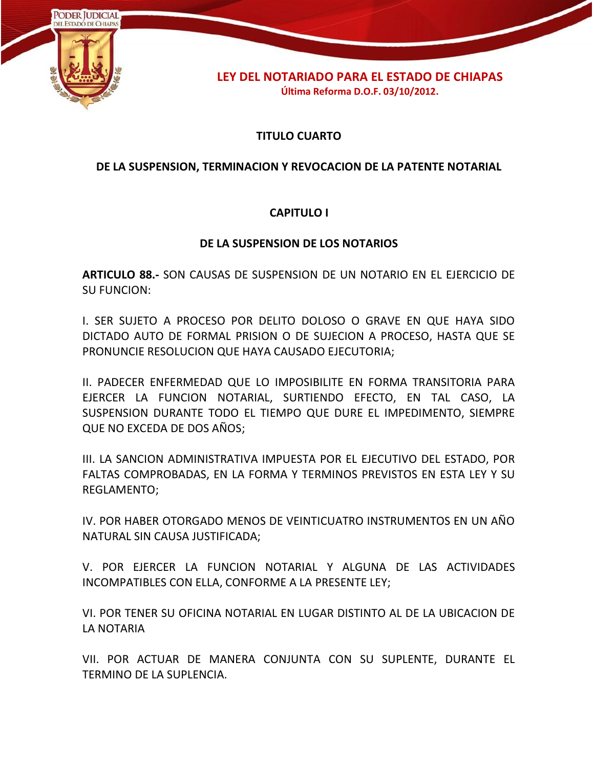

# **TITULO CUARTO**

# **DE LA SUSPENSION, TERMINACION Y REVOCACION DE LA PATENTE NOTARIAL**

# **CAPITULO I**

# **DE LA SUSPENSION DE LOS NOTARIOS**

**ARTICULO 88.-** SON CAUSAS DE SUSPENSION DE UN NOTARIO EN EL EJERCICIO DE SU FUNCION:

I. SER SUJETO A PROCESO POR DELITO DOLOSO O GRAVE EN QUE HAYA SIDO DICTADO AUTO DE FORMAL PRISION O DE SUJECION A PROCESO, HASTA QUE SE PRONUNCIE RESOLUCION QUE HAYA CAUSADO EJECUTORIA;

II. PADECER ENFERMEDAD QUE LO IMPOSIBILITE EN FORMA TRANSITORIA PARA EJERCER LA FUNCION NOTARIAL, SURTIENDO EFECTO, EN TAL CASO, LA SUSPENSION DURANTE TODO EL TIEMPO QUE DURE EL IMPEDIMENTO, SIEMPRE QUE NO EXCEDA DE DOS AÑOS;

III. LA SANCION ADMINISTRATIVA IMPUESTA POR EL EJECUTIVO DEL ESTADO, POR FALTAS COMPROBADAS, EN LA FORMA Y TERMINOS PREVISTOS EN ESTA LEY Y SU REGLAMENTO;

IV. POR HABER OTORGADO MENOS DE VEINTICUATRO INSTRUMENTOS EN UN AÑO NATURAL SIN CAUSA JUSTIFICADA;

V. POR EJERCER LA FUNCION NOTARIAL Y ALGUNA DE LAS ACTIVIDADES INCOMPATIBLES CON ELLA, CONFORME A LA PRESENTE LEY;

VI. POR TENER SU OFICINA NOTARIAL EN LUGAR DISTINTO AL DE LA UBICACION DE LA NOTARIA

VII. POR ACTUAR DE MANERA CONJUNTA CON SU SUPLENTE, DURANTE EL TERMINO DE LA SUPLENCIA.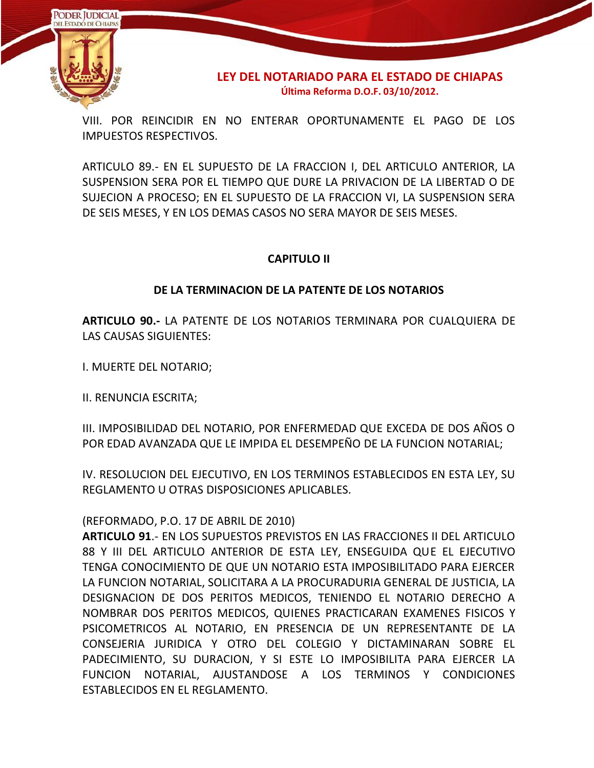

VIII. POR REINCIDIR EN NO ENTERAR OPORTUNAMENTE EL PAGO DE LOS IMPUESTOS RESPECTIVOS.

ARTICULO 89.- EN EL SUPUESTO DE LA FRACCION I, DEL ARTICULO ANTERIOR, LA SUSPENSION SERA POR EL TIEMPO QUE DURE LA PRIVACION DE LA LIBERTAD O DE SUJECION A PROCESO; EN EL SUPUESTO DE LA FRACCION VI, LA SUSPENSION SERA DE SEIS MESES, Y EN LOS DEMAS CASOS NO SERA MAYOR DE SEIS MESES.

# **CAPITULO II**

# **DE LA TERMINACION DE LA PATENTE DE LOS NOTARIOS**

**ARTICULO 90.-** LA PATENTE DE LOS NOTARIOS TERMINARA POR CUALQUIERA DE LAS CAUSAS SIGUIENTES:

I. MUERTE DEL NOTARIO;

II. RENUNCIA ESCRITA;

III. IMPOSIBILIDAD DEL NOTARIO, POR ENFERMEDAD QUE EXCEDA DE DOS AÑOS O POR EDAD AVANZADA QUE LE IMPIDA EL DESEMPEÑO DE LA FUNCION NOTARIAL;

IV. RESOLUCION DEL EJECUTIVO, EN LOS TERMINOS ESTABLECIDOS EN ESTA LEY, SU REGLAMENTO U OTRAS DISPOSICIONES APLICABLES.

# (REFORMADO, P.O. 17 DE ABRIL DE 2010)

**ARTICULO 91**.- EN LOS SUPUESTOS PREVISTOS EN LAS FRACCIONES II DEL ARTICULO 88 Y III DEL ARTICULO ANTERIOR DE ESTA LEY, ENSEGUIDA QUE EL EJECUTIVO TENGA CONOCIMIENTO DE QUE UN NOTARIO ESTA IMPOSIBILITADO PARA EJERCER LA FUNCION NOTARIAL, SOLICITARA A LA PROCURADURIA GENERAL DE JUSTICIA, LA DESIGNACION DE DOS PERITOS MEDICOS, TENIENDO EL NOTARIO DERECHO A NOMBRAR DOS PERITOS MEDICOS, QUIENES PRACTICARAN EXAMENES FISICOS Y PSICOMETRICOS AL NOTARIO, EN PRESENCIA DE UN REPRESENTANTE DE LA CONSEJERIA JURIDICA Y OTRO DEL COLEGIO Y DICTAMINARAN SOBRE EL PADECIMIENTO, SU DURACION, Y SI ESTE LO IMPOSIBILITA PARA EJERCER LA FUNCION NOTARIAL, AJUSTANDOSE A LOS TERMINOS Y CONDICIONES ESTABLECIDOS EN EL REGLAMENTO.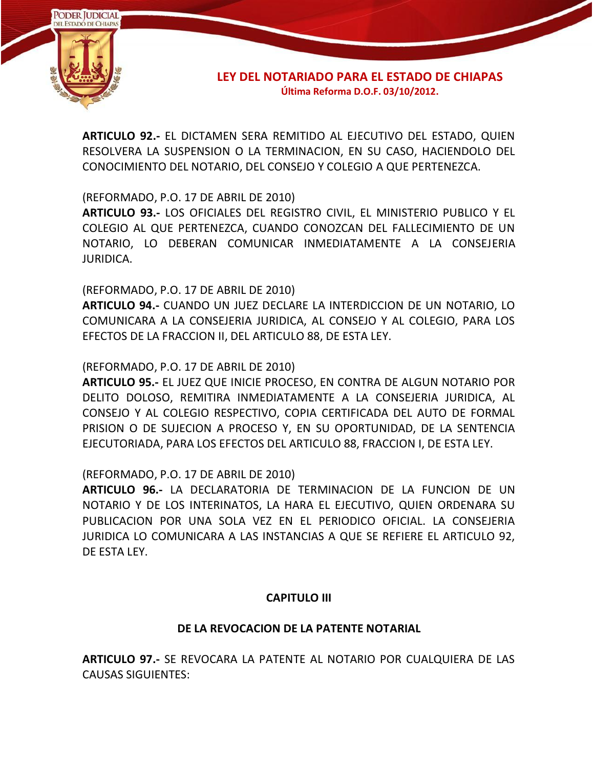

**ARTICULO 92.-** EL DICTAMEN SERA REMITIDO AL EJECUTIVO DEL ESTADO, QUIEN RESOLVERA LA SUSPENSION O LA TERMINACION, EN SU CASO, HACIENDOLO DEL CONOCIMIENTO DEL NOTARIO, DEL CONSEJO Y COLEGIO A QUE PERTENEZCA.

(REFORMADO, P.O. 17 DE ABRIL DE 2010)

**ARTICULO 93.-** LOS OFICIALES DEL REGISTRO CIVIL, EL MINISTERIO PUBLICO Y EL COLEGIO AL QUE PERTENEZCA, CUANDO CONOZCAN DEL FALLECIMIENTO DE UN NOTARIO, LO DEBERAN COMUNICAR INMEDIATAMENTE A LA CONSEJERIA JURIDICA.

(REFORMADO, P.O. 17 DE ABRIL DE 2010)

**ARTICULO 94.-** CUANDO UN JUEZ DECLARE LA INTERDICCION DE UN NOTARIO, LO COMUNICARA A LA CONSEJERIA JURIDICA, AL CONSEJO Y AL COLEGIO, PARA LOS EFECTOS DE LA FRACCION II, DEL ARTICULO 88, DE ESTA LEY.

(REFORMADO, P.O. 17 DE ABRIL DE 2010)

**ARTICULO 95.-** EL JUEZ QUE INICIE PROCESO, EN CONTRA DE ALGUN NOTARIO POR DELITO DOLOSO, REMITIRA INMEDIATAMENTE A LA CONSEJERIA JURIDICA, AL CONSEJO Y AL COLEGIO RESPECTIVO, COPIA CERTIFICADA DEL AUTO DE FORMAL PRISION O DE SUJECION A PROCESO Y, EN SU OPORTUNIDAD, DE LA SENTENCIA EJECUTORIADA, PARA LOS EFECTOS DEL ARTICULO 88, FRACCION I, DE ESTA LEY.

(REFORMADO, P.O. 17 DE ABRIL DE 2010)

**ARTICULO 96.-** LA DECLARATORIA DE TERMINACION DE LA FUNCION DE UN NOTARIO Y DE LOS INTERINATOS, LA HARA EL EJECUTIVO, QUIEN ORDENARA SU PUBLICACION POR UNA SOLA VEZ EN EL PERIODICO OFICIAL. LA CONSEJERIA JURIDICA LO COMUNICARA A LAS INSTANCIAS A QUE SE REFIERE EL ARTICULO 92, DE ESTA LEY.

# **CAPITULO III**

#### **DE LA REVOCACION DE LA PATENTE NOTARIAL**

**ARTICULO 97.-** SE REVOCARA LA PATENTE AL NOTARIO POR CUALQUIERA DE LAS CAUSAS SIGUIENTES: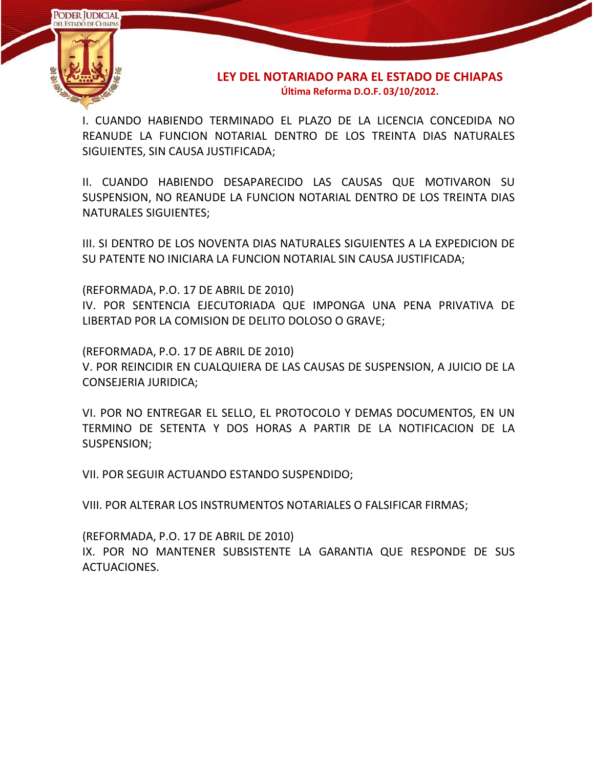

I. CUANDO HABIENDO TERMINADO EL PLAZO DE LA LICENCIA CONCEDIDA NO REANUDE LA FUNCION NOTARIAL DENTRO DE LOS TREINTA DIAS NATURALES SIGUIENTES, SIN CAUSA JUSTIFICADA;

II. CUANDO HABIENDO DESAPARECIDO LAS CAUSAS QUE MOTIVARON SU SUSPENSION, NO REANUDE LA FUNCION NOTARIAL DENTRO DE LOS TREINTA DIAS NATURALES SIGUIENTES;

III. SI DENTRO DE LOS NOVENTA DIAS NATURALES SIGUIENTES A LA EXPEDICION DE SU PATENTE NO INICIARA LA FUNCION NOTARIAL SIN CAUSA JUSTIFICADA;

(REFORMADA, P.O. 17 DE ABRIL DE 2010)

IV. POR SENTENCIA EJECUTORIADA QUE IMPONGA UNA PENA PRIVATIVA DE LIBERTAD POR LA COMISION DE DELITO DOLOSO O GRAVE;

(REFORMADA, P.O. 17 DE ABRIL DE 2010)

V. POR REINCIDIR EN CUALQUIERA DE LAS CAUSAS DE SUSPENSION, A JUICIO DE LA CONSEJERIA JURIDICA;

VI. POR NO ENTREGAR EL SELLO, EL PROTOCOLO Y DEMAS DOCUMENTOS, EN UN TERMINO DE SETENTA Y DOS HORAS A PARTIR DE LA NOTIFICACION DE LA SUSPENSION;

VII. POR SEGUIR ACTUANDO ESTANDO SUSPENDIDO;

VIII. POR ALTERAR LOS INSTRUMENTOS NOTARIALES O FALSIFICAR FIRMAS;

(REFORMADA, P.O. 17 DE ABRIL DE 2010) IX. POR NO MANTENER SUBSISTENTE LA GARANTIA QUE RESPONDE DE SUS ACTUACIONES.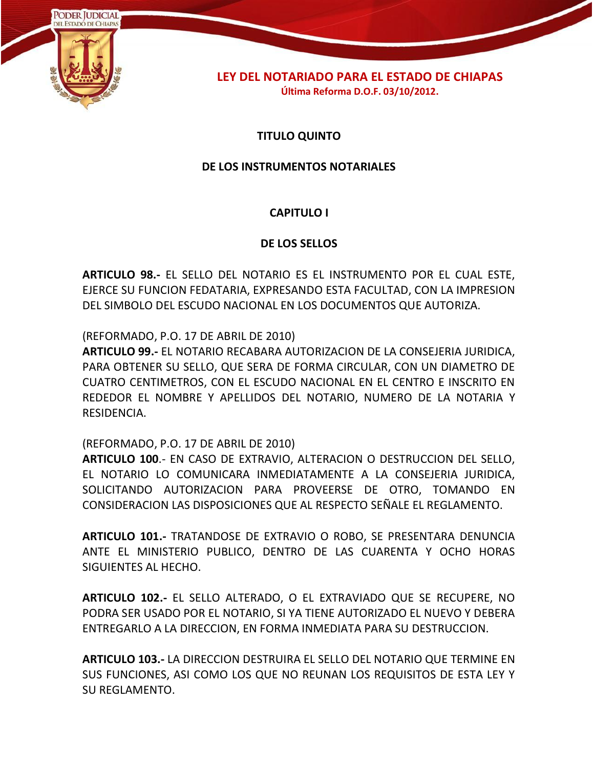

# **TITULO QUINTO**

### **DE LOS INSTRUMENTOS NOTARIALES**

# **CAPITULO I**

### **DE LOS SELLOS**

**ARTICULO 98.-** EL SELLO DEL NOTARIO ES EL INSTRUMENTO POR EL CUAL ESTE, EJERCE SU FUNCION FEDATARIA, EXPRESANDO ESTA FACULTAD, CON LA IMPRESION DEL SIMBOLO DEL ESCUDO NACIONAL EN LOS DOCUMENTOS QUE AUTORIZA.

(REFORMADO, P.O. 17 DE ABRIL DE 2010)

**ARTICULO 99.-** EL NOTARIO RECABARA AUTORIZACION DE LA CONSEJERIA JURIDICA, PARA OBTENER SU SELLO, QUE SERA DE FORMA CIRCULAR, CON UN DIAMETRO DE CUATRO CENTIMETROS, CON EL ESCUDO NACIONAL EN EL CENTRO E INSCRITO EN REDEDOR EL NOMBRE Y APELLIDOS DEL NOTARIO, NUMERO DE LA NOTARIA Y RESIDENCIA.

(REFORMADO, P.O. 17 DE ABRIL DE 2010)

**ARTICULO 100**.- EN CASO DE EXTRAVIO, ALTERACION O DESTRUCCION DEL SELLO, EL NOTARIO LO COMUNICARA INMEDIATAMENTE A LA CONSEJERIA JURIDICA, SOLICITANDO AUTORIZACION PARA PROVEERSE DE OTRO, TOMANDO EN CONSIDERACION LAS DISPOSICIONES QUE AL RESPECTO SEÑALE EL REGLAMENTO.

**ARTICULO 101.-** TRATANDOSE DE EXTRAVIO O ROBO, SE PRESENTARA DENUNCIA ANTE EL MINISTERIO PUBLICO, DENTRO DE LAS CUARENTA Y OCHO HORAS SIGUIENTES AL HECHO.

**ARTICULO 102.-** EL SELLO ALTERADO, O EL EXTRAVIADO QUE SE RECUPERE, NO PODRA SER USADO POR EL NOTARIO, SI YA TIENE AUTORIZADO EL NUEVO Y DEBERA ENTREGARLO A LA DIRECCION, EN FORMA INMEDIATA PARA SU DESTRUCCION.

**ARTICULO 103.-** LA DIRECCION DESTRUIRA EL SELLO DEL NOTARIO QUE TERMINE EN SUS FUNCIONES, ASI COMO LOS QUE NO REUNAN LOS REQUISITOS DE ESTA LEY Y SU REGLAMENTO.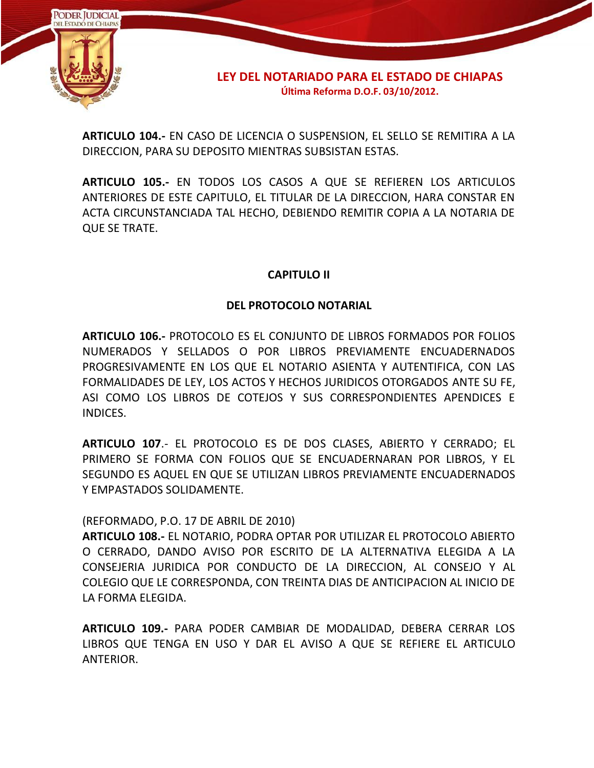

**ARTICULO 104.-** EN CASO DE LICENCIA O SUSPENSION, EL SELLO SE REMITIRA A LA DIRECCION, PARA SU DEPOSITO MIENTRAS SUBSISTAN ESTAS.

**ARTICULO 105.-** EN TODOS LOS CASOS A QUE SE REFIEREN LOS ARTICULOS ANTERIORES DE ESTE CAPITULO, EL TITULAR DE LA DIRECCION, HARA CONSTAR EN ACTA CIRCUNSTANCIADA TAL HECHO, DEBIENDO REMITIR COPIA A LA NOTARIA DE QUE SE TRATE.

# **CAPITULO II**

# **DEL PROTOCOLO NOTARIAL**

**ARTICULO 106.-** PROTOCOLO ES EL CONJUNTO DE LIBROS FORMADOS POR FOLIOS NUMERADOS Y SELLADOS O POR LIBROS PREVIAMENTE ENCUADERNADOS PROGRESIVAMENTE EN LOS QUE EL NOTARIO ASIENTA Y AUTENTIFICA, CON LAS FORMALIDADES DE LEY, LOS ACTOS Y HECHOS JURIDICOS OTORGADOS ANTE SU FE, ASI COMO LOS LIBROS DE COTEJOS Y SUS CORRESPONDIENTES APENDICES E INDICES.

**ARTICULO 107**.- EL PROTOCOLO ES DE DOS CLASES, ABIERTO Y CERRADO; EL PRIMERO SE FORMA CON FOLIOS QUE SE ENCUADERNARAN POR LIBROS, Y EL SEGUNDO ES AQUEL EN QUE SE UTILIZAN LIBROS PREVIAMENTE ENCUADERNADOS Y EMPASTADOS SOLIDAMENTE.

#### (REFORMADO, P.O. 17 DE ABRIL DE 2010)

**ARTICULO 108.-** EL NOTARIO, PODRA OPTAR POR UTILIZAR EL PROTOCOLO ABIERTO O CERRADO, DANDO AVISO POR ESCRITO DE LA ALTERNATIVA ELEGIDA A LA CONSEJERIA JURIDICA POR CONDUCTO DE LA DIRECCION, AL CONSEJO Y AL COLEGIO QUE LE CORRESPONDA, CON TREINTA DIAS DE ANTICIPACION AL INICIO DE LA FORMA ELEGIDA.

**ARTICULO 109.-** PARA PODER CAMBIAR DE MODALIDAD, DEBERA CERRAR LOS LIBROS QUE TENGA EN USO Y DAR EL AVISO A QUE SE REFIERE EL ARTICULO ANTERIOR.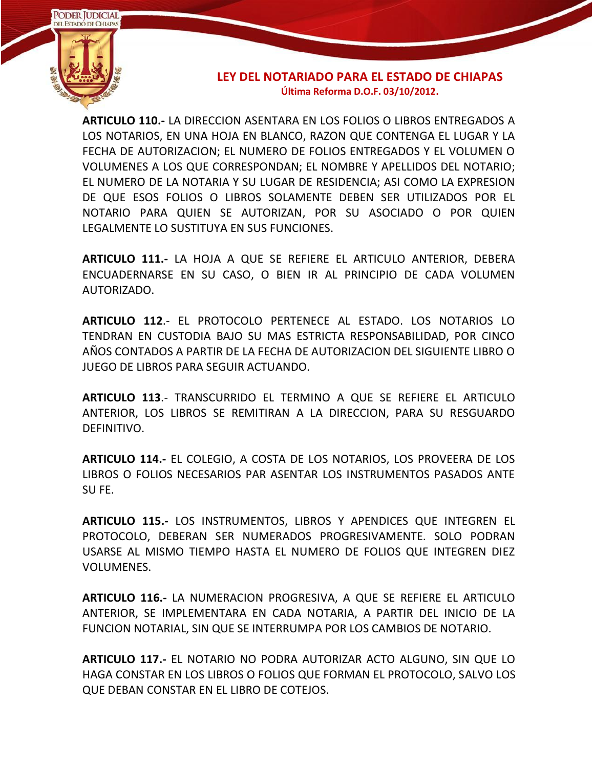

**ARTICULO 110.-** LA DIRECCION ASENTARA EN LOS FOLIOS O LIBROS ENTREGADOS A LOS NOTARIOS, EN UNA HOJA EN BLANCO, RAZON QUE CONTENGA EL LUGAR Y LA FECHA DE AUTORIZACION; EL NUMERO DE FOLIOS ENTREGADOS Y EL VOLUMEN O VOLUMENES A LOS QUE CORRESPONDAN; EL NOMBRE Y APELLIDOS DEL NOTARIO; EL NUMERO DE LA NOTARIA Y SU LUGAR DE RESIDENCIA; ASI COMO LA EXPRESION DE QUE ESOS FOLIOS O LIBROS SOLAMENTE DEBEN SER UTILIZADOS POR EL NOTARIO PARA QUIEN SE AUTORIZAN, POR SU ASOCIADO O POR QUIEN LEGALMENTE LO SUSTITUYA EN SUS FUNCIONES.

**ARTICULO 111.-** LA HOJA A QUE SE REFIERE EL ARTICULO ANTERIOR, DEBERA ENCUADERNARSE EN SU CASO, O BIEN IR AL PRINCIPIO DE CADA VOLUMEN AUTORIZADO.

**ARTICULO 112**.- EL PROTOCOLO PERTENECE AL ESTADO. LOS NOTARIOS LO TENDRAN EN CUSTODIA BAJO SU MAS ESTRICTA RESPONSABILIDAD, POR CINCO AÑOS CONTADOS A PARTIR DE LA FECHA DE AUTORIZACION DEL SIGUIENTE LIBRO O JUEGO DE LIBROS PARA SEGUIR ACTUANDO.

**ARTICULO 113**.- TRANSCURRIDO EL TERMINO A QUE SE REFIERE EL ARTICULO ANTERIOR, LOS LIBROS SE REMITIRAN A LA DIRECCION, PARA SU RESGUARDO DEFINITIVO.

**ARTICULO 114.-** EL COLEGIO, A COSTA DE LOS NOTARIOS, LOS PROVEERA DE LOS LIBROS O FOLIOS NECESARIOS PAR ASENTAR LOS INSTRUMENTOS PASADOS ANTE SU FE.

**ARTICULO 115.-** LOS INSTRUMENTOS, LIBROS Y APENDICES QUE INTEGREN EL PROTOCOLO, DEBERAN SER NUMERADOS PROGRESIVAMENTE. SOLO PODRAN USARSE AL MISMO TIEMPO HASTA EL NUMERO DE FOLIOS QUE INTEGREN DIEZ VOLUMENES.

**ARTICULO 116.-** LA NUMERACION PROGRESIVA, A QUE SE REFIERE EL ARTICULO ANTERIOR, SE IMPLEMENTARA EN CADA NOTARIA, A PARTIR DEL INICIO DE LA FUNCION NOTARIAL, SIN QUE SE INTERRUMPA POR LOS CAMBIOS DE NOTARIO.

**ARTICULO 117.-** EL NOTARIO NO PODRA AUTORIZAR ACTO ALGUNO, SIN QUE LO HAGA CONSTAR EN LOS LIBROS O FOLIOS QUE FORMAN EL PROTOCOLO, SALVO LOS QUE DEBAN CONSTAR EN EL LIBRO DE COTEJOS.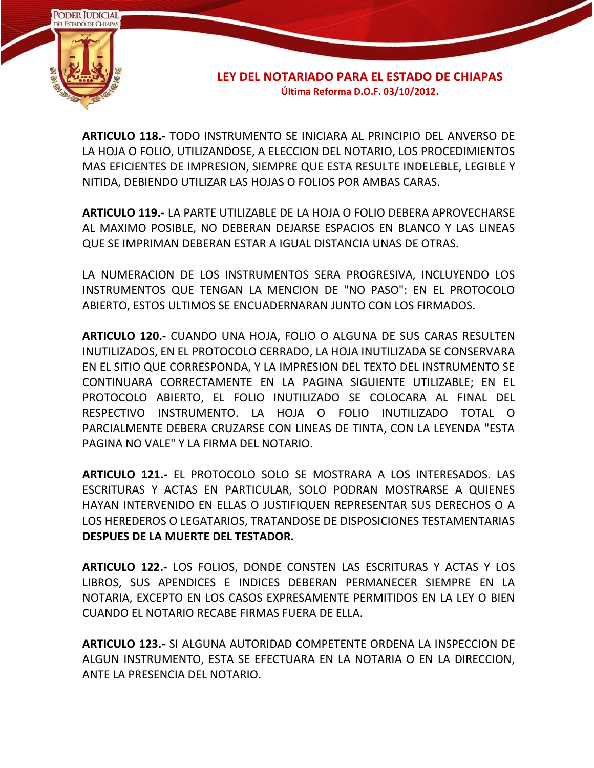

**ARTICULO 118.-** TODO INSTRUMENTO SE INICIARA AL PRINCIPIO DEL ANVERSO DE LA HOJA O FOLIO, UTILIZANDOSE, A ELECCION DEL NOTARIO, LOS PROCEDIMIENTOS MAS EFICIENTES DE IMPRESION, SIEMPRE QUE ESTA RESULTE INDELEBLE, LEGIBLE Y NITIDA, DEBIENDO UTILIZAR LAS HOJAS O FOLIOS POR AMBAS CARAS.

**ARTICULO 119.-** LA PARTE UTILIZABLE DE LA HOJA O FOLIO DEBERA APROVECHARSE AL MAXIMO POSIBLE, NO DEBERAN DEJARSE ESPACIOS EN BLANCO Y LAS LINEAS QUE SE IMPRIMAN DEBERAN ESTAR A IGUAL DISTANCIA UNAS DE OTRAS.

LA NUMERACION DE LOS INSTRUMENTOS SERA PROGRESIVA, INCLUYENDO LOS INSTRUMENTOS QUE TENGAN LA MENCION DE "NO PASO": EN EL PROTOCOLO ABIERTO, ESTOS ULTIMOS SE ENCUADERNARAN JUNTO CON LOS FIRMADOS.

**ARTICULO 120.-** CUANDO UNA HOJA, FOLIO O ALGUNA DE SUS CARAS RESULTEN INUTILIZADOS, EN EL PROTOCOLO CERRADO, LA HOJA INUTILIZADA SE CONSERVARA EN EL SITIO QUE CORRESPONDA, Y LA IMPRESION DEL TEXTO DEL INSTRUMENTO SE CONTINUARA CORRECTAMENTE EN LA PAGINA SIGUIENTE UTILIZABLE; EN EL PROTOCOLO ABIERTO, EL FOLIO INUTILIZADO SE COLOCARA AL FINAL DEL RESPECTIVO INSTRUMENTO. LA HOJA O FOLIO INUTILIZADO TOTAL O PARCIALMENTE DEBERA CRUZARSE CON LINEAS DE TINTA, CON LA LEYENDA "ESTA PAGINA NO VALE" Y LA FIRMA DEL NOTARIO.

**ARTICULO 121.-** EL PROTOCOLO SOLO SE MOSTRARA A LOS INTERESADOS. LAS ESCRITURAS Y ACTAS EN PARTICULAR, SOLO PODRAN MOSTRARSE A QUIENES HAYAN INTERVENIDO EN ELLAS O JUSTIFIQUEN REPRESENTAR SUS DERECHOS O A LOS HEREDEROS O LEGATARIOS, TRATANDOSE DE DISPOSICIONES TESTAMENTARIAS **DESPUES DE LA MUERTE DEL TESTADOR.**

**ARTICULO 122.-** LOS FOLIOS, DONDE CONSTEN LAS ESCRITURAS Y ACTAS Y LOS LIBROS, SUS APENDICES E INDICES DEBERAN PERMANECER SIEMPRE EN LA NOTARIA, EXCEPTO EN LOS CASOS EXPRESAMENTE PERMITIDOS EN LA LEY O BIEN CUANDO EL NOTARIO RECABE FIRMAS FUERA DE ELLA.

**ARTICULO 123.-** SI ALGUNA AUTORIDAD COMPETENTE ORDENA LA INSPECCION DE ALGUN INSTRUMENTO, ESTA SE EFECTUARA EN LA NOTARIA O EN LA DIRECCION, ANTE LA PRESENCIA DEL NOTARIO.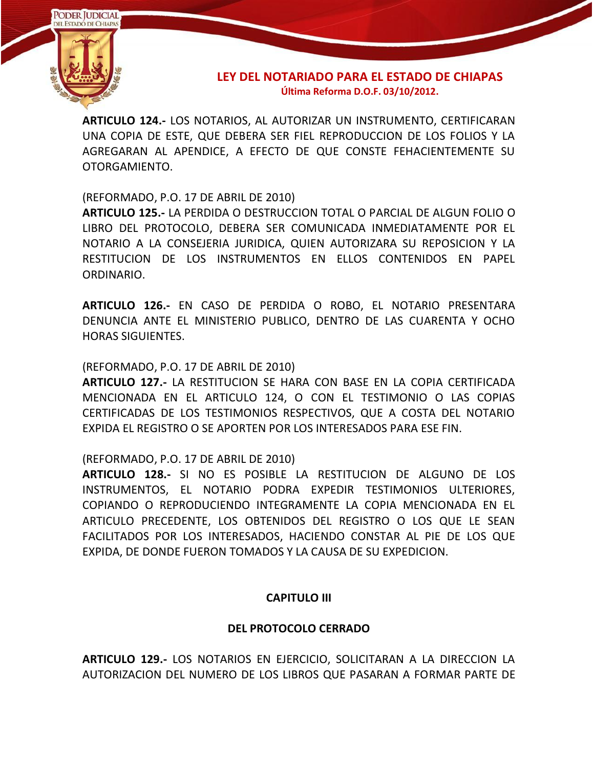

**ARTICULO 124.-** LOS NOTARIOS, AL AUTORIZAR UN INSTRUMENTO, CERTIFICARAN UNA COPIA DE ESTE, QUE DEBERA SER FIEL REPRODUCCION DE LOS FOLIOS Y LA AGREGARAN AL APENDICE, A EFECTO DE QUE CONSTE FEHACIENTEMENTE SU OTORGAMIENTO.

(REFORMADO, P.O. 17 DE ABRIL DE 2010)

**ARTICULO 125.-** LA PERDIDA O DESTRUCCION TOTAL O PARCIAL DE ALGUN FOLIO O LIBRO DEL PROTOCOLO, DEBERA SER COMUNICADA INMEDIATAMENTE POR EL NOTARIO A LA CONSEJERIA JURIDICA, QUIEN AUTORIZARA SU REPOSICION Y LA RESTITUCION DE LOS INSTRUMENTOS EN ELLOS CONTENIDOS EN PAPEL ORDINARIO.

**ARTICULO 126.-** EN CASO DE PERDIDA O ROBO, EL NOTARIO PRESENTARA DENUNCIA ANTE EL MINISTERIO PUBLICO, DENTRO DE LAS CUARENTA Y OCHO HORAS SIGUIENTES.

### (REFORMADO, P.O. 17 DE ABRIL DE 2010)

**ARTICULO 127.-** LA RESTITUCION SE HARA CON BASE EN LA COPIA CERTIFICADA MENCIONADA EN EL ARTICULO 124, O CON EL TESTIMONIO O LAS COPIAS CERTIFICADAS DE LOS TESTIMONIOS RESPECTIVOS, QUE A COSTA DEL NOTARIO EXPIDA EL REGISTRO O SE APORTEN POR LOS INTERESADOS PARA ESE FIN.

(REFORMADO, P.O. 17 DE ABRIL DE 2010)

**ARTICULO 128.-** SI NO ES POSIBLE LA RESTITUCION DE ALGUNO DE LOS INSTRUMENTOS, EL NOTARIO PODRA EXPEDIR TESTIMONIOS ULTERIORES, COPIANDO O REPRODUCIENDO INTEGRAMENTE LA COPIA MENCIONADA EN EL ARTICULO PRECEDENTE, LOS OBTENIDOS DEL REGISTRO O LOS QUE LE SEAN FACILITADOS POR LOS INTERESADOS, HACIENDO CONSTAR AL PIE DE LOS QUE EXPIDA, DE DONDE FUERON TOMADOS Y LA CAUSA DE SU EXPEDICION.

# **CAPITULO III**

#### **DEL PROTOCOLO CERRADO**

**ARTICULO 129.-** LOS NOTARIOS EN EJERCICIO, SOLICITARAN A LA DIRECCION LA AUTORIZACION DEL NUMERO DE LOS LIBROS QUE PASARAN A FORMAR PARTE DE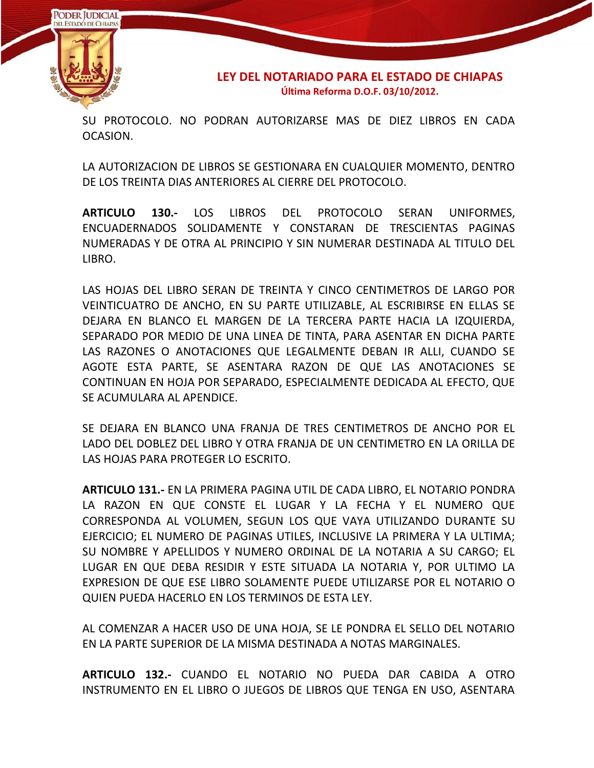

SU PROTOCOLO. NO PODRAN AUTORIZARSE MAS DE DIEZ LIBROS EN CADA OCASION.

LA AUTORIZACION DE LIBROS SE GESTIONARA EN CUALQUIER MOMENTO, DENTRO DE LOS TREINTA DIAS ANTERIORES AL CIERRE DEL PROTOCOLO.

**ARTICULO 130.-** LOS LIBROS DEL PROTOCOLO SERAN UNIFORMES, ENCUADERNADOS SOLIDAMENTE Y CONSTARAN DE TRESCIENTAS PAGINAS NUMERADAS Y DE OTRA AL PRINCIPIO Y SIN NUMERAR DESTINADA AL TITULO DEL LIBRO.

LAS HOJAS DEL LIBRO SERAN DE TREINTA Y CINCO CENTIMETROS DE LARGO POR VEINTICUATRO DE ANCHO, EN SU PARTE UTILIZABLE, AL ESCRIBIRSE EN ELLAS SE DEJARA EN BLANCO EL MARGEN DE LA TERCERA PARTE HACIA LA IZQUIERDA, SEPARADO POR MEDIO DE UNA LINEA DE TINTA, PARA ASENTAR EN DICHA PARTE LAS RAZONES O ANOTACIONES QUE LEGALMENTE DEBAN IR ALLI, CUANDO SE AGOTE ESTA PARTE, SE ASENTARA RAZON DE QUE LAS ANOTACIONES SE CONTINUAN EN HOJA POR SEPARADO, ESPECIALMENTE DEDICADA AL EFECTO, QUE SE ACUMULARA AL APENDICE.

SE DEJARA EN BLANCO UNA FRANJA DE TRES CENTIMETROS DE ANCHO POR EL LADO DEL DOBLEZ DEL LIBRO Y OTRA FRANJA DE UN CENTIMETRO EN LA ORILLA DE LAS HOJAS PARA PROTEGER LO ESCRITO.

**ARTICULO 131.-** EN LA PRIMERA PAGINA UTIL DE CADA LIBRO, EL NOTARIO PONDRA LA RAZON EN QUE CONSTE EL LUGAR Y LA FECHA Y EL NUMERO QUE CORRESPONDA AL VOLUMEN, SEGUN LOS QUE VAYA UTILIZANDO DURANTE SU EJERCICIO; EL NUMERO DE PAGINAS UTILES, INCLUSIVE LA PRIMERA Y LA ULTIMA; SU NOMBRE Y APELLIDOS Y NUMERO ORDINAL DE LA NOTARIA A SU CARGO; EL LUGAR EN QUE DEBA RESIDIR Y ESTE SITUADA LA NOTARIA Y, POR ULTIMO LA EXPRESION DE QUE ESE LIBRO SOLAMENTE PUEDE UTILIZARSE POR EL NOTARIO O QUIEN PUEDA HACERLO EN LOS TERMINOS DE ESTA LEY.

AL COMENZAR A HACER USO DE UNA HOJA, SE LE PONDRA EL SELLO DEL NOTARIO EN LA PARTE SUPERIOR DE LA MISMA DESTINADA A NOTAS MARGINALES.

**ARTICULO 132.-** CUANDO EL NOTARIO NO PUEDA DAR CABIDA A OTRO INSTRUMENTO EN EL LIBRO O JUEGOS DE LIBROS QUE TENGA EN USO, ASENTARA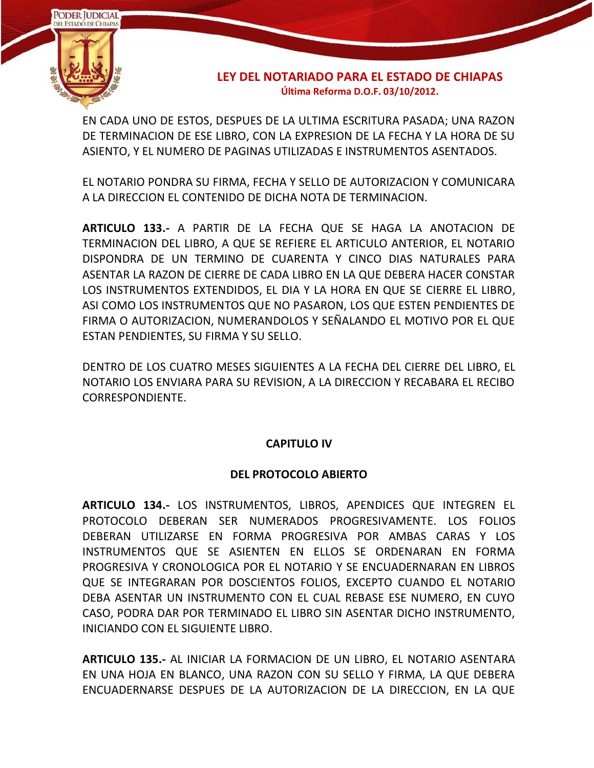

EN CADA UNO DE ESTOS, DESPUES DE LA ULTIMA ESCRITURA PASADA; UNA RAZON DE TERMINACION DE ESE LIBRO, CON LA EXPRESION DE LA FECHA Y LA HORA DE SU ASIENTO, Y EL NUMERO DE PAGINAS UTILIZADAS E INSTRUMENTOS ASENTADOS.

EL NOTARIO PONDRA SU FIRMA, FECHA Y SELLO DE AUTORIZACION Y COMUNICARA A LA DIRECCION EL CONTENIDO DE DICHA NOTA DE TERMINACION.

**ARTICULO 133.-** A PARTIR DE LA FECHA QUE SE HAGA LA ANOTACION DE TERMINACION DEL LIBRO, A QUE SE REFIERE EL ARTICULO ANTERIOR, EL NOTARIO DISPONDRA DE UN TERMINO DE CUARENTA Y CINCO DIAS NATURALES PARA ASENTAR LA RAZON DE CIERRE DE CADA LIBRO EN LA QUE DEBERA HACER CONSTAR LOS INSTRUMENTOS EXTENDIDOS, EL DIA Y LA HORA EN QUE SE CIERRE EL LIBRO, ASI COMO LOS INSTRUMENTOS QUE NO PASARON, LOS QUE ESTEN PENDIENTES DE FIRMA O AUTORIZACION, NUMERANDOLOS Y SEÑALANDO EL MOTIVO POR EL QUE ESTAN PENDIENTES, SU FIRMA Y SU SELLO.

DENTRO DE LOS CUATRO MESES SIGUIENTES A LA FECHA DEL CIERRE DEL LIBRO, EL NOTARIO LOS ENVIARA PARA SU REVISION, A LA DIRECCION Y RECABARA EL RECIBO CORRESPONDIENTE.

# **CAPITULO IV**

# **DEL PROTOCOLO ABIERTO**

**ARTICULO 134.-** LOS INSTRUMENTOS, LIBROS, APENDICES QUE INTEGREN EL PROTOCOLO DEBERAN SER NUMERADOS PROGRESIVAMENTE. LOS FOLIOS DEBERAN UTILIZARSE EN FORMA PROGRESIVA POR AMBAS CARAS Y LOS INSTRUMENTOS QUE SE ASIENTEN EN ELLOS SE ORDENARAN EN FORMA PROGRESIVA Y CRONOLOGICA POR EL NOTARIO Y SE ENCUADERNARAN EN LIBROS QUE SE INTEGRARAN POR DOSCIENTOS FOLIOS, EXCEPTO CUANDO EL NOTARIO DEBA ASENTAR UN INSTRUMENTO CON EL CUAL REBASE ESE NUMERO, EN CUYO CASO, PODRA DAR POR TERMINADO EL LIBRO SIN ASENTAR DICHO INSTRUMENTO, INICIANDO CON EL SIGUIENTE LIBRO.

**ARTICULO 135.-** AL INICIAR LA FORMACION DE UN LIBRO, EL NOTARIO ASENTARA EN UNA HOJA EN BLANCO, UNA RAZON CON SU SELLO Y FIRMA, LA QUE DEBERA ENCUADERNARSE DESPUES DE LA AUTORIZACION DE LA DIRECCION, EN LA QUE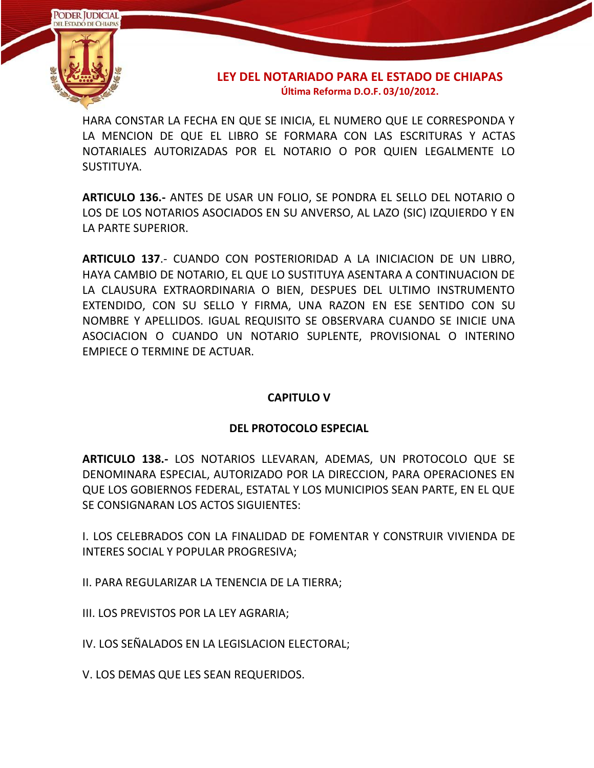

HARA CONSTAR LA FECHA EN QUE SE INICIA, EL NUMERO QUE LE CORRESPONDA Y LA MENCION DE QUE EL LIBRO SE FORMARA CON LAS ESCRITURAS Y ACTAS NOTARIALES AUTORIZADAS POR EL NOTARIO O POR QUIEN LEGALMENTE LO SUSTITUYA.

**ARTICULO 136.-** ANTES DE USAR UN FOLIO, SE PONDRA EL SELLO DEL NOTARIO O LOS DE LOS NOTARIOS ASOCIADOS EN SU ANVERSO, AL LAZO (SIC) IZQUIERDO Y EN LA PARTE SUPERIOR.

**ARTICULO 137**.- CUANDO CON POSTERIORIDAD A LA INICIACION DE UN LIBRO, HAYA CAMBIO DE NOTARIO, EL QUE LO SUSTITUYA ASENTARA A CONTINUACION DE LA CLAUSURA EXTRAORDINARIA O BIEN, DESPUES DEL ULTIMO INSTRUMENTO EXTENDIDO, CON SU SELLO Y FIRMA, UNA RAZON EN ESE SENTIDO CON SU NOMBRE Y APELLIDOS. IGUAL REQUISITO SE OBSERVARA CUANDO SE INICIE UNA ASOCIACION O CUANDO UN NOTARIO SUPLENTE, PROVISIONAL O INTERINO EMPIECE O TERMINE DE ACTUAR.

# **CAPITULO V**

# **DEL PROTOCOLO ESPECIAL**

**ARTICULO 138.-** LOS NOTARIOS LLEVARAN, ADEMAS, UN PROTOCOLO QUE SE DENOMINARA ESPECIAL, AUTORIZADO POR LA DIRECCION, PARA OPERACIONES EN QUE LOS GOBIERNOS FEDERAL, ESTATAL Y LOS MUNICIPIOS SEAN PARTE, EN EL QUE SE CONSIGNARAN LOS ACTOS SIGUIENTES:

I. LOS CELEBRADOS CON LA FINALIDAD DE FOMENTAR Y CONSTRUIR VIVIENDA DE INTERES SOCIAL Y POPULAR PROGRESIVA;

II. PARA REGULARIZAR LA TENENCIA DE LA TIERRA;

III. LOS PREVISTOS POR LA LEY AGRARIA;

IV. LOS SEÑALADOS EN LA LEGISLACION ELECTORAL;

V. LOS DEMAS QUE LES SEAN REQUERIDOS.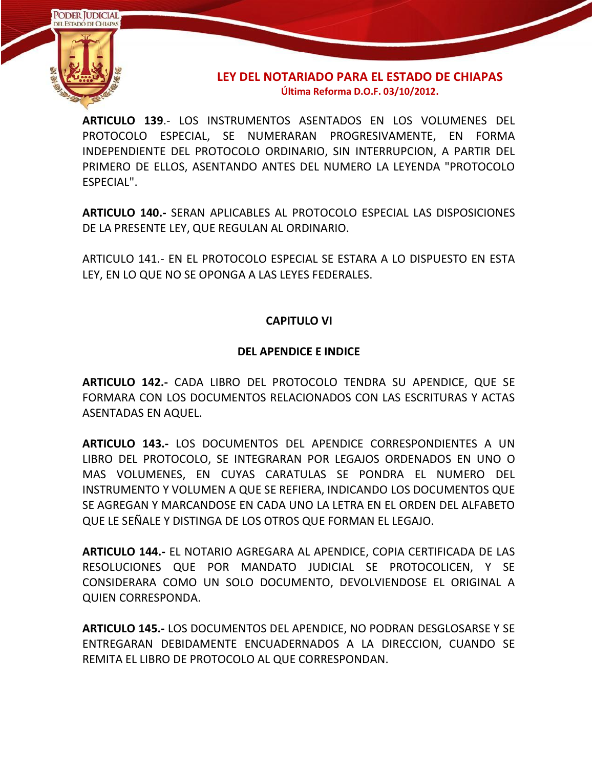

**ARTICULO 139**.- LOS INSTRUMENTOS ASENTADOS EN LOS VOLUMENES DEL PROTOCOLO ESPECIAL, SE NUMERARAN PROGRESIVAMENTE, EN FORMA INDEPENDIENTE DEL PROTOCOLO ORDINARIO, SIN INTERRUPCION, A PARTIR DEL PRIMERO DE ELLOS, ASENTANDO ANTES DEL NUMERO LA LEYENDA "PROTOCOLO ESPECIAL".

**ARTICULO 140.-** SERAN APLICABLES AL PROTOCOLO ESPECIAL LAS DISPOSICIONES DE LA PRESENTE LEY, QUE REGULAN AL ORDINARIO.

ARTICULO 141.- EN EL PROTOCOLO ESPECIAL SE ESTARA A LO DISPUESTO EN ESTA LEY, EN LO QUE NO SE OPONGA A LAS LEYES FEDERALES.

# **CAPITULO VI**

### **DEL APENDICE E INDICE**

**ARTICULO 142.-** CADA LIBRO DEL PROTOCOLO TENDRA SU APENDICE, QUE SE FORMARA CON LOS DOCUMENTOS RELACIONADOS CON LAS ESCRITURAS Y ACTAS ASENTADAS EN AQUEL.

**ARTICULO 143.-** LOS DOCUMENTOS DEL APENDICE CORRESPONDIENTES A UN LIBRO DEL PROTOCOLO, SE INTEGRARAN POR LEGAJOS ORDENADOS EN UNO O MAS VOLUMENES, EN CUYAS CARATULAS SE PONDRA EL NUMERO DEL INSTRUMENTO Y VOLUMEN A QUE SE REFIERA, INDICANDO LOS DOCUMENTOS QUE SE AGREGAN Y MARCANDOSE EN CADA UNO LA LETRA EN EL ORDEN DEL ALFABETO QUE LE SEÑALE Y DISTINGA DE LOS OTROS QUE FORMAN EL LEGAJO.

**ARTICULO 144.-** EL NOTARIO AGREGARA AL APENDICE, COPIA CERTIFICADA DE LAS RESOLUCIONES QUE POR MANDATO JUDICIAL SE PROTOCOLICEN, Y SE CONSIDERARA COMO UN SOLO DOCUMENTO, DEVOLVIENDOSE EL ORIGINAL A QUIEN CORRESPONDA.

**ARTICULO 145.-** LOS DOCUMENTOS DEL APENDICE, NO PODRAN DESGLOSARSE Y SE ENTREGARAN DEBIDAMENTE ENCUADERNADOS A LA DIRECCION, CUANDO SE REMITA EL LIBRO DE PROTOCOLO AL QUE CORRESPONDAN.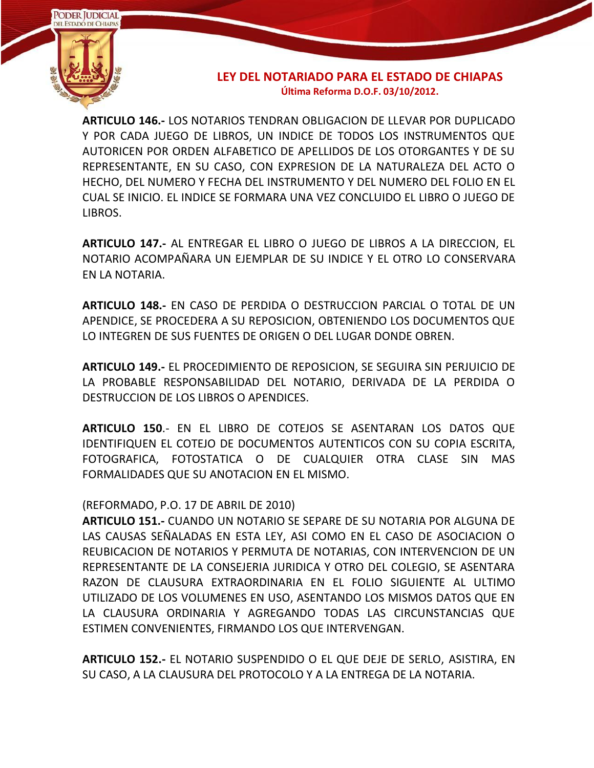

**ARTICULO 146.-** LOS NOTARIOS TENDRAN OBLIGACION DE LLEVAR POR DUPLICADO Y POR CADA JUEGO DE LIBROS, UN INDICE DE TODOS LOS INSTRUMENTOS QUE AUTORICEN POR ORDEN ALFABETICO DE APELLIDOS DE LOS OTORGANTES Y DE SU REPRESENTANTE, EN SU CASO, CON EXPRESION DE LA NATURALEZA DEL ACTO O HECHO, DEL NUMERO Y FECHA DEL INSTRUMENTO Y DEL NUMERO DEL FOLIO EN EL CUAL SE INICIO. EL INDICE SE FORMARA UNA VEZ CONCLUIDO EL LIBRO O JUEGO DE LIBROS.

**ARTICULO 147.-** AL ENTREGAR EL LIBRO O JUEGO DE LIBROS A LA DIRECCION, EL NOTARIO ACOMPAÑARA UN EJEMPLAR DE SU INDICE Y EL OTRO LO CONSERVARA EN LA NOTARIA.

**ARTICULO 148.-** EN CASO DE PERDIDA O DESTRUCCION PARCIAL O TOTAL DE UN APENDICE, SE PROCEDERA A SU REPOSICION, OBTENIENDO LOS DOCUMENTOS QUE LO INTEGREN DE SUS FUENTES DE ORIGEN O DEL LUGAR DONDE OBREN.

**ARTICULO 149.-** EL PROCEDIMIENTO DE REPOSICION, SE SEGUIRA SIN PERJUICIO DE LA PROBABLE RESPONSABILIDAD DEL NOTARIO, DERIVADA DE LA PERDIDA O DESTRUCCION DE LOS LIBROS O APENDICES.

**ARTICULO 150**.- EN EL LIBRO DE COTEJOS SE ASENTARAN LOS DATOS QUE IDENTIFIQUEN EL COTEJO DE DOCUMENTOS AUTENTICOS CON SU COPIA ESCRITA, FOTOGRAFICA, FOTOSTATICA O DE CUALQUIER OTRA CLASE SIN MAS FORMALIDADES QUE SU ANOTACION EN EL MISMO.

#### (REFORMADO, P.O. 17 DE ABRIL DE 2010)

**ARTICULO 151.-** CUANDO UN NOTARIO SE SEPARE DE SU NOTARIA POR ALGUNA DE LAS CAUSAS SEÑALADAS EN ESTA LEY, ASI COMO EN EL CASO DE ASOCIACION O REUBICACION DE NOTARIOS Y PERMUTA DE NOTARIAS, CON INTERVENCION DE UN REPRESENTANTE DE LA CONSEJERIA JURIDICA Y OTRO DEL COLEGIO, SE ASENTARA RAZON DE CLAUSURA EXTRAORDINARIA EN EL FOLIO SIGUIENTE AL ULTIMO UTILIZADO DE LOS VOLUMENES EN USO, ASENTANDO LOS MISMOS DATOS QUE EN LA CLAUSURA ORDINARIA Y AGREGANDO TODAS LAS CIRCUNSTANCIAS QUE ESTIMEN CONVENIENTES, FIRMANDO LOS QUE INTERVENGAN.

**ARTICULO 152.-** EL NOTARIO SUSPENDIDO O EL QUE DEJE DE SERLO, ASISTIRA, EN SU CASO, A LA CLAUSURA DEL PROTOCOLO Y A LA ENTREGA DE LA NOTARIA.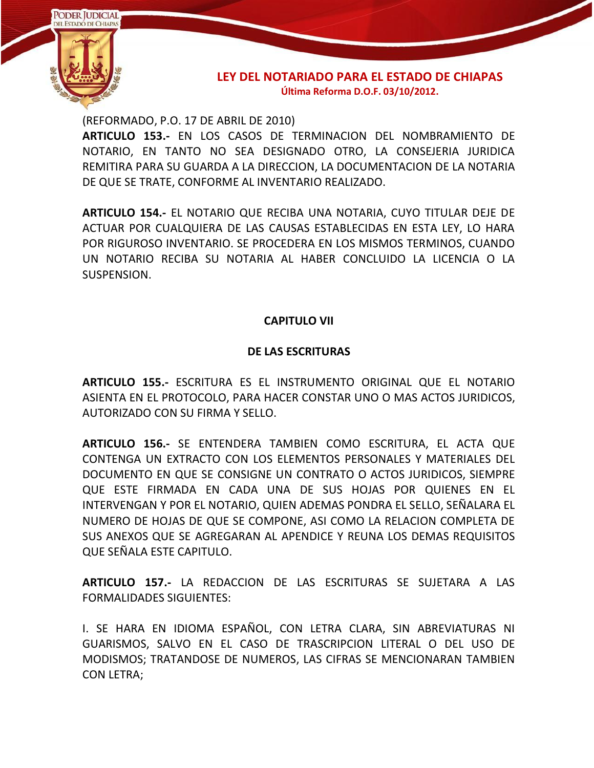

(REFORMADO, P.O. 17 DE ABRIL DE 2010)

**ARTICULO 153.-** EN LOS CASOS DE TERMINACION DEL NOMBRAMIENTO DE NOTARIO, EN TANTO NO SEA DESIGNADO OTRO, LA CONSEJERIA JURIDICA REMITIRA PARA SU GUARDA A LA DIRECCION, LA DOCUMENTACION DE LA NOTARIA DE QUE SE TRATE, CONFORME AL INVENTARIO REALIZADO.

**ARTICULO 154.-** EL NOTARIO QUE RECIBA UNA NOTARIA, CUYO TITULAR DEJE DE ACTUAR POR CUALQUIERA DE LAS CAUSAS ESTABLECIDAS EN ESTA LEY, LO HARA POR RIGUROSO INVENTARIO. SE PROCEDERA EN LOS MISMOS TERMINOS, CUANDO UN NOTARIO RECIBA SU NOTARIA AL HABER CONCLUIDO LA LICENCIA O LA SUSPENSION.

#### **CAPITULO VII**

#### **DE LAS ESCRITURAS**

**ARTICULO 155.-** ESCRITURA ES EL INSTRUMENTO ORIGINAL QUE EL NOTARIO ASIENTA EN EL PROTOCOLO, PARA HACER CONSTAR UNO O MAS ACTOS JURIDICOS, AUTORIZADO CON SU FIRMA Y SELLO.

**ARTICULO 156.-** SE ENTENDERA TAMBIEN COMO ESCRITURA, EL ACTA QUE CONTENGA UN EXTRACTO CON LOS ELEMENTOS PERSONALES Y MATERIALES DEL DOCUMENTO EN QUE SE CONSIGNE UN CONTRATO O ACTOS JURIDICOS, SIEMPRE QUE ESTE FIRMADA EN CADA UNA DE SUS HOJAS POR QUIENES EN EL INTERVENGAN Y POR EL NOTARIO, QUIEN ADEMAS PONDRA EL SELLO, SEÑALARA EL NUMERO DE HOJAS DE QUE SE COMPONE, ASI COMO LA RELACION COMPLETA DE SUS ANEXOS QUE SE AGREGARAN AL APENDICE Y REUNA LOS DEMAS REQUISITOS QUE SEÑALA ESTE CAPITULO.

**ARTICULO 157.-** LA REDACCION DE LAS ESCRITURAS SE SUJETARA A LAS FORMALIDADES SIGUIENTES:

I. SE HARA EN IDIOMA ESPAÑOL, CON LETRA CLARA, SIN ABREVIATURAS NI GUARISMOS, SALVO EN EL CASO DE TRASCRIPCION LITERAL O DEL USO DE MODISMOS; TRATANDOSE DE NUMEROS, LAS CIFRAS SE MENCIONARAN TAMBIEN CON LETRA;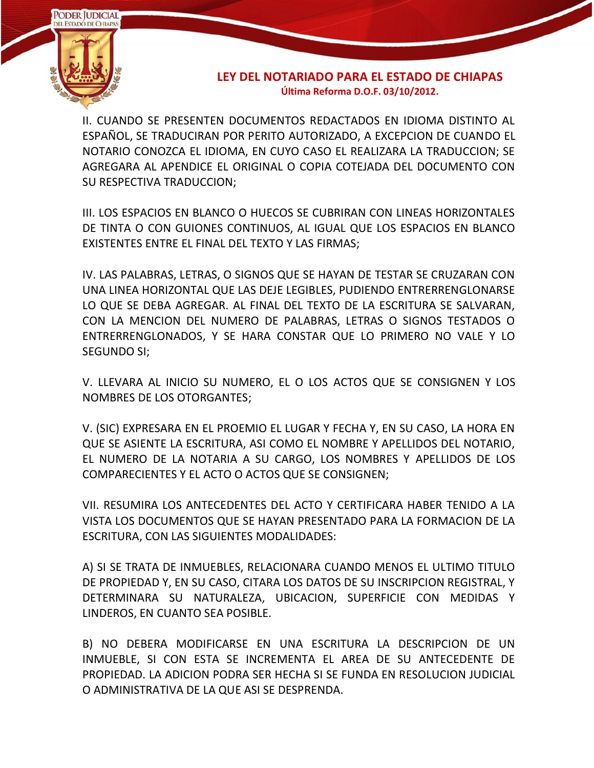

II. CUANDO SE PRESENTEN DOCUMENTOS REDACTADOS EN IDIOMA DISTINTO AL ESPAÑOL, SE TRADUCIRAN POR PERITO AUTORIZADO, A EXCEPCION DE CUANDO EL NOTARIO CONOZCA EL IDIOMA, EN CUYO CASO EL REALIZARA LA TRADUCCION; SE AGREGARA AL APENDICE EL ORIGINAL O COPIA COTEJADA DEL DOCUMENTO CON SU RESPECTIVA TRADUCCION;

III. LOS ESPACIOS EN BLANCO O HUECOS SE CUBRIRAN CON LINEAS HORIZONTALES DE TINTA O CON GUIONES CONTINUOS, AL IGUAL QUE LOS ESPACIOS EN BLANCO EXISTENTES ENTRE EL FINAL DEL TEXTO Y LAS FIRMAS;

IV. LAS PALABRAS, LETRAS, O SIGNOS QUE SE HAYAN DE TESTAR SE CRUZARAN CON UNA LINEA HORIZONTAL QUE LAS DEJE LEGIBLES, PUDIENDO ENTRERRENGLONARSE LO QUE SE DEBA AGREGAR. AL FINAL DEL TEXTO DE LA ESCRITURA SE SALVARAN, CON LA MENCION DEL NUMERO DE PALABRAS, LETRAS O SIGNOS TESTADOS O ENTRERRENGLONADOS, Y SE HARA CONSTAR QUE LO PRIMERO NO VALE Y LO SEGUNDO SI;

V. LLEVARA AL INICIO SU NUMERO, EL O LOS ACTOS QUE SE CONSIGNEN Y LOS NOMBRES DE LOS OTORGANTES;

V. (SIC) EXPRESARA EN EL PROEMIO EL LUGAR Y FECHA Y, EN SU CASO, LA HORA EN QUE SE ASIENTE LA ESCRITURA, ASI COMO EL NOMBRE Y APELLIDOS DEL NOTARIO, EL NUMERO DE LA NOTARIA A SU CARGO, LOS NOMBRES Y APELLIDOS DE LOS COMPARECIENTES Y EL ACTO O ACTOS QUE SE CONSIGNEN;

VII. RESUMIRA LOS ANTECEDENTES DEL ACTO Y CERTIFICARA HABER TENIDO A LA VISTA LOS DOCUMENTOS QUE SE HAYAN PRESENTADO PARA LA FORMACION DE LA ESCRITURA, CON LAS SIGUIENTES MODALIDADES:

A) SI SE TRATA DE INMUEBLES, RELACIONARA CUANDO MENOS EL ULTIMO TITULO DE PROPIEDAD Y, EN SU CASO, CITARA LOS DATOS DE SU INSCRIPCION REGISTRAL, Y DETERMINARA SU NATURALEZA, UBICACION, SUPERFICIE CON MEDIDAS Y LINDEROS, EN CUANTO SEA POSIBLE.

B) NO DEBERA MODIFICARSE EN UNA ESCRITURA LA DESCRIPCION DE UN INMUEBLE, SI CON ESTA SE INCREMENTA EL AREA DE SU ANTECEDENTE DE PROPIEDAD. LA ADICION PODRA SER HECHA SI SE FUNDA EN RESOLUCION JUDICIAL O ADMINISTRATIVA DE LA QUE ASI SE DESPRENDA.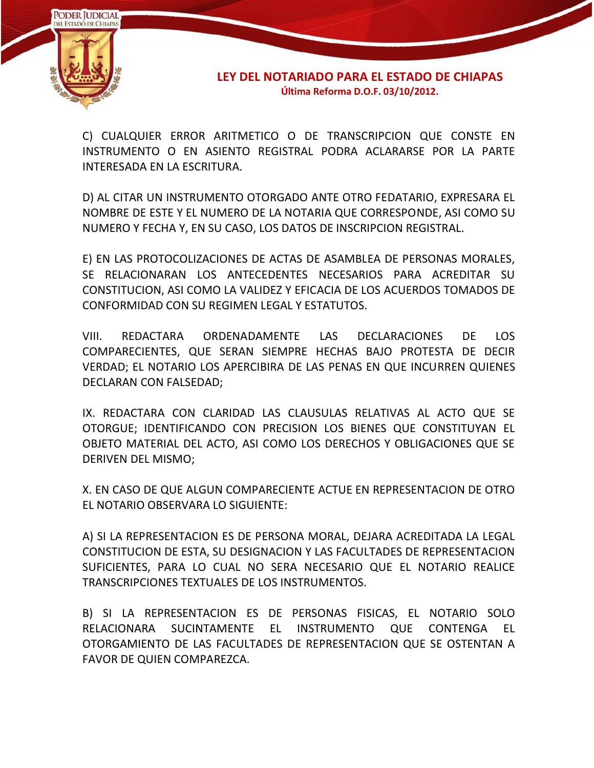

C) CUALQUIER ERROR ARITMETICO O DE TRANSCRIPCION QUE CONSTE EN INSTRUMENTO O EN ASIENTO REGISTRAL PODRA ACLARARSE POR LA PARTE INTERESADA EN LA ESCRITURA.

D) AL CITAR UN INSTRUMENTO OTORGADO ANTE OTRO FEDATARIO, EXPRESARA EL NOMBRE DE ESTE Y EL NUMERO DE LA NOTARIA QUE CORRESPONDE, ASI COMO SU NUMERO Y FECHA Y, EN SU CASO, LOS DATOS DE INSCRIPCION REGISTRAL.

E) EN LAS PROTOCOLIZACIONES DE ACTAS DE ASAMBLEA DE PERSONAS MORALES, SE RELACIONARAN LOS ANTECEDENTES NECESARIOS PARA ACREDITAR SU CONSTITUCION, ASI COMO LA VALIDEZ Y EFICACIA DE LOS ACUERDOS TOMADOS DE CONFORMIDAD CON SU REGIMEN LEGAL Y ESTATUTOS.

VIII. REDACTARA ORDENADAMENTE LAS DECLARACIONES DE LOS COMPARECIENTES, QUE SERAN SIEMPRE HECHAS BAJO PROTESTA DE DECIR VERDAD; EL NOTARIO LOS APERCIBIRA DE LAS PENAS EN QUE INCURREN QUIENES DECLARAN CON FALSEDAD;

IX. REDACTARA CON CLARIDAD LAS CLAUSULAS RELATIVAS AL ACTO QUE SE OTORGUE; IDENTIFICANDO CON PRECISION LOS BIENES QUE CONSTITUYAN EL OBJETO MATERIAL DEL ACTO, ASI COMO LOS DERECHOS Y OBLIGACIONES QUE SE DERIVEN DEL MISMO;

X. EN CASO DE QUE ALGUN COMPARECIENTE ACTUE EN REPRESENTACION DE OTRO EL NOTARIO OBSERVARA LO SIGUIENTE:

A) SI LA REPRESENTACION ES DE PERSONA MORAL, DEJARA ACREDITADA LA LEGAL CONSTITUCION DE ESTA, SU DESIGNACION Y LAS FACULTADES DE REPRESENTACION SUFICIENTES, PARA LO CUAL NO SERA NECESARIO QUE EL NOTARIO REALICE TRANSCRIPCIONES TEXTUALES DE LOS INSTRUMENTOS.

B) SI LA REPRESENTACION ES DE PERSONAS FISICAS, EL NOTARIO SOLO RELACIONARA SUCINTAMENTE EL INSTRUMENTO QUE CONTENGA EL OTORGAMIENTO DE LAS FACULTADES DE REPRESENTACION QUE SE OSTENTAN A FAVOR DE QUIEN COMPAREZCA.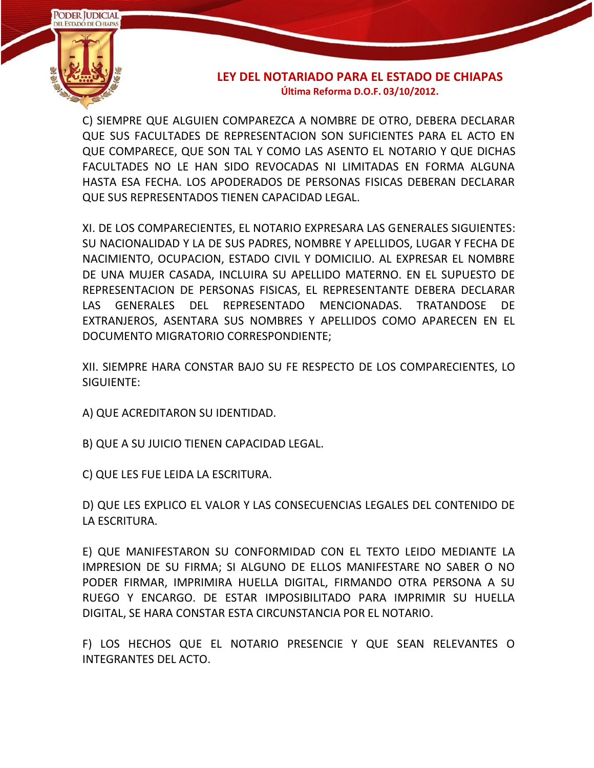

C) SIEMPRE QUE ALGUIEN COMPAREZCA A NOMBRE DE OTRO, DEBERA DECLARAR QUE SUS FACULTADES DE REPRESENTACION SON SUFICIENTES PARA EL ACTO EN QUE COMPARECE, QUE SON TAL Y COMO LAS ASENTO EL NOTARIO Y QUE DICHAS FACULTADES NO LE HAN SIDO REVOCADAS NI LIMITADAS EN FORMA ALGUNA HASTA ESA FECHA. LOS APODERADOS DE PERSONAS FISICAS DEBERAN DECLARAR QUE SUS REPRESENTADOS TIENEN CAPACIDAD LEGAL.

XI. DE LOS COMPARECIENTES, EL NOTARIO EXPRESARA LAS GENERALES SIGUIENTES: SU NACIONALIDAD Y LA DE SUS PADRES, NOMBRE Y APELLIDOS, LUGAR Y FECHA DE NACIMIENTO, OCUPACION, ESTADO CIVIL Y DOMICILIO. AL EXPRESAR EL NOMBRE DE UNA MUJER CASADA, INCLUIRA SU APELLIDO MATERNO. EN EL SUPUESTO DE REPRESENTACION DE PERSONAS FISICAS, EL REPRESENTANTE DEBERA DECLARAR LAS GENERALES DEL REPRESENTADO MENCIONADAS. TRATANDOSE DE EXTRANJEROS, ASENTARA SUS NOMBRES Y APELLIDOS COMO APARECEN EN EL DOCUMENTO MIGRATORIO CORRESPONDIENTE;

XII. SIEMPRE HARA CONSTAR BAJO SU FE RESPECTO DE LOS COMPARECIENTES, LO SIGUIENTE:

- A) QUE ACREDITARON SU IDENTIDAD.
- B) QUE A SU JUICIO TIENEN CAPACIDAD LEGAL.

C) QUE LES FUE LEIDA LA ESCRITURA.

D) QUE LES EXPLICO EL VALOR Y LAS CONSECUENCIAS LEGALES DEL CONTENIDO DE LA ESCRITURA.

E) QUE MANIFESTARON SU CONFORMIDAD CON EL TEXTO LEIDO MEDIANTE LA IMPRESION DE SU FIRMA; SI ALGUNO DE ELLOS MANIFESTARE NO SABER O NO PODER FIRMAR, IMPRIMIRA HUELLA DIGITAL, FIRMANDO OTRA PERSONA A SU RUEGO Y ENCARGO. DE ESTAR IMPOSIBILITADO PARA IMPRIMIR SU HUELLA DIGITAL, SE HARA CONSTAR ESTA CIRCUNSTANCIA POR EL NOTARIO.

F) LOS HECHOS QUE EL NOTARIO PRESENCIE Y QUE SEAN RELEVANTES O INTEGRANTES DEL ACTO.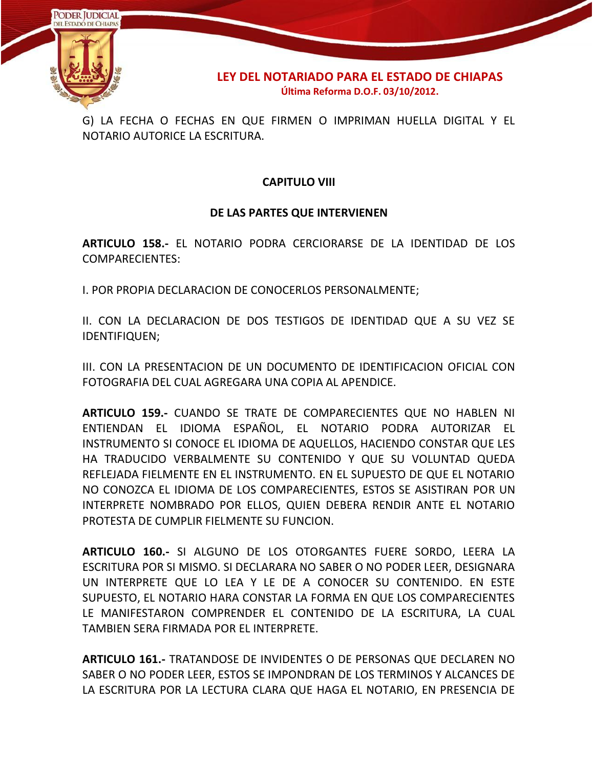

G) LA FECHA O FECHAS EN QUE FIRMEN O IMPRIMAN HUELLA DIGITAL Y EL NOTARIO AUTORICE LA ESCRITURA.

# **CAPITULO VIII**

#### **DE LAS PARTES QUE INTERVIENEN**

**ARTICULO 158.-** EL NOTARIO PODRA CERCIORARSE DE LA IDENTIDAD DE LOS COMPARECIENTES:

I. POR PROPIA DECLARACION DE CONOCERLOS PERSONALMENTE;

II. CON LA DECLARACION DE DOS TESTIGOS DE IDENTIDAD QUE A SU VEZ SE IDENTIFIQUEN;

III. CON LA PRESENTACION DE UN DOCUMENTO DE IDENTIFICACION OFICIAL CON FOTOGRAFIA DEL CUAL AGREGARA UNA COPIA AL APENDICE.

**ARTICULO 159.-** CUANDO SE TRATE DE COMPARECIENTES QUE NO HABLEN NI ENTIENDAN EL IDIOMA ESPAÑOL, EL NOTARIO PODRA AUTORIZAR EL INSTRUMENTO SI CONOCE EL IDIOMA DE AQUELLOS, HACIENDO CONSTAR QUE LES HA TRADUCIDO VERBALMENTE SU CONTENIDO Y QUE SU VOLUNTAD QUEDA REFLEJADA FIELMENTE EN EL INSTRUMENTO. EN EL SUPUESTO DE QUE EL NOTARIO NO CONOZCA EL IDIOMA DE LOS COMPARECIENTES, ESTOS SE ASISTIRAN POR UN INTERPRETE NOMBRADO POR ELLOS, QUIEN DEBERA RENDIR ANTE EL NOTARIO PROTESTA DE CUMPLIR FIELMENTE SU FUNCION.

**ARTICULO 160.-** SI ALGUNO DE LOS OTORGANTES FUERE SORDO, LEERA LA ESCRITURA POR SI MISMO. SI DECLARARA NO SABER O NO PODER LEER, DESIGNARA UN INTERPRETE QUE LO LEA Y LE DE A CONOCER SU CONTENIDO. EN ESTE SUPUESTO, EL NOTARIO HARA CONSTAR LA FORMA EN QUE LOS COMPARECIENTES LE MANIFESTARON COMPRENDER EL CONTENIDO DE LA ESCRITURA, LA CUAL TAMBIEN SERA FIRMADA POR EL INTERPRETE.

**ARTICULO 161.-** TRATANDOSE DE INVIDENTES O DE PERSONAS QUE DECLAREN NO SABER O NO PODER LEER, ESTOS SE IMPONDRAN DE LOS TERMINOS Y ALCANCES DE LA ESCRITURA POR LA LECTURA CLARA QUE HAGA EL NOTARIO, EN PRESENCIA DE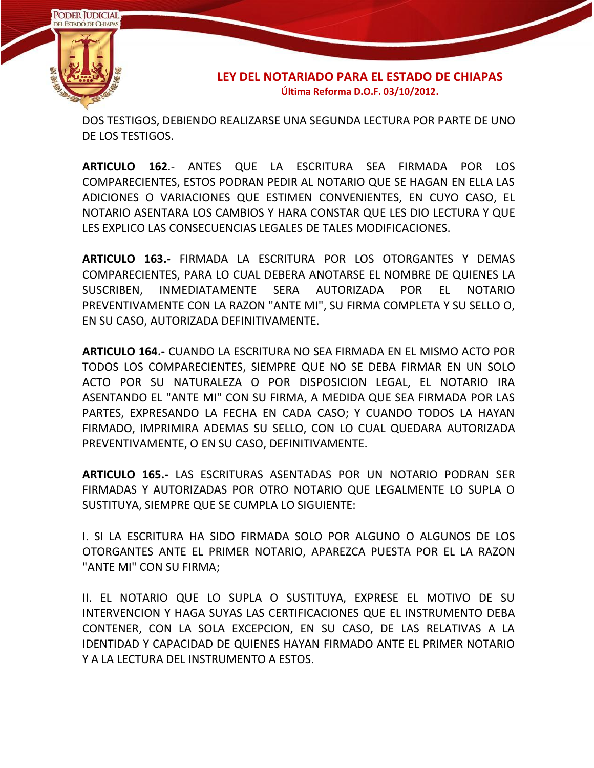

DOS TESTIGOS, DEBIENDO REALIZARSE UNA SEGUNDA LECTURA POR PARTE DE UNO DE LOS TESTIGOS.

**ARTICULO 162**.- ANTES QUE LA ESCRITURA SEA FIRMADA POR LOS COMPARECIENTES, ESTOS PODRAN PEDIR AL NOTARIO QUE SE HAGAN EN ELLA LAS ADICIONES O VARIACIONES QUE ESTIMEN CONVENIENTES, EN CUYO CASO, EL NOTARIO ASENTARA LOS CAMBIOS Y HARA CONSTAR QUE LES DIO LECTURA Y QUE LES EXPLICO LAS CONSECUENCIAS LEGALES DE TALES MODIFICACIONES.

**ARTICULO 163.-** FIRMADA LA ESCRITURA POR LOS OTORGANTES Y DEMAS COMPARECIENTES, PARA LO CUAL DEBERA ANOTARSE EL NOMBRE DE QUIENES LA SUSCRIBEN, INMEDIATAMENTE SERA AUTORIZADA POR EL NOTARIO PREVENTIVAMENTE CON LA RAZON "ANTE MI", SU FIRMA COMPLETA Y SU SELLO O, EN SU CASO, AUTORIZADA DEFINITIVAMENTE.

**ARTICULO 164.-** CUANDO LA ESCRITURA NO SEA FIRMADA EN EL MISMO ACTO POR TODOS LOS COMPARECIENTES, SIEMPRE QUE NO SE DEBA FIRMAR EN UN SOLO ACTO POR SU NATURALEZA O POR DISPOSICION LEGAL, EL NOTARIO IRA ASENTANDO EL "ANTE MI" CON SU FIRMA, A MEDIDA QUE SEA FIRMADA POR LAS PARTES, EXPRESANDO LA FECHA EN CADA CASO; Y CUANDO TODOS LA HAYAN FIRMADO, IMPRIMIRA ADEMAS SU SELLO, CON LO CUAL QUEDARA AUTORIZADA PREVENTIVAMENTE, O EN SU CASO, DEFINITIVAMENTE.

**ARTICULO 165.-** LAS ESCRITURAS ASENTADAS POR UN NOTARIO PODRAN SER FIRMADAS Y AUTORIZADAS POR OTRO NOTARIO QUE LEGALMENTE LO SUPLA O SUSTITUYA, SIEMPRE QUE SE CUMPLA LO SIGUIENTE:

I. SI LA ESCRITURA HA SIDO FIRMADA SOLO POR ALGUNO O ALGUNOS DE LOS OTORGANTES ANTE EL PRIMER NOTARIO, APAREZCA PUESTA POR EL LA RAZON "ANTE MI" CON SU FIRMA;

II. EL NOTARIO QUE LO SUPLA O SUSTITUYA, EXPRESE EL MOTIVO DE SU INTERVENCION Y HAGA SUYAS LAS CERTIFICACIONES QUE EL INSTRUMENTO DEBA CONTENER, CON LA SOLA EXCEPCION, EN SU CASO, DE LAS RELATIVAS A LA IDENTIDAD Y CAPACIDAD DE QUIENES HAYAN FIRMADO ANTE EL PRIMER NOTARIO Y A LA LECTURA DEL INSTRUMENTO A ESTOS.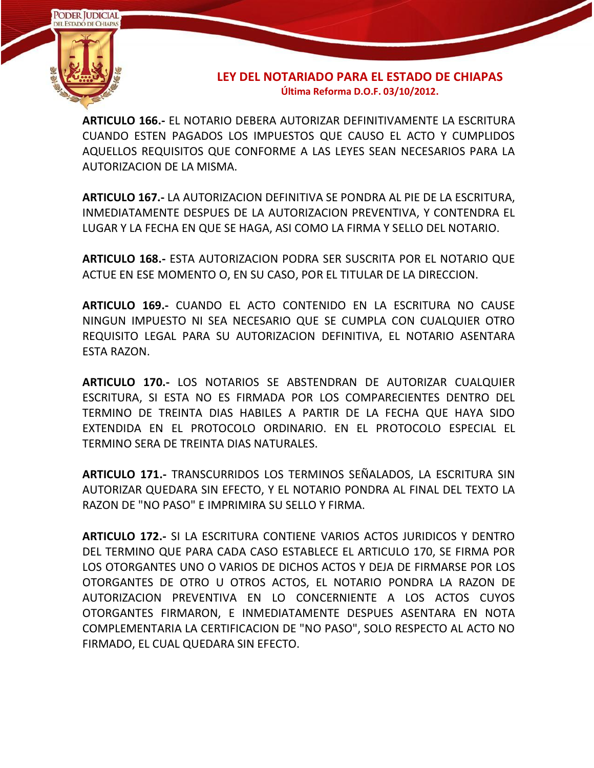

**ARTICULO 166.-** EL NOTARIO DEBERA AUTORIZAR DEFINITIVAMENTE LA ESCRITURA CUANDO ESTEN PAGADOS LOS IMPUESTOS QUE CAUSO EL ACTO Y CUMPLIDOS AQUELLOS REQUISITOS QUE CONFORME A LAS LEYES SEAN NECESARIOS PARA LA AUTORIZACION DE LA MISMA.

**ARTICULO 167.-** LA AUTORIZACION DEFINITIVA SE PONDRA AL PIE DE LA ESCRITURA, INMEDIATAMENTE DESPUES DE LA AUTORIZACION PREVENTIVA, Y CONTENDRA EL LUGAR Y LA FECHA EN QUE SE HAGA, ASI COMO LA FIRMA Y SELLO DEL NOTARIO.

**ARTICULO 168.-** ESTA AUTORIZACION PODRA SER SUSCRITA POR EL NOTARIO QUE ACTUE EN ESE MOMENTO O, EN SU CASO, POR EL TITULAR DE LA DIRECCION.

**ARTICULO 169.-** CUANDO EL ACTO CONTENIDO EN LA ESCRITURA NO CAUSE NINGUN IMPUESTO NI SEA NECESARIO QUE SE CUMPLA CON CUALQUIER OTRO REQUISITO LEGAL PARA SU AUTORIZACION DEFINITIVA, EL NOTARIO ASENTARA ESTA RAZON.

**ARTICULO 170.-** LOS NOTARIOS SE ABSTENDRAN DE AUTORIZAR CUALQUIER ESCRITURA, SI ESTA NO ES FIRMADA POR LOS COMPARECIENTES DENTRO DEL TERMINO DE TREINTA DIAS HABILES A PARTIR DE LA FECHA QUE HAYA SIDO EXTENDIDA EN EL PROTOCOLO ORDINARIO. EN EL PROTOCOLO ESPECIAL EL TERMINO SERA DE TREINTA DIAS NATURALES.

**ARTICULO 171.-** TRANSCURRIDOS LOS TERMINOS SEÑALADOS, LA ESCRITURA SIN AUTORIZAR QUEDARA SIN EFECTO, Y EL NOTARIO PONDRA AL FINAL DEL TEXTO LA RAZON DE "NO PASO" E IMPRIMIRA SU SELLO Y FIRMA.

**ARTICULO 172.-** SI LA ESCRITURA CONTIENE VARIOS ACTOS JURIDICOS Y DENTRO DEL TERMINO QUE PARA CADA CASO ESTABLECE EL ARTICULO 170, SE FIRMA POR LOS OTORGANTES UNO O VARIOS DE DICHOS ACTOS Y DEJA DE FIRMARSE POR LOS OTORGANTES DE OTRO U OTROS ACTOS, EL NOTARIO PONDRA LA RAZON DE AUTORIZACION PREVENTIVA EN LO CONCERNIENTE A LOS ACTOS CUYOS OTORGANTES FIRMARON, E INMEDIATAMENTE DESPUES ASENTARA EN NOTA COMPLEMENTARIA LA CERTIFICACION DE "NO PASO", SOLO RESPECTO AL ACTO NO FIRMADO, EL CUAL QUEDARA SIN EFECTO.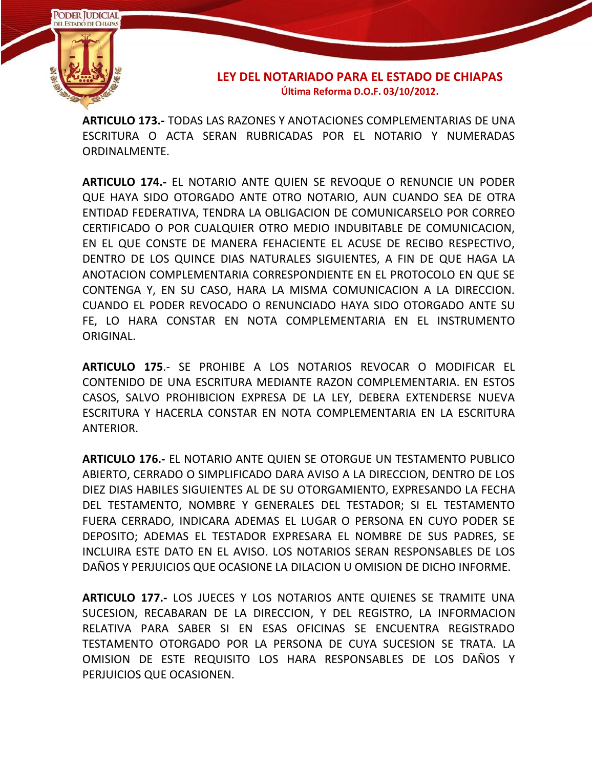

**ARTICULO 173.-** TODAS LAS RAZONES Y ANOTACIONES COMPLEMENTARIAS DE UNA ESCRITURA O ACTA SERAN RUBRICADAS POR EL NOTARIO Y NUMERADAS ORDINALMENTE.

**ARTICULO 174.-** EL NOTARIO ANTE QUIEN SE REVOQUE O RENUNCIE UN PODER QUE HAYA SIDO OTORGADO ANTE OTRO NOTARIO, AUN CUANDO SEA DE OTRA ENTIDAD FEDERATIVA, TENDRA LA OBLIGACION DE COMUNICARSELO POR CORREO CERTIFICADO O POR CUALQUIER OTRO MEDIO INDUBITABLE DE COMUNICACION, EN EL QUE CONSTE DE MANERA FEHACIENTE EL ACUSE DE RECIBO RESPECTIVO, DENTRO DE LOS QUINCE DIAS NATURALES SIGUIENTES, A FIN DE QUE HAGA LA ANOTACION COMPLEMENTARIA CORRESPONDIENTE EN EL PROTOCOLO EN QUE SE CONTENGA Y, EN SU CASO, HARA LA MISMA COMUNICACION A LA DIRECCION. CUANDO EL PODER REVOCADO O RENUNCIADO HAYA SIDO OTORGADO ANTE SU FE, LO HARA CONSTAR EN NOTA COMPLEMENTARIA EN EL INSTRUMENTO ORIGINAL.

**ARTICULO 175**.- SE PROHIBE A LOS NOTARIOS REVOCAR O MODIFICAR EL CONTENIDO DE UNA ESCRITURA MEDIANTE RAZON COMPLEMENTARIA. EN ESTOS CASOS, SALVO PROHIBICION EXPRESA DE LA LEY, DEBERA EXTENDERSE NUEVA ESCRITURA Y HACERLA CONSTAR EN NOTA COMPLEMENTARIA EN LA ESCRITURA ANTERIOR.

**ARTICULO 176.-** EL NOTARIO ANTE QUIEN SE OTORGUE UN TESTAMENTO PUBLICO ABIERTO, CERRADO O SIMPLIFICADO DARA AVISO A LA DIRECCION, DENTRO DE LOS DIEZ DIAS HABILES SIGUIENTES AL DE SU OTORGAMIENTO, EXPRESANDO LA FECHA DEL TESTAMENTO, NOMBRE Y GENERALES DEL TESTADOR; SI EL TESTAMENTO FUERA CERRADO, INDICARA ADEMAS EL LUGAR O PERSONA EN CUYO PODER SE DEPOSITO; ADEMAS EL TESTADOR EXPRESARA EL NOMBRE DE SUS PADRES, SE INCLUIRA ESTE DATO EN EL AVISO. LOS NOTARIOS SERAN RESPONSABLES DE LOS DAÑOS Y PERJUICIOS QUE OCASIONE LA DILACION U OMISION DE DICHO INFORME.

**ARTICULO 177.-** LOS JUECES Y LOS NOTARIOS ANTE QUIENES SE TRAMITE UNA SUCESION, RECABARAN DE LA DIRECCION, Y DEL REGISTRO, LA INFORMACION RELATIVA PARA SABER SI EN ESAS OFICINAS SE ENCUENTRA REGISTRADO TESTAMENTO OTORGADO POR LA PERSONA DE CUYA SUCESION SE TRATA. LA OMISION DE ESTE REQUISITO LOS HARA RESPONSABLES DE LOS DAÑOS Y PERJUICIOS QUE OCASIONEN.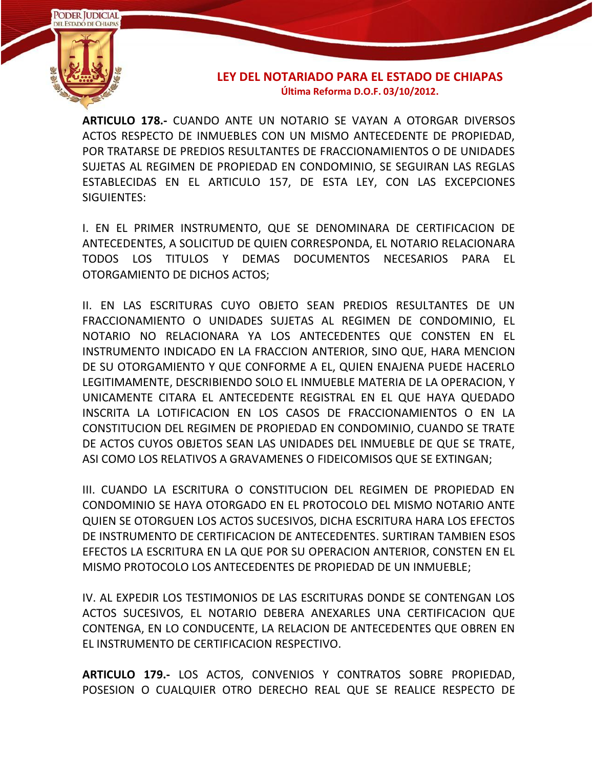

**ARTICULO 178.-** CUANDO ANTE UN NOTARIO SE VAYAN A OTORGAR DIVERSOS ACTOS RESPECTO DE INMUEBLES CON UN MISMO ANTECEDENTE DE PROPIEDAD, POR TRATARSE DE PREDIOS RESULTANTES DE FRACCIONAMIENTOS O DE UNIDADES SUJETAS AL REGIMEN DE PROPIEDAD EN CONDOMINIO, SE SEGUIRAN LAS REGLAS ESTABLECIDAS EN EL ARTICULO 157, DE ESTA LEY, CON LAS EXCEPCIONES SIGUIENTES:

I. EN EL PRIMER INSTRUMENTO, QUE SE DENOMINARA DE CERTIFICACION DE ANTECEDENTES, A SOLICITUD DE QUIEN CORRESPONDA, EL NOTARIO RELACIONARA TODOS LOS TITULOS Y DEMAS DOCUMENTOS NECESARIOS PARA EL OTORGAMIENTO DE DICHOS ACTOS;

II. EN LAS ESCRITURAS CUYO OBJETO SEAN PREDIOS RESULTANTES DE UN FRACCIONAMIENTO O UNIDADES SUJETAS AL REGIMEN DE CONDOMINIO, EL NOTARIO NO RELACIONARA YA LOS ANTECEDENTES QUE CONSTEN EN EL INSTRUMENTO INDICADO EN LA FRACCION ANTERIOR, SINO QUE, HARA MENCION DE SU OTORGAMIENTO Y QUE CONFORME A EL, QUIEN ENAJENA PUEDE HACERLO LEGITIMAMENTE, DESCRIBIENDO SOLO EL INMUEBLE MATERIA DE LA OPERACION, Y UNICAMENTE CITARA EL ANTECEDENTE REGISTRAL EN EL QUE HAYA QUEDADO INSCRITA LA LOTIFICACION EN LOS CASOS DE FRACCIONAMIENTOS O EN LA CONSTITUCION DEL REGIMEN DE PROPIEDAD EN CONDOMINIO, CUANDO SE TRATE DE ACTOS CUYOS OBJETOS SEAN LAS UNIDADES DEL INMUEBLE DE QUE SE TRATE, ASI COMO LOS RELATIVOS A GRAVAMENES O FIDEICOMISOS QUE SE EXTINGAN;

III. CUANDO LA ESCRITURA O CONSTITUCION DEL REGIMEN DE PROPIEDAD EN CONDOMINIO SE HAYA OTORGADO EN EL PROTOCOLO DEL MISMO NOTARIO ANTE QUIEN SE OTORGUEN LOS ACTOS SUCESIVOS, DICHA ESCRITURA HARA LOS EFECTOS DE INSTRUMENTO DE CERTIFICACION DE ANTECEDENTES. SURTIRAN TAMBIEN ESOS EFECTOS LA ESCRITURA EN LA QUE POR SU OPERACION ANTERIOR, CONSTEN EN EL MISMO PROTOCOLO LOS ANTECEDENTES DE PROPIEDAD DE UN INMUEBLE;

IV. AL EXPEDIR LOS TESTIMONIOS DE LAS ESCRITURAS DONDE SE CONTENGAN LOS ACTOS SUCESIVOS, EL NOTARIO DEBERA ANEXARLES UNA CERTIFICACION QUE CONTENGA, EN LO CONDUCENTE, LA RELACION DE ANTECEDENTES QUE OBREN EN EL INSTRUMENTO DE CERTIFICACION RESPECTIVO.

**ARTICULO 179.-** LOS ACTOS, CONVENIOS Y CONTRATOS SOBRE PROPIEDAD, POSESION O CUALQUIER OTRO DERECHO REAL QUE SE REALICE RESPECTO DE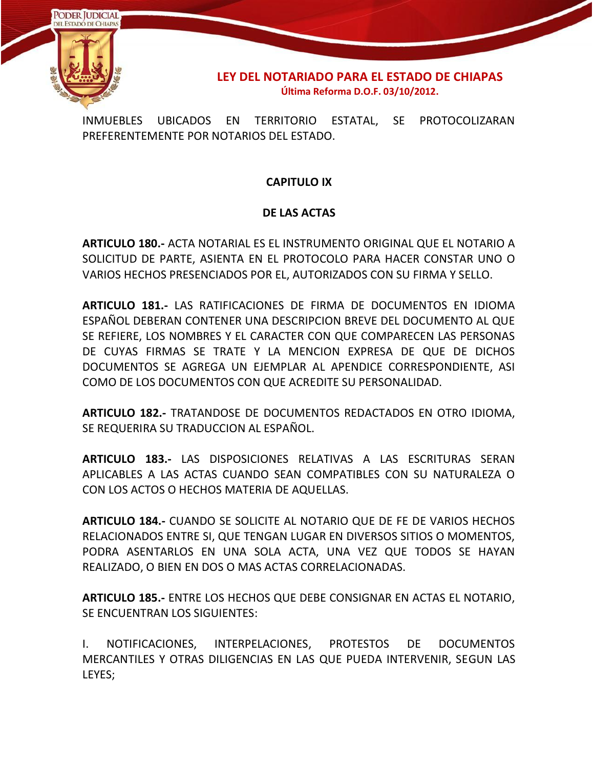

INMUEBLES UBICADOS EN TERRITORIO ESTATAL, SE PROTOCOLIZARAN PREFERENTEMENTE POR NOTARIOS DEL ESTADO.

# **CAPITULO IX**

# **DE LAS ACTAS**

**ARTICULO 180.-** ACTA NOTARIAL ES EL INSTRUMENTO ORIGINAL QUE EL NOTARIO A SOLICITUD DE PARTE, ASIENTA EN EL PROTOCOLO PARA HACER CONSTAR UNO O VARIOS HECHOS PRESENCIADOS POR EL, AUTORIZADOS CON SU FIRMA Y SELLO.

**ARTICULO 181.-** LAS RATIFICACIONES DE FIRMA DE DOCUMENTOS EN IDIOMA ESPAÑOL DEBERAN CONTENER UNA DESCRIPCION BREVE DEL DOCUMENTO AL QUE SE REFIERE, LOS NOMBRES Y EL CARACTER CON QUE COMPARECEN LAS PERSONAS DE CUYAS FIRMAS SE TRATE Y LA MENCION EXPRESA DE QUE DE DICHOS DOCUMENTOS SE AGREGA UN EJEMPLAR AL APENDICE CORRESPONDIENTE, ASI COMO DE LOS DOCUMENTOS CON QUE ACREDITE SU PERSONALIDAD.

**ARTICULO 182.-** TRATANDOSE DE DOCUMENTOS REDACTADOS EN OTRO IDIOMA, SE REQUERIRA SU TRADUCCION AL ESPAÑOL.

**ARTICULO 183.-** LAS DISPOSICIONES RELATIVAS A LAS ESCRITURAS SERAN APLICABLES A LAS ACTAS CUANDO SEAN COMPATIBLES CON SU NATURALEZA O CON LOS ACTOS O HECHOS MATERIA DE AQUELLAS.

**ARTICULO 184.-** CUANDO SE SOLICITE AL NOTARIO QUE DE FE DE VARIOS HECHOS RELACIONADOS ENTRE SI, QUE TENGAN LUGAR EN DIVERSOS SITIOS O MOMENTOS, PODRA ASENTARLOS EN UNA SOLA ACTA, UNA VEZ QUE TODOS SE HAYAN REALIZADO, O BIEN EN DOS O MAS ACTAS CORRELACIONADAS.

**ARTICULO 185.-** ENTRE LOS HECHOS QUE DEBE CONSIGNAR EN ACTAS EL NOTARIO, SE ENCUENTRAN LOS SIGUIENTES:

I. NOTIFICACIONES, INTERPELACIONES, PROTESTOS DE DOCUMENTOS MERCANTILES Y OTRAS DILIGENCIAS EN LAS QUE PUEDA INTERVENIR, SEGUN LAS LEYES;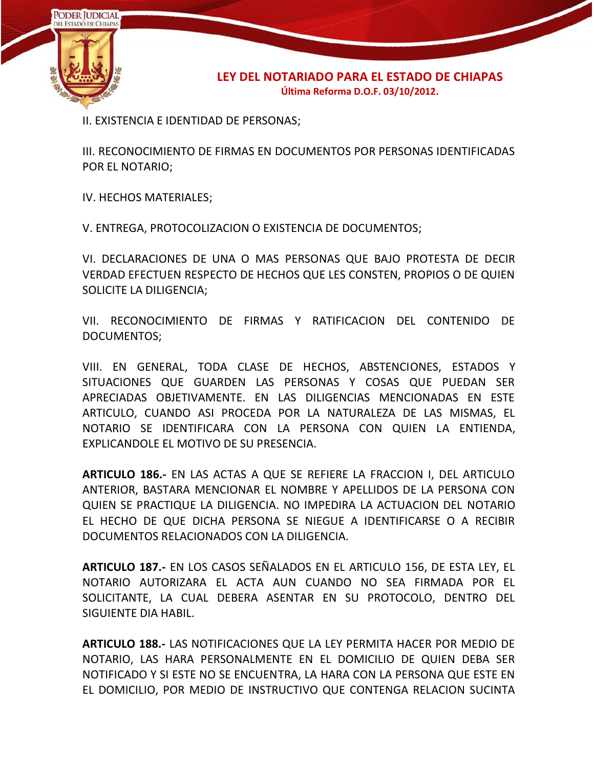

II. EXISTENCIA E IDENTIDAD DE PERSONAS;

III. RECONOCIMIENTO DE FIRMAS EN DOCUMENTOS POR PERSONAS IDENTIFICADAS POR EL NOTARIO;

IV. HECHOS MATERIALES;

V. ENTREGA, PROTOCOLIZACION O EXISTENCIA DE DOCUMENTOS;

VI. DECLARACIONES DE UNA O MAS PERSONAS QUE BAJO PROTESTA DE DECIR VERDAD EFECTUEN RESPECTO DE HECHOS QUE LES CONSTEN, PROPIOS O DE QUIEN SOLICITE LA DILIGENCIA;

VII. RECONOCIMIENTO DE FIRMAS Y RATIFICACION DEL CONTENIDO DE DOCUMENTOS;

VIII. EN GENERAL, TODA CLASE DE HECHOS, ABSTENCIONES, ESTADOS Y SITUACIONES QUE GUARDEN LAS PERSONAS Y COSAS QUE PUEDAN SER APRECIADAS OBJETIVAMENTE. EN LAS DILIGENCIAS MENCIONADAS EN ESTE ARTICULO, CUANDO ASI PROCEDA POR LA NATURALEZA DE LAS MISMAS, EL NOTARIO SE IDENTIFICARA CON LA PERSONA CON QUIEN LA ENTIENDA, EXPLICANDOLE EL MOTIVO DE SU PRESENCIA.

**ARTICULO 186.-** EN LAS ACTAS A QUE SE REFIERE LA FRACCION I, DEL ARTICULO ANTERIOR, BASTARA MENCIONAR EL NOMBRE Y APELLIDOS DE LA PERSONA CON QUIEN SE PRACTIQUE LA DILIGENCIA. NO IMPEDIRA LA ACTUACION DEL NOTARIO EL HECHO DE QUE DICHA PERSONA SE NIEGUE A IDENTIFICARSE O A RECIBIR DOCUMENTOS RELACIONADOS CON LA DILIGENCIA.

**ARTICULO 187.-** EN LOS CASOS SEÑALADOS EN EL ARTICULO 156, DE ESTA LEY, EL NOTARIO AUTORIZARA EL ACTA AUN CUANDO NO SEA FIRMADA POR EL SOLICITANTE, LA CUAL DEBERA ASENTAR EN SU PROTOCOLO, DENTRO DEL SIGUIENTE DIA HABIL.

**ARTICULO 188.-** LAS NOTIFICACIONES QUE LA LEY PERMITA HACER POR MEDIO DE NOTARIO, LAS HARA PERSONALMENTE EN EL DOMICILIO DE QUIEN DEBA SER NOTIFICADO Y SI ESTE NO SE ENCUENTRA, LA HARA CON LA PERSONA QUE ESTE EN EL DOMICILIO, POR MEDIO DE INSTRUCTIVO QUE CONTENGA RELACION SUCINTA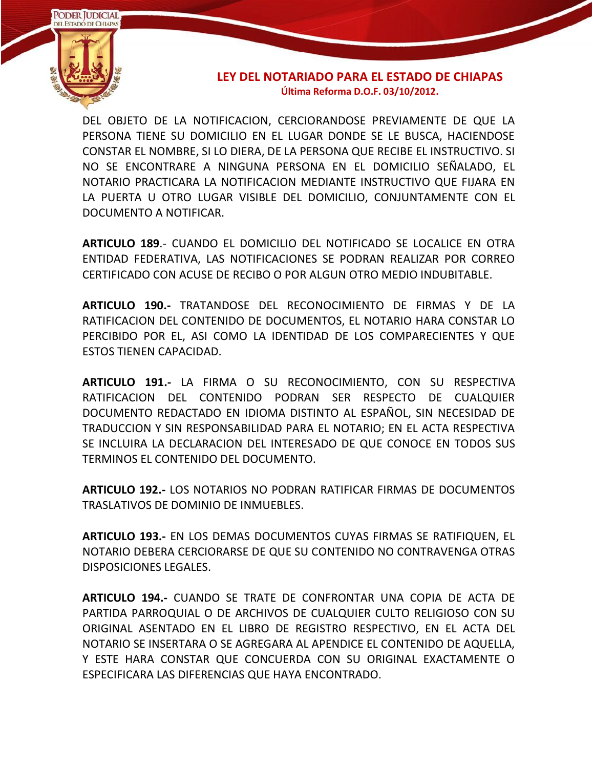

DEL OBJETO DE LA NOTIFICACION, CERCIORANDOSE PREVIAMENTE DE QUE LA PERSONA TIENE SU DOMICILIO EN EL LUGAR DONDE SE LE BUSCA, HACIENDOSE CONSTAR EL NOMBRE, SI LO DIERA, DE LA PERSONA QUE RECIBE EL INSTRUCTIVO. SI NO SE ENCONTRARE A NINGUNA PERSONA EN EL DOMICILIO SEÑALADO, EL NOTARIO PRACTICARA LA NOTIFICACION MEDIANTE INSTRUCTIVO QUE FIJARA EN LA PUERTA U OTRO LUGAR VISIBLE DEL DOMICILIO, CONJUNTAMENTE CON EL DOCUMENTO A NOTIFICAR.

**ARTICULO 189**.- CUANDO EL DOMICILIO DEL NOTIFICADO SE LOCALICE EN OTRA ENTIDAD FEDERATIVA, LAS NOTIFICACIONES SE PODRAN REALIZAR POR CORREO CERTIFICADO CON ACUSE DE RECIBO O POR ALGUN OTRO MEDIO INDUBITABLE.

**ARTICULO 190.-** TRATANDOSE DEL RECONOCIMIENTO DE FIRMAS Y DE LA RATIFICACION DEL CONTENIDO DE DOCUMENTOS, EL NOTARIO HARA CONSTAR LO PERCIBIDO POR EL, ASI COMO LA IDENTIDAD DE LOS COMPARECIENTES Y QUE ESTOS TIENEN CAPACIDAD.

**ARTICULO 191.-** LA FIRMA O SU RECONOCIMIENTO, CON SU RESPECTIVA RATIFICACION DEL CONTENIDO PODRAN SER RESPECTO DE CUALQUIER DOCUMENTO REDACTADO EN IDIOMA DISTINTO AL ESPAÑOL, SIN NECESIDAD DE TRADUCCION Y SIN RESPONSABILIDAD PARA EL NOTARIO; EN EL ACTA RESPECTIVA SE INCLUIRA LA DECLARACION DEL INTERESADO DE QUE CONOCE EN TODOS SUS TERMINOS EL CONTENIDO DEL DOCUMENTO.

**ARTICULO 192.-** LOS NOTARIOS NO PODRAN RATIFICAR FIRMAS DE DOCUMENTOS TRASLATIVOS DE DOMINIO DE INMUEBLES.

**ARTICULO 193.-** EN LOS DEMAS DOCUMENTOS CUYAS FIRMAS SE RATIFIQUEN, EL NOTARIO DEBERA CERCIORARSE DE QUE SU CONTENIDO NO CONTRAVENGA OTRAS DISPOSICIONES LEGALES.

**ARTICULO 194.-** CUANDO SE TRATE DE CONFRONTAR UNA COPIA DE ACTA DE PARTIDA PARROQUIAL O DE ARCHIVOS DE CUALQUIER CULTO RELIGIOSO CON SU ORIGINAL ASENTADO EN EL LIBRO DE REGISTRO RESPECTIVO, EN EL ACTA DEL NOTARIO SE INSERTARA O SE AGREGARA AL APENDICE EL CONTENIDO DE AQUELLA, Y ESTE HARA CONSTAR QUE CONCUERDA CON SU ORIGINAL EXACTAMENTE O ESPECIFICARA LAS DIFERENCIAS QUE HAYA ENCONTRADO.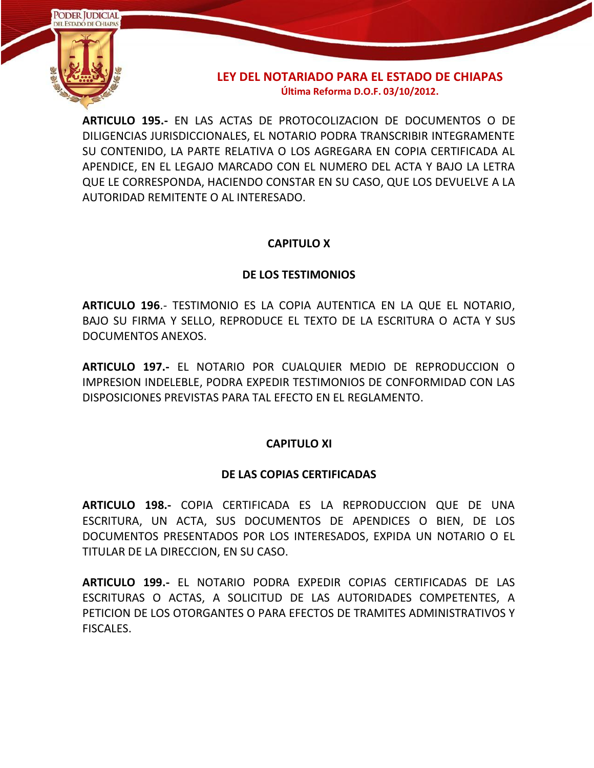

**ARTICULO 195.-** EN LAS ACTAS DE PROTOCOLIZACION DE DOCUMENTOS O DE DILIGENCIAS JURISDICCIONALES, EL NOTARIO PODRA TRANSCRIBIR INTEGRAMENTE SU CONTENIDO, LA PARTE RELATIVA O LOS AGREGARA EN COPIA CERTIFICADA AL APENDICE, EN EL LEGAJO MARCADO CON EL NUMERO DEL ACTA Y BAJO LA LETRA QUE LE CORRESPONDA, HACIENDO CONSTAR EN SU CASO, QUE LOS DEVUELVE A LA AUTORIDAD REMITENTE O AL INTERESADO.

### **CAPITULO X**

#### **DE LOS TESTIMONIOS**

**ARTICULO 196**.- TESTIMONIO ES LA COPIA AUTENTICA EN LA QUE EL NOTARIO, BAJO SU FIRMA Y SELLO, REPRODUCE EL TEXTO DE LA ESCRITURA O ACTA Y SUS DOCUMENTOS ANEXOS.

**ARTICULO 197.-** EL NOTARIO POR CUALQUIER MEDIO DE REPRODUCCION O IMPRESION INDELEBLE, PODRA EXPEDIR TESTIMONIOS DE CONFORMIDAD CON LAS DISPOSICIONES PREVISTAS PARA TAL EFECTO EN EL REGLAMENTO.

#### **CAPITULO XI**

### **DE LAS COPIAS CERTIFICADAS**

**ARTICULO 198.-** COPIA CERTIFICADA ES LA REPRODUCCION QUE DE UNA ESCRITURA, UN ACTA, SUS DOCUMENTOS DE APENDICES O BIEN, DE LOS DOCUMENTOS PRESENTADOS POR LOS INTERESADOS, EXPIDA UN NOTARIO O EL TITULAR DE LA DIRECCION, EN SU CASO.

**ARTICULO 199.-** EL NOTARIO PODRA EXPEDIR COPIAS CERTIFICADAS DE LAS ESCRITURAS O ACTAS, A SOLICITUD DE LAS AUTORIDADES COMPETENTES, A PETICION DE LOS OTORGANTES O PARA EFECTOS DE TRAMITES ADMINISTRATIVOS Y FISCALES.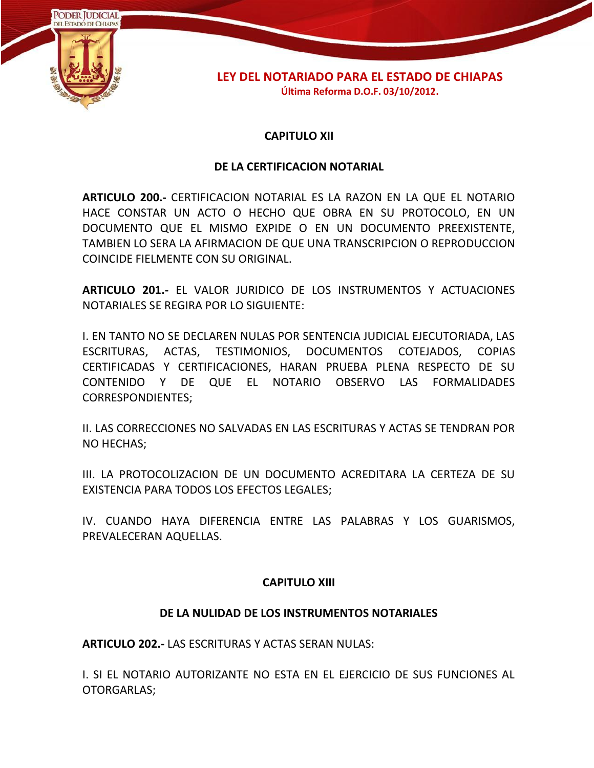

#### **CAPITULO XII**

#### **DE LA CERTIFICACION NOTARIAL**

**ARTICULO 200.-** CERTIFICACION NOTARIAL ES LA RAZON EN LA QUE EL NOTARIO HACE CONSTAR UN ACTO O HECHO QUE OBRA EN SU PROTOCOLO, EN UN DOCUMENTO QUE EL MISMO EXPIDE O EN UN DOCUMENTO PREEXISTENTE, TAMBIEN LO SERA LA AFIRMACION DE QUE UNA TRANSCRIPCION O REPRODUCCION COINCIDE FIELMENTE CON SU ORIGINAL.

**ARTICULO 201.-** EL VALOR JURIDICO DE LOS INSTRUMENTOS Y ACTUACIONES NOTARIALES SE REGIRA POR LO SIGUIENTE:

I. EN TANTO NO SE DECLAREN NULAS POR SENTENCIA JUDICIAL EJECUTORIADA, LAS ESCRITURAS, ACTAS, TESTIMONIOS, DOCUMENTOS COTEJADOS, COPIAS CERTIFICADAS Y CERTIFICACIONES, HARAN PRUEBA PLENA RESPECTO DE SU CONTENIDO Y DE QUE EL NOTARIO OBSERVO LAS FORMALIDADES CORRESPONDIENTES;

II. LAS CORRECCIONES NO SALVADAS EN LAS ESCRITURAS Y ACTAS SE TENDRAN POR NO HECHAS;

III. LA PROTOCOLIZACION DE UN DOCUMENTO ACREDITARA LA CERTEZA DE SU EXISTENCIA PARA TODOS LOS EFECTOS LEGALES;

IV. CUANDO HAYA DIFERENCIA ENTRE LAS PALABRAS Y LOS GUARISMOS, PREVALECERAN AQUELLAS.

#### **CAPITULO XIII**

#### **DE LA NULIDAD DE LOS INSTRUMENTOS NOTARIALES**

**ARTICULO 202.-** LAS ESCRITURAS Y ACTAS SERAN NULAS:

I. SI EL NOTARIO AUTORIZANTE NO ESTA EN EL EJERCICIO DE SUS FUNCIONES AL OTORGARLAS;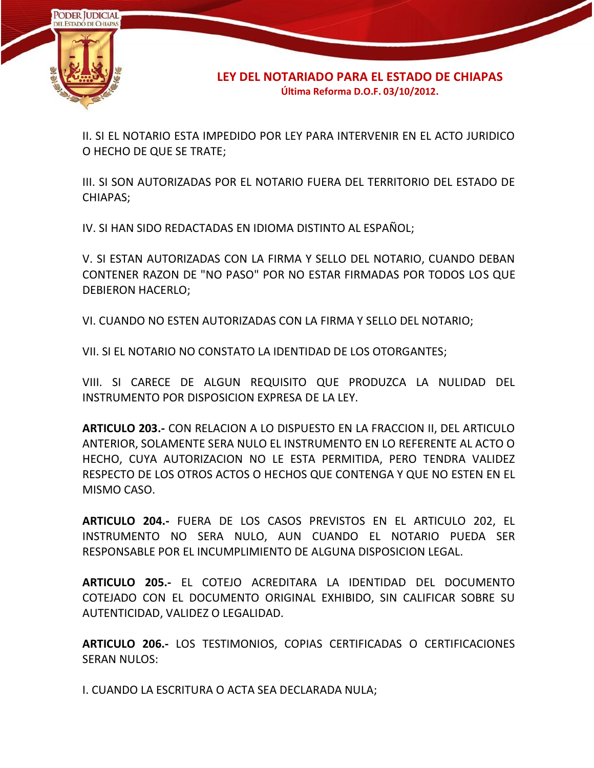

II. SI EL NOTARIO ESTA IMPEDIDO POR LEY PARA INTERVENIR EN EL ACTO JURIDICO O HECHO DE QUE SE TRATE;

III. SI SON AUTORIZADAS POR EL NOTARIO FUERA DEL TERRITORIO DEL ESTADO DE CHIAPAS;

IV. SI HAN SIDO REDACTADAS EN IDIOMA DISTINTO AL ESPAÑOL;

V. SI ESTAN AUTORIZADAS CON LA FIRMA Y SELLO DEL NOTARIO, CUANDO DEBAN CONTENER RAZON DE "NO PASO" POR NO ESTAR FIRMADAS POR TODOS LOS QUE DEBIERON HACERLO;

VI. CUANDO NO ESTEN AUTORIZADAS CON LA FIRMA Y SELLO DEL NOTARIO;

VII. SI EL NOTARIO NO CONSTATO LA IDENTIDAD DE LOS OTORGANTES;

VIII. SI CARECE DE ALGUN REQUISITO QUE PRODUZCA LA NULIDAD DEL INSTRUMENTO POR DISPOSICION EXPRESA DE LA LEY.

**ARTICULO 203.-** CON RELACION A LO DISPUESTO EN LA FRACCION II, DEL ARTICULO ANTERIOR, SOLAMENTE SERA NULO EL INSTRUMENTO EN LO REFERENTE AL ACTO O HECHO, CUYA AUTORIZACION NO LE ESTA PERMITIDA, PERO TENDRA VALIDEZ RESPECTO DE LOS OTROS ACTOS O HECHOS QUE CONTENGA Y QUE NO ESTEN EN EL MISMO CASO.

**ARTICULO 204.-** FUERA DE LOS CASOS PREVISTOS EN EL ARTICULO 202, EL INSTRUMENTO NO SERA NULO, AUN CUANDO EL NOTARIO PUEDA SER RESPONSABLE POR EL INCUMPLIMIENTO DE ALGUNA DISPOSICION LEGAL.

**ARTICULO 205.-** EL COTEJO ACREDITARA LA IDENTIDAD DEL DOCUMENTO COTEJADO CON EL DOCUMENTO ORIGINAL EXHIBIDO, SIN CALIFICAR SOBRE SU AUTENTICIDAD, VALIDEZ O LEGALIDAD.

**ARTICULO 206.-** LOS TESTIMONIOS, COPIAS CERTIFICADAS O CERTIFICACIONES SERAN NULOS:

I. CUANDO LA ESCRITURA O ACTA SEA DECLARADA NULA;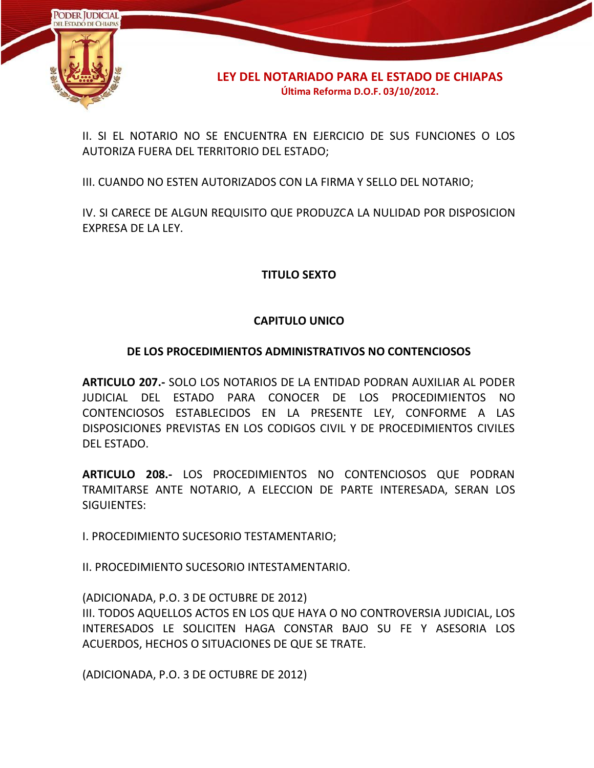

II. SI EL NOTARIO NO SE ENCUENTRA EN EJERCICIO DE SUS FUNCIONES O LOS AUTORIZA FUERA DEL TERRITORIO DEL ESTADO;

III. CUANDO NO ESTEN AUTORIZADOS CON LA FIRMA Y SELLO DEL NOTARIO;

IV. SI CARECE DE ALGUN REQUISITO QUE PRODUZCA LA NULIDAD POR DISPOSICION EXPRESA DE LA LEY.

# **TITULO SEXTO**

# **CAPITULO UNICO**

# **DE LOS PROCEDIMIENTOS ADMINISTRATIVOS NO CONTENCIOSOS**

**ARTICULO 207.-** SOLO LOS NOTARIOS DE LA ENTIDAD PODRAN AUXILIAR AL PODER JUDICIAL DEL ESTADO PARA CONOCER DE LOS PROCEDIMIENTOS NO CONTENCIOSOS ESTABLECIDOS EN LA PRESENTE LEY, CONFORME A LAS DISPOSICIONES PREVISTAS EN LOS CODIGOS CIVIL Y DE PROCEDIMIENTOS CIVILES DEL ESTADO.

**ARTICULO 208.-** LOS PROCEDIMIENTOS NO CONTENCIOSOS QUE PODRAN TRAMITARSE ANTE NOTARIO, A ELECCION DE PARTE INTERESADA, SERAN LOS SIGUIENTES:

I. PROCEDIMIENTO SUCESORIO TESTAMENTARIO;

II. PROCEDIMIENTO SUCESORIO INTESTAMENTARIO.

(ADICIONADA, P.O. 3 DE OCTUBRE DE 2012) III. TODOS AQUELLOS ACTOS EN LOS QUE HAYA O NO CONTROVERSIA JUDICIAL, LOS INTERESADOS LE SOLICITEN HAGA CONSTAR BAJO SU FE Y ASESORIA LOS ACUERDOS, HECHOS O SITUACIONES DE QUE SE TRATE.

(ADICIONADA, P.O. 3 DE OCTUBRE DE 2012)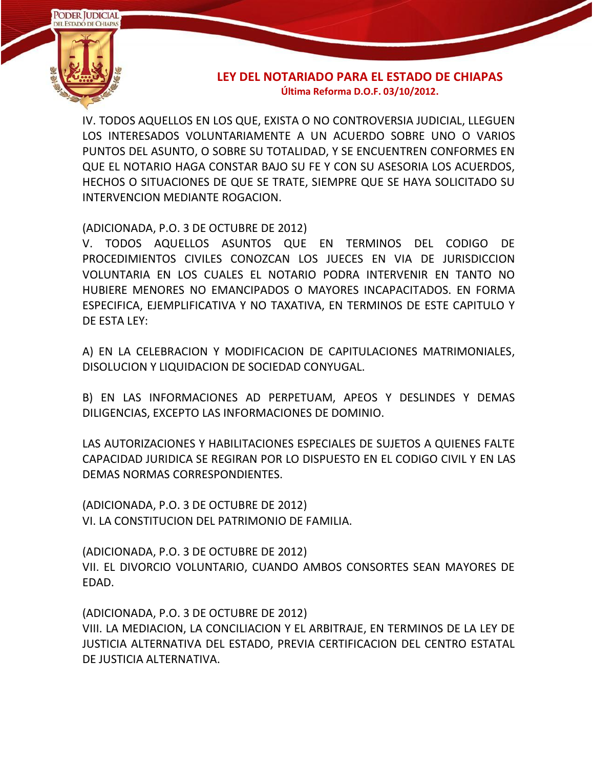

IV. TODOS AQUELLOS EN LOS QUE, EXISTA O NO CONTROVERSIA JUDICIAL, LLEGUEN LOS INTERESADOS VOLUNTARIAMENTE A UN ACUERDO SOBRE UNO O VARIOS PUNTOS DEL ASUNTO, O SOBRE SU TOTALIDAD, Y SE ENCUENTREN CONFORMES EN QUE EL NOTARIO HAGA CONSTAR BAJO SU FE Y CON SU ASESORIA LOS ACUERDOS, HECHOS O SITUACIONES DE QUE SE TRATE, SIEMPRE QUE SE HAYA SOLICITADO SU INTERVENCION MEDIANTE ROGACION.

(ADICIONADA, P.O. 3 DE OCTUBRE DE 2012)

V. TODOS AQUELLOS ASUNTOS QUE EN TERMINOS DEL CODIGO DE PROCEDIMIENTOS CIVILES CONOZCAN LOS JUECES EN VIA DE JURISDICCION VOLUNTARIA EN LOS CUALES EL NOTARIO PODRA INTERVENIR EN TANTO NO HUBIERE MENORES NO EMANCIPADOS O MAYORES INCAPACITADOS. EN FORMA ESPECIFICA, EJEMPLIFICATIVA Y NO TAXATIVA, EN TERMINOS DE ESTE CAPITULO Y DE ESTA LEY:

A) EN LA CELEBRACION Y MODIFICACION DE CAPITULACIONES MATRIMONIALES, DISOLUCION Y LIQUIDACION DE SOCIEDAD CONYUGAL.

B) EN LAS INFORMACIONES AD PERPETUAM, APEOS Y DESLINDES Y DEMAS DILIGENCIAS, EXCEPTO LAS INFORMACIONES DE DOMINIO.

LAS AUTORIZACIONES Y HABILITACIONES ESPECIALES DE SUJETOS A QUIENES FALTE CAPACIDAD JURIDICA SE REGIRAN POR LO DISPUESTO EN EL CODIGO CIVIL Y EN LAS DEMAS NORMAS CORRESPONDIENTES.

(ADICIONADA, P.O. 3 DE OCTUBRE DE 2012) VI. LA CONSTITUCION DEL PATRIMONIO DE FAMILIA.

(ADICIONADA, P.O. 3 DE OCTUBRE DE 2012) VII. EL DIVORCIO VOLUNTARIO, CUANDO AMBOS CONSORTES SEAN MAYORES DE EDAD.

(ADICIONADA, P.O. 3 DE OCTUBRE DE 2012) VIII. LA MEDIACION, LA CONCILIACION Y EL ARBITRAJE, EN TERMINOS DE LA LEY DE JUSTICIA ALTERNATIVA DEL ESTADO, PREVIA CERTIFICACION DEL CENTRO ESTATAL DE JUSTICIA ALTERNATIVA.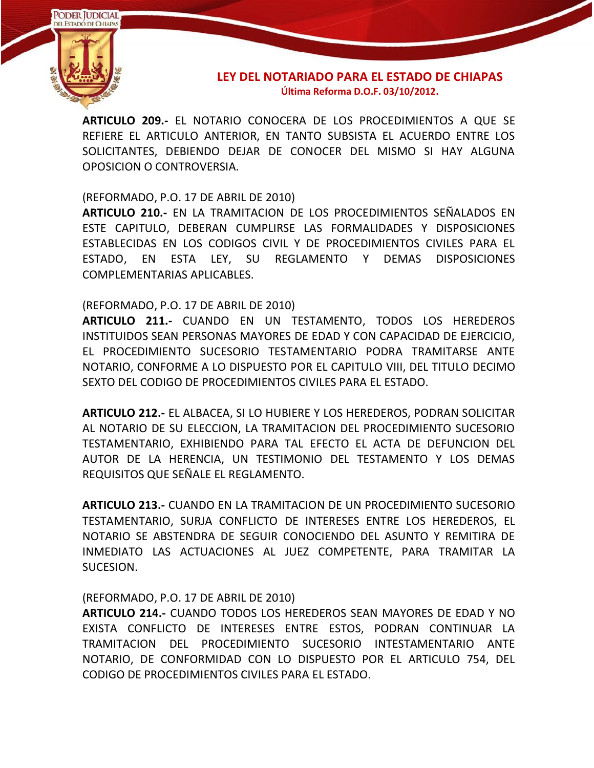

**ARTICULO 209.-** EL NOTARIO CONOCERA DE LOS PROCEDIMIENTOS A QUE SE REFIERE EL ARTICULO ANTERIOR, EN TANTO SUBSISTA EL ACUERDO ENTRE LOS SOLICITANTES, DEBIENDO DEJAR DE CONOCER DEL MISMO SI HAY ALGUNA OPOSICION O CONTROVERSIA.

(REFORMADO, P.O. 17 DE ABRIL DE 2010)

**ARTICULO 210.-** EN LA TRAMITACION DE LOS PROCEDIMIENTOS SEÑALADOS EN ESTE CAPITULO, DEBERAN CUMPLIRSE LAS FORMALIDADES Y DISPOSICIONES ESTABLECIDAS EN LOS CODIGOS CIVIL Y DE PROCEDIMIENTOS CIVILES PARA EL ESTADO, EN ESTA LEY, SU REGLAMENTO Y DEMAS DISPOSICIONES COMPLEMENTARIAS APLICABLES.

(REFORMADO, P.O. 17 DE ABRIL DE 2010)

**ARTICULO 211.-** CUANDO EN UN TESTAMENTO, TODOS LOS HEREDEROS INSTITUIDOS SEAN PERSONAS MAYORES DE EDAD Y CON CAPACIDAD DE EJERCICIO, EL PROCEDIMIENTO SUCESORIO TESTAMENTARIO PODRA TRAMITARSE ANTE NOTARIO, CONFORME A LO DISPUESTO POR EL CAPITULO VIII, DEL TITULO DECIMO SEXTO DEL CODIGO DE PROCEDIMIENTOS CIVILES PARA EL ESTADO.

**ARTICULO 212.-** EL ALBACEA, SI LO HUBIERE Y LOS HEREDEROS, PODRAN SOLICITAR AL NOTARIO DE SU ELECCION, LA TRAMITACION DEL PROCEDIMIENTO SUCESORIO TESTAMENTARIO, EXHIBIENDO PARA TAL EFECTO EL ACTA DE DEFUNCION DEL AUTOR DE LA HERENCIA, UN TESTIMONIO DEL TESTAMENTO Y LOS DEMAS REQUISITOS QUE SEÑALE EL REGLAMENTO.

**ARTICULO 213.-** CUANDO EN LA TRAMITACION DE UN PROCEDIMIENTO SUCESORIO TESTAMENTARIO, SURJA CONFLICTO DE INTERESES ENTRE LOS HEREDEROS, EL NOTARIO SE ABSTENDRA DE SEGUIR CONOCIENDO DEL ASUNTO Y REMITIRA DE INMEDIATO LAS ACTUACIONES AL JUEZ COMPETENTE, PARA TRAMITAR LA SUCESION.

(REFORMADO, P.O. 17 DE ABRIL DE 2010)

**ARTICULO 214.-** CUANDO TODOS LOS HEREDEROS SEAN MAYORES DE EDAD Y NO EXISTA CONFLICTO DE INTERESES ENTRE ESTOS, PODRAN CONTINUAR LA TRAMITACION DEL PROCEDIMIENTO SUCESORIO INTESTAMENTARIO ANTE NOTARIO, DE CONFORMIDAD CON LO DISPUESTO POR EL ARTICULO 754, DEL CODIGO DE PROCEDIMIENTOS CIVILES PARA EL ESTADO.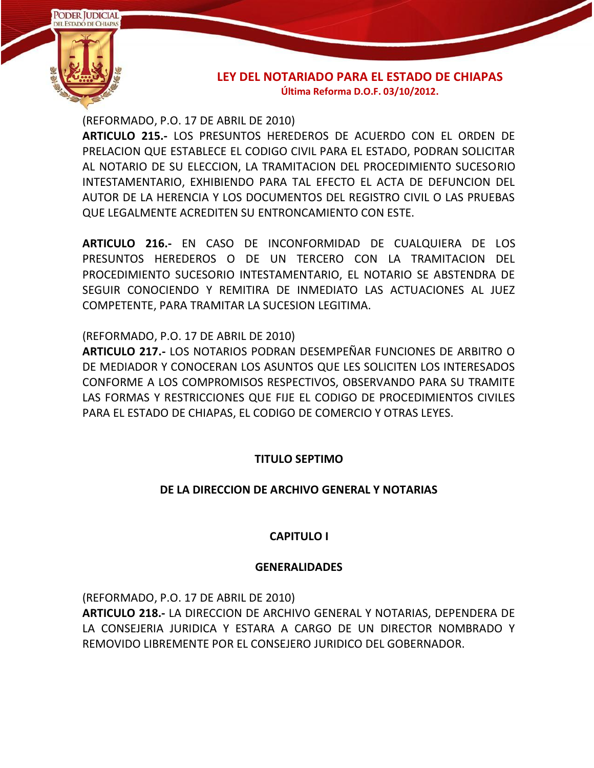

(REFORMADO, P.O. 17 DE ABRIL DE 2010)

**ARTICULO 215.-** LOS PRESUNTOS HEREDEROS DE ACUERDO CON EL ORDEN DE PRELACION QUE ESTABLECE EL CODIGO CIVIL PARA EL ESTADO, PODRAN SOLICITAR AL NOTARIO DE SU ELECCION, LA TRAMITACION DEL PROCEDIMIENTO SUCESORIO INTESTAMENTARIO, EXHIBIENDO PARA TAL EFECTO EL ACTA DE DEFUNCION DEL AUTOR DE LA HERENCIA Y LOS DOCUMENTOS DEL REGISTRO CIVIL O LAS PRUEBAS QUE LEGALMENTE ACREDITEN SU ENTRONCAMIENTO CON ESTE.

**ARTICULO 216.-** EN CASO DE INCONFORMIDAD DE CUALQUIERA DE LOS PRESUNTOS HEREDEROS O DE UN TERCERO CON LA TRAMITACION DEL PROCEDIMIENTO SUCESORIO INTESTAMENTARIO, EL NOTARIO SE ABSTENDRA DE SEGUIR CONOCIENDO Y REMITIRA DE INMEDIATO LAS ACTUACIONES AL JUEZ COMPETENTE, PARA TRAMITAR LA SUCESION LEGITIMA.

(REFORMADO, P.O. 17 DE ABRIL DE 2010)

**ARTICULO 217.-** LOS NOTARIOS PODRAN DESEMPEÑAR FUNCIONES DE ARBITRO O DE MEDIADOR Y CONOCERAN LOS ASUNTOS QUE LES SOLICITEN LOS INTERESADOS CONFORME A LOS COMPROMISOS RESPECTIVOS, OBSERVANDO PARA SU TRAMITE LAS FORMAS Y RESTRICCIONES QUE FIJE EL CODIGO DE PROCEDIMIENTOS CIVILES PARA EL ESTADO DE CHIAPAS, EL CODIGO DE COMERCIO Y OTRAS LEYES.

# **TITULO SEPTIMO**

# **DE LA DIRECCION DE ARCHIVO GENERAL Y NOTARIAS**

# **CAPITULO I**

### **GENERALIDADES**

(REFORMADO, P.O. 17 DE ABRIL DE 2010)

**ARTICULO 218.-** LA DIRECCION DE ARCHIVO GENERAL Y NOTARIAS, DEPENDERA DE LA CONSEJERIA JURIDICA Y ESTARA A CARGO DE UN DIRECTOR NOMBRADO Y REMOVIDO LIBREMENTE POR EL CONSEJERO JURIDICO DEL GOBERNADOR.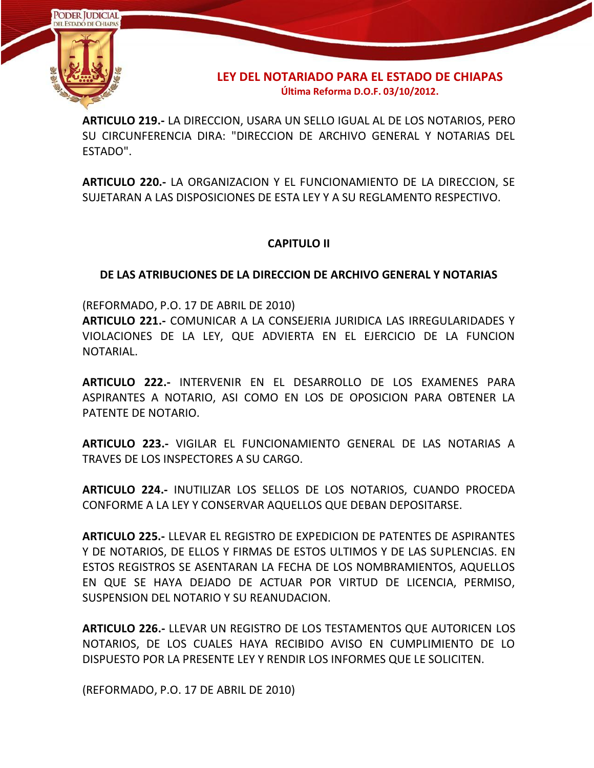

**ARTICULO 219.-** LA DIRECCION, USARA UN SELLO IGUAL AL DE LOS NOTARIOS, PERO SU CIRCUNFERENCIA DIRA: "DIRECCION DE ARCHIVO GENERAL Y NOTARIAS DEL ESTADO".

**ARTICULO 220.-** LA ORGANIZACION Y EL FUNCIONAMIENTO DE LA DIRECCION, SE SUJETARAN A LAS DISPOSICIONES DE ESTA LEY Y A SU REGLAMENTO RESPECTIVO.

# **CAPITULO II**

# **DE LAS ATRIBUCIONES DE LA DIRECCION DE ARCHIVO GENERAL Y NOTARIAS**

(REFORMADO, P.O. 17 DE ABRIL DE 2010)

**ARTICULO 221.-** COMUNICAR A LA CONSEJERIA JURIDICA LAS IRREGULARIDADES Y VIOLACIONES DE LA LEY, QUE ADVIERTA EN EL EJERCICIO DE LA FUNCION NOTARIAL.

**ARTICULO 222.-** INTERVENIR EN EL DESARROLLO DE LOS EXAMENES PARA ASPIRANTES A NOTARIO, ASI COMO EN LOS DE OPOSICION PARA OBTENER LA PATENTE DE NOTARIO.

**ARTICULO 223.-** VIGILAR EL FUNCIONAMIENTO GENERAL DE LAS NOTARIAS A TRAVES DE LOS INSPECTORES A SU CARGO.

**ARTICULO 224.-** INUTILIZAR LOS SELLOS DE LOS NOTARIOS, CUANDO PROCEDA CONFORME A LA LEY Y CONSERVAR AQUELLOS QUE DEBAN DEPOSITARSE.

**ARTICULO 225.-** LLEVAR EL REGISTRO DE EXPEDICION DE PATENTES DE ASPIRANTES Y DE NOTARIOS, DE ELLOS Y FIRMAS DE ESTOS ULTIMOS Y DE LAS SUPLENCIAS. EN ESTOS REGISTROS SE ASENTARAN LA FECHA DE LOS NOMBRAMIENTOS, AQUELLOS EN QUE SE HAYA DEJADO DE ACTUAR POR VIRTUD DE LICENCIA, PERMISO, SUSPENSION DEL NOTARIO Y SU REANUDACION.

**ARTICULO 226.-** LLEVAR UN REGISTRO DE LOS TESTAMENTOS QUE AUTORICEN LOS NOTARIOS, DE LOS CUALES HAYA RECIBIDO AVISO EN CUMPLIMIENTO DE LO DISPUESTO POR LA PRESENTE LEY Y RENDIR LOS INFORMES QUE LE SOLICITEN.

(REFORMADO, P.O. 17 DE ABRIL DE 2010)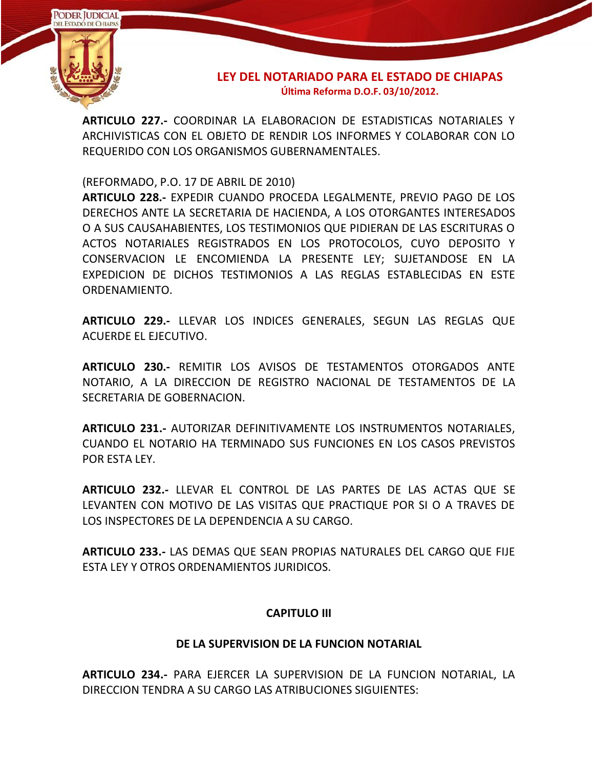

**ARTICULO 227.-** COORDINAR LA ELABORACION DE ESTADISTICAS NOTARIALES Y ARCHIVISTICAS CON EL OBJETO DE RENDIR LOS INFORMES Y COLABORAR CON LO REQUERIDO CON LOS ORGANISMOS GUBERNAMENTALES.

(REFORMADO, P.O. 17 DE ABRIL DE 2010)

**ARTICULO 228.-** EXPEDIR CUANDO PROCEDA LEGALMENTE, PREVIO PAGO DE LOS DERECHOS ANTE LA SECRETARIA DE HACIENDA, A LOS OTORGANTES INTERESADOS O A SUS CAUSAHABIENTES, LOS TESTIMONIOS QUE PIDIERAN DE LAS ESCRITURAS O ACTOS NOTARIALES REGISTRADOS EN LOS PROTOCOLOS, CUYO DEPOSITO Y CONSERVACION LE ENCOMIENDA LA PRESENTE LEY; SUJETANDOSE EN LA EXPEDICION DE DICHOS TESTIMONIOS A LAS REGLAS ESTABLECIDAS EN ESTE ORDENAMIENTO.

**ARTICULO 229.-** LLEVAR LOS INDICES GENERALES, SEGUN LAS REGLAS QUE ACUERDE EL EJECUTIVO.

**ARTICULO 230.-** REMITIR LOS AVISOS DE TESTAMENTOS OTORGADOS ANTE NOTARIO, A LA DIRECCION DE REGISTRO NACIONAL DE TESTAMENTOS DE LA SECRETARIA DE GOBERNACION.

**ARTICULO 231.-** AUTORIZAR DEFINITIVAMENTE LOS INSTRUMENTOS NOTARIALES, CUANDO EL NOTARIO HA TERMINADO SUS FUNCIONES EN LOS CASOS PREVISTOS POR ESTA LEY.

**ARTICULO 232.-** LLEVAR EL CONTROL DE LAS PARTES DE LAS ACTAS QUE SE LEVANTEN CON MOTIVO DE LAS VISITAS QUE PRACTIQUE POR SI O A TRAVES DE LOS INSPECTORES DE LA DEPENDENCIA A SU CARGO.

**ARTICULO 233.-** LAS DEMAS QUE SEAN PROPIAS NATURALES DEL CARGO QUE FIJE ESTA LEY Y OTROS ORDENAMIENTOS JURIDICOS.

### **CAPITULO III**

### **DE LA SUPERVISION DE LA FUNCION NOTARIAL**

**ARTICULO 234.-** PARA EJERCER LA SUPERVISION DE LA FUNCION NOTARIAL, LA DIRECCION TENDRA A SU CARGO LAS ATRIBUCIONES SIGUIENTES: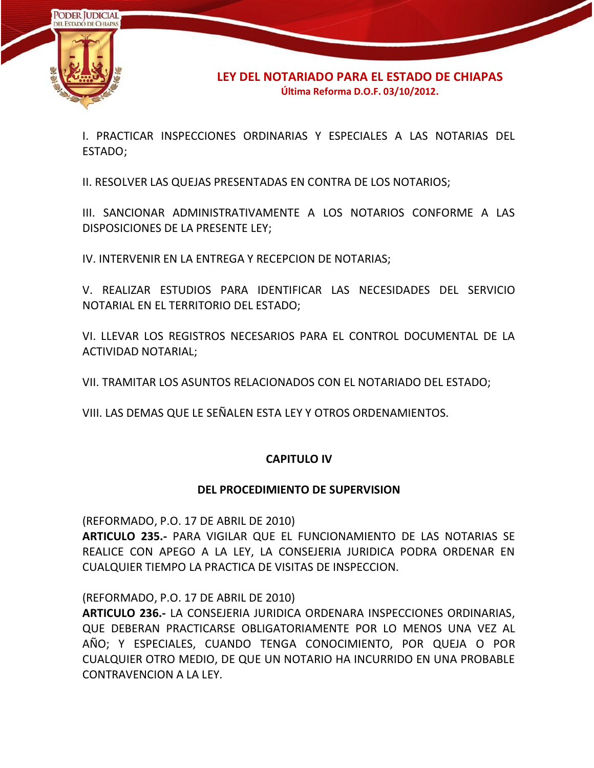

I. PRACTICAR INSPECCIONES ORDINARIAS Y ESPECIALES A LAS NOTARIAS DEL ESTADO;

II. RESOLVER LAS QUEJAS PRESENTADAS EN CONTRA DE LOS NOTARIOS;

III. SANCIONAR ADMINISTRATIVAMENTE A LOS NOTARIOS CONFORME A LAS DISPOSICIONES DE LA PRESENTE LEY;

IV. INTERVENIR EN LA ENTREGA Y RECEPCION DE NOTARIAS;

V. REALIZAR ESTUDIOS PARA IDENTIFICAR LAS NECESIDADES DEL SERVICIO NOTARIAL EN EL TERRITORIO DEL ESTADO;

VI. LLEVAR LOS REGISTROS NECESARIOS PARA EL CONTROL DOCUMENTAL DE LA ACTIVIDAD NOTARIAL;

VII. TRAMITAR LOS ASUNTOS RELACIONADOS CON EL NOTARIADO DEL ESTADO;

VIII. LAS DEMAS QUE LE SEÑALEN ESTA LEY Y OTROS ORDENAMIENTOS.

### **CAPITULO IV**

### **DEL PROCEDIMIENTO DE SUPERVISION**

(REFORMADO, P.O. 17 DE ABRIL DE 2010)

**ARTICULO 235.-** PARA VIGILAR QUE EL FUNCIONAMIENTO DE LAS NOTARIAS SE REALICE CON APEGO A LA LEY, LA CONSEJERIA JURIDICA PODRA ORDENAR EN CUALQUIER TIEMPO LA PRACTICA DE VISITAS DE INSPECCION.

(REFORMADO, P.O. 17 DE ABRIL DE 2010)

**ARTICULO 236.-** LA CONSEJERIA JURIDICA ORDENARA INSPECCIONES ORDINARIAS, QUE DEBERAN PRACTICARSE OBLIGATORIAMENTE POR LO MENOS UNA VEZ AL AÑO; Y ESPECIALES, CUANDO TENGA CONOCIMIENTO, POR QUEJA O POR CUALQUIER OTRO MEDIO, DE QUE UN NOTARIO HA INCURRIDO EN UNA PROBABLE CONTRAVENCION A LA LEY.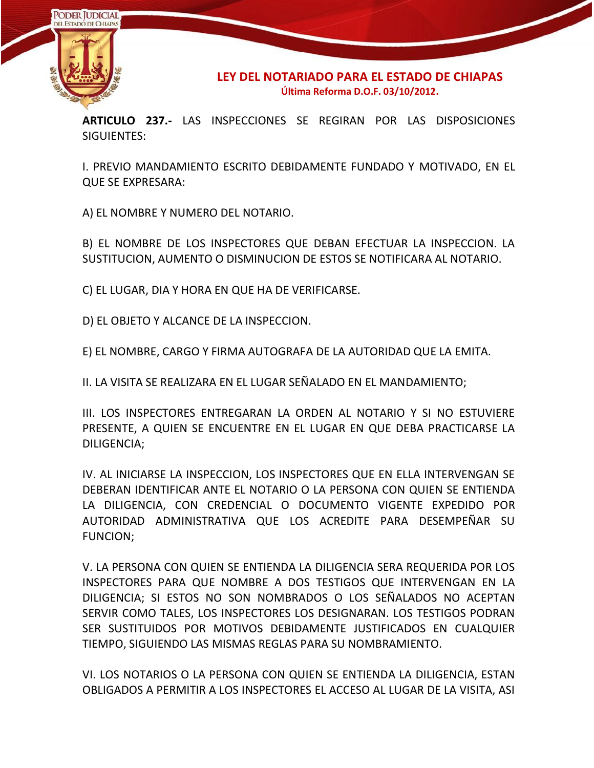

**ARTICULO 237.-** LAS INSPECCIONES SE REGIRAN POR LAS DISPOSICIONES SIGUIENTES:

I. PREVIO MANDAMIENTO ESCRITO DEBIDAMENTE FUNDADO Y MOTIVADO, EN EL QUE SE EXPRESARA:

A) EL NOMBRE Y NUMERO DEL NOTARIO.

B) EL NOMBRE DE LOS INSPECTORES QUE DEBAN EFECTUAR LA INSPECCION. LA SUSTITUCION, AUMENTO O DISMINUCION DE ESTOS SE NOTIFICARA AL NOTARIO.

C) EL LUGAR, DIA Y HORA EN QUE HA DE VERIFICARSE.

D) EL OBJETO Y ALCANCE DE LA INSPECCION.

E) EL NOMBRE, CARGO Y FIRMA AUTOGRAFA DE LA AUTORIDAD QUE LA EMITA.

II. LA VISITA SE REALIZARA EN EL LUGAR SEÑALADO EN EL MANDAMIENTO;

III. LOS INSPECTORES ENTREGARAN LA ORDEN AL NOTARIO Y SI NO ESTUVIERE PRESENTE, A QUIEN SE ENCUENTRE EN EL LUGAR EN QUE DEBA PRACTICARSE LA DILIGENCIA;

IV. AL INICIARSE LA INSPECCION, LOS INSPECTORES QUE EN ELLA INTERVENGAN SE DEBERAN IDENTIFICAR ANTE EL NOTARIO O LA PERSONA CON QUIEN SE ENTIENDA LA DILIGENCIA, CON CREDENCIAL O DOCUMENTO VIGENTE EXPEDIDO POR AUTORIDAD ADMINISTRATIVA QUE LOS ACREDITE PARA DESEMPEÑAR SU FUNCION;

V. LA PERSONA CON QUIEN SE ENTIENDA LA DILIGENCIA SERA REQUERIDA POR LOS INSPECTORES PARA QUE NOMBRE A DOS TESTIGOS QUE INTERVENGAN EN LA DILIGENCIA; SI ESTOS NO SON NOMBRADOS O LOS SEÑALADOS NO ACEPTAN SERVIR COMO TALES, LOS INSPECTORES LOS DESIGNARAN. LOS TESTIGOS PODRAN SER SUSTITUIDOS POR MOTIVOS DEBIDAMENTE JUSTIFICADOS EN CUALQUIER TIEMPO, SIGUIENDO LAS MISMAS REGLAS PARA SU NOMBRAMIENTO.

VI. LOS NOTARIOS O LA PERSONA CON QUIEN SE ENTIENDA LA DILIGENCIA, ESTAN OBLIGADOS A PERMITIR A LOS INSPECTORES EL ACCESO AL LUGAR DE LA VISITA, ASI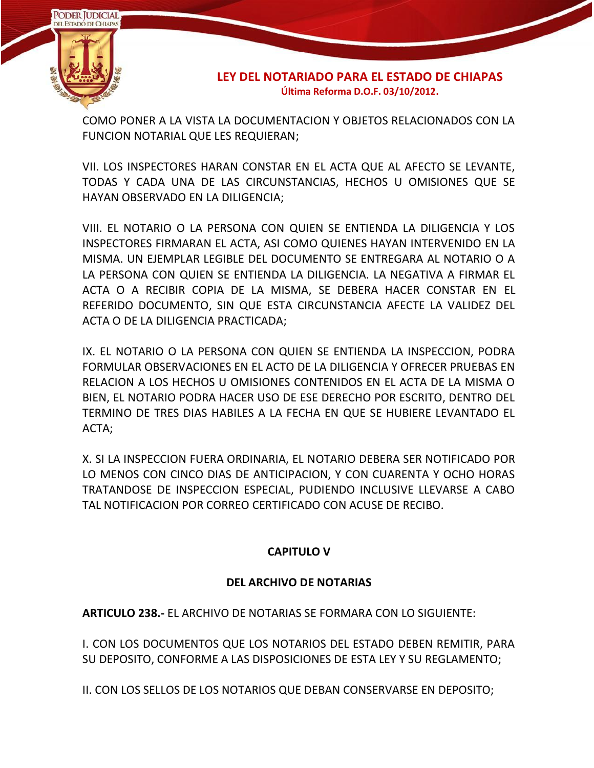

COMO PONER A LA VISTA LA DOCUMENTACION Y OBJETOS RELACIONADOS CON LA FUNCION NOTARIAL QUE LES REQUIERAN;

VII. LOS INSPECTORES HARAN CONSTAR EN EL ACTA QUE AL AFECTO SE LEVANTE, TODAS Y CADA UNA DE LAS CIRCUNSTANCIAS, HECHOS U OMISIONES QUE SE HAYAN OBSERVADO EN LA DILIGENCIA;

VIII. EL NOTARIO O LA PERSONA CON QUIEN SE ENTIENDA LA DILIGENCIA Y LOS INSPECTORES FIRMARAN EL ACTA, ASI COMO QUIENES HAYAN INTERVENIDO EN LA MISMA. UN EJEMPLAR LEGIBLE DEL DOCUMENTO SE ENTREGARA AL NOTARIO O A LA PERSONA CON QUIEN SE ENTIENDA LA DILIGENCIA. LA NEGATIVA A FIRMAR EL ACTA O A RECIBIR COPIA DE LA MISMA, SE DEBERA HACER CONSTAR EN EL REFERIDO DOCUMENTO, SIN QUE ESTA CIRCUNSTANCIA AFECTE LA VALIDEZ DEL ACTA O DE LA DILIGENCIA PRACTICADA;

IX. EL NOTARIO O LA PERSONA CON QUIEN SE ENTIENDA LA INSPECCION, PODRA FORMULAR OBSERVACIONES EN EL ACTO DE LA DILIGENCIA Y OFRECER PRUEBAS EN RELACION A LOS HECHOS U OMISIONES CONTENIDOS EN EL ACTA DE LA MISMA O BIEN, EL NOTARIO PODRA HACER USO DE ESE DERECHO POR ESCRITO, DENTRO DEL TERMINO DE TRES DIAS HABILES A LA FECHA EN QUE SE HUBIERE LEVANTADO EL ACTA;

X. SI LA INSPECCION FUERA ORDINARIA, EL NOTARIO DEBERA SER NOTIFICADO POR LO MENOS CON CINCO DIAS DE ANTICIPACION, Y CON CUARENTA Y OCHO HORAS TRATANDOSE DE INSPECCION ESPECIAL, PUDIENDO INCLUSIVE LLEVARSE A CABO TAL NOTIFICACION POR CORREO CERTIFICADO CON ACUSE DE RECIBO.

# **CAPITULO V**

# **DEL ARCHIVO DE NOTARIAS**

**ARTICULO 238.-** EL ARCHIVO DE NOTARIAS SE FORMARA CON LO SIGUIENTE:

I. CON LOS DOCUMENTOS QUE LOS NOTARIOS DEL ESTADO DEBEN REMITIR, PARA SU DEPOSITO, CONFORME A LAS DISPOSICIONES DE ESTA LEY Y SU REGLAMENTO;

II. CON LOS SELLOS DE LOS NOTARIOS QUE DEBAN CONSERVARSE EN DEPOSITO;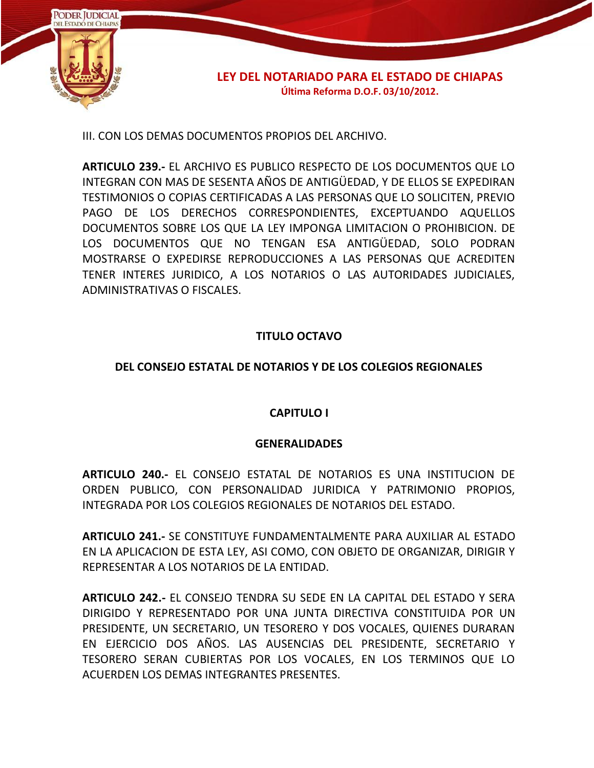

III. CON LOS DEMAS DOCUMENTOS PROPIOS DEL ARCHIVO.

**ARTICULO 239.-** EL ARCHIVO ES PUBLICO RESPECTO DE LOS DOCUMENTOS QUE LO INTEGRAN CON MAS DE SESENTA AÑOS DE ANTIGÜEDAD, Y DE ELLOS SE EXPEDIRAN TESTIMONIOS O COPIAS CERTIFICADAS A LAS PERSONAS QUE LO SOLICITEN, PREVIO PAGO DE LOS DERECHOS CORRESPONDIENTES, EXCEPTUANDO AQUELLOS DOCUMENTOS SOBRE LOS QUE LA LEY IMPONGA LIMITACION O PROHIBICION. DE LOS DOCUMENTOS QUE NO TENGAN ESA ANTIGÜEDAD, SOLO PODRAN MOSTRARSE O EXPEDIRSE REPRODUCCIONES A LAS PERSONAS QUE ACREDITEN TENER INTERES JURIDICO, A LOS NOTARIOS O LAS AUTORIDADES JUDICIALES, ADMINISTRATIVAS O FISCALES.

# **TITULO OCTAVO**

### **DEL CONSEJO ESTATAL DE NOTARIOS Y DE LOS COLEGIOS REGIONALES**

### **CAPITULO I**

### **GENERALIDADES**

**ARTICULO 240.-** EL CONSEJO ESTATAL DE NOTARIOS ES UNA INSTITUCION DE ORDEN PUBLICO, CON PERSONALIDAD JURIDICA Y PATRIMONIO PROPIOS, INTEGRADA POR LOS COLEGIOS REGIONALES DE NOTARIOS DEL ESTADO.

**ARTICULO 241.-** SE CONSTITUYE FUNDAMENTALMENTE PARA AUXILIAR AL ESTADO EN LA APLICACION DE ESTA LEY, ASI COMO, CON OBJETO DE ORGANIZAR, DIRIGIR Y REPRESENTAR A LOS NOTARIOS DE LA ENTIDAD.

**ARTICULO 242.-** EL CONSEJO TENDRA SU SEDE EN LA CAPITAL DEL ESTADO Y SERA DIRIGIDO Y REPRESENTADO POR UNA JUNTA DIRECTIVA CONSTITUIDA POR UN PRESIDENTE, UN SECRETARIO, UN TESORERO Y DOS VOCALES, QUIENES DURARAN EN EJERCICIO DOS AÑOS. LAS AUSENCIAS DEL PRESIDENTE, SECRETARIO Y TESORERO SERAN CUBIERTAS POR LOS VOCALES, EN LOS TERMINOS QUE LO ACUERDEN LOS DEMAS INTEGRANTES PRESENTES.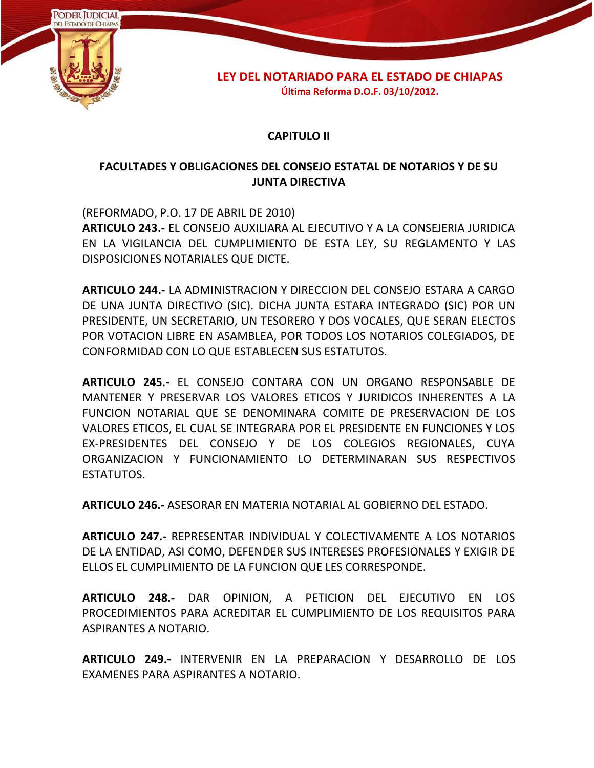

### **CAPITULO II**

## **FACULTADES Y OBLIGACIONES DEL CONSEJO ESTATAL DE NOTARIOS Y DE SU JUNTA DIRECTIVA**

(REFORMADO, P.O. 17 DE ABRIL DE 2010) **ARTICULO 243.-** EL CONSEJO AUXILIARA AL EJECUTIVO Y A LA CONSEJERIA JURIDICA EN LA VIGILANCIA DEL CUMPLIMIENTO DE ESTA LEY, SU REGLAMENTO Y LAS DISPOSICIONES NOTARIALES QUE DICTE.

**ARTICULO 244.-** LA ADMINISTRACION Y DIRECCION DEL CONSEJO ESTARA A CARGO DE UNA JUNTA DIRECTIVO (SIC). DICHA JUNTA ESTARA INTEGRADO (SIC) POR UN PRESIDENTE, UN SECRETARIO, UN TESORERO Y DOS VOCALES, QUE SERAN ELECTOS POR VOTACION LIBRE EN ASAMBLEA, POR TODOS LOS NOTARIOS COLEGIADOS, DE CONFORMIDAD CON LO QUE ESTABLECEN SUS ESTATUTOS.

**ARTICULO 245.-** EL CONSEJO CONTARA CON UN ORGANO RESPONSABLE DE MANTENER Y PRESERVAR LOS VALORES ETICOS Y JURIDICOS INHERENTES A LA FUNCION NOTARIAL QUE SE DENOMINARA COMITE DE PRESERVACION DE LOS VALORES ETICOS, EL CUAL SE INTEGRARA POR EL PRESIDENTE EN FUNCIONES Y LOS EX-PRESIDENTES DEL CONSEJO Y DE LOS COLEGIOS REGIONALES, CUYA ORGANIZACION Y FUNCIONAMIENTO LO DETERMINARAN SUS RESPECTIVOS ESTATUTOS.

**ARTICULO 246.-** ASESORAR EN MATERIA NOTARIAL AL GOBIERNO DEL ESTADO.

**ARTICULO 247.-** REPRESENTAR INDIVIDUAL Y COLECTIVAMENTE A LOS NOTARIOS DE LA ENTIDAD, ASI COMO, DEFENDER SUS INTERESES PROFESIONALES Y EXIGIR DE ELLOS EL CUMPLIMIENTO DE LA FUNCION QUE LES CORRESPONDE.

**ARTICULO 248.-** DAR OPINION, A PETICION DEL EJECUTIVO EN LOS PROCEDIMIENTOS PARA ACREDITAR EL CUMPLIMIENTO DE LOS REQUISITOS PARA ASPIRANTES A NOTARIO.

**ARTICULO 249.-** INTERVENIR EN LA PREPARACION Y DESARROLLO DE LOS EXAMENES PARA ASPIRANTES A NOTARIO.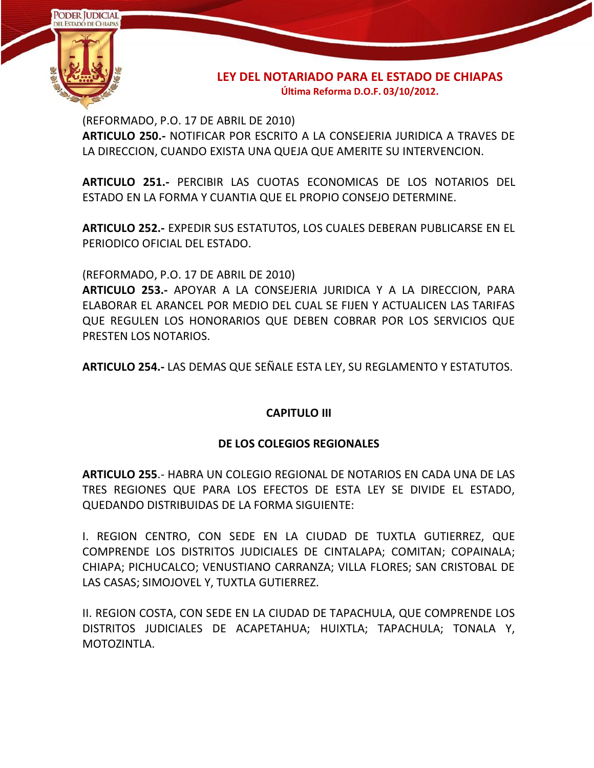

(REFORMADO, P.O. 17 DE ABRIL DE 2010) **ARTICULO 250.-** NOTIFICAR POR ESCRITO A LA CONSEJERIA JURIDICA A TRAVES DE LA DIRECCION, CUANDO EXISTA UNA QUEJA QUE AMERITE SU INTERVENCION.

**ARTICULO 251.-** PERCIBIR LAS CUOTAS ECONOMICAS DE LOS NOTARIOS DEL ESTADO EN LA FORMA Y CUANTIA QUE EL PROPIO CONSEJO DETERMINE.

**ARTICULO 252.-** EXPEDIR SUS ESTATUTOS, LOS CUALES DEBERAN PUBLICARSE EN EL PERIODICO OFICIAL DEL ESTADO.

(REFORMADO, P.O. 17 DE ABRIL DE 2010)

**ARTICULO 253.-** APOYAR A LA CONSEJERIA JURIDICA Y A LA DIRECCION, PARA ELABORAR EL ARANCEL POR MEDIO DEL CUAL SE FIJEN Y ACTUALICEN LAS TARIFAS QUE REGULEN LOS HONORARIOS QUE DEBEN COBRAR POR LOS SERVICIOS QUE PRESTEN LOS NOTARIOS.

**ARTICULO 254.-** LAS DEMAS QUE SEÑALE ESTA LEY, SU REGLAMENTO Y ESTATUTOS.

#### **CAPITULO III**

#### **DE LOS COLEGIOS REGIONALES**

**ARTICULO 255**.- HABRA UN COLEGIO REGIONAL DE NOTARIOS EN CADA UNA DE LAS TRES REGIONES QUE PARA LOS EFECTOS DE ESTA LEY SE DIVIDE EL ESTADO, QUEDANDO DISTRIBUIDAS DE LA FORMA SIGUIENTE:

I. REGION CENTRO, CON SEDE EN LA CIUDAD DE TUXTLA GUTIERREZ, QUE COMPRENDE LOS DISTRITOS JUDICIALES DE CINTALAPA; COMITAN; COPAINALA; CHIAPA; PICHUCALCO; VENUSTIANO CARRANZA; VILLA FLORES; SAN CRISTOBAL DE LAS CASAS; SIMOJOVEL Y, TUXTLA GUTIERREZ.

II. REGION COSTA, CON SEDE EN LA CIUDAD DE TAPACHULA, QUE COMPRENDE LOS DISTRITOS JUDICIALES DE ACAPETAHUA; HUIXTLA; TAPACHULA; TONALA Y, MOTOZINTLA.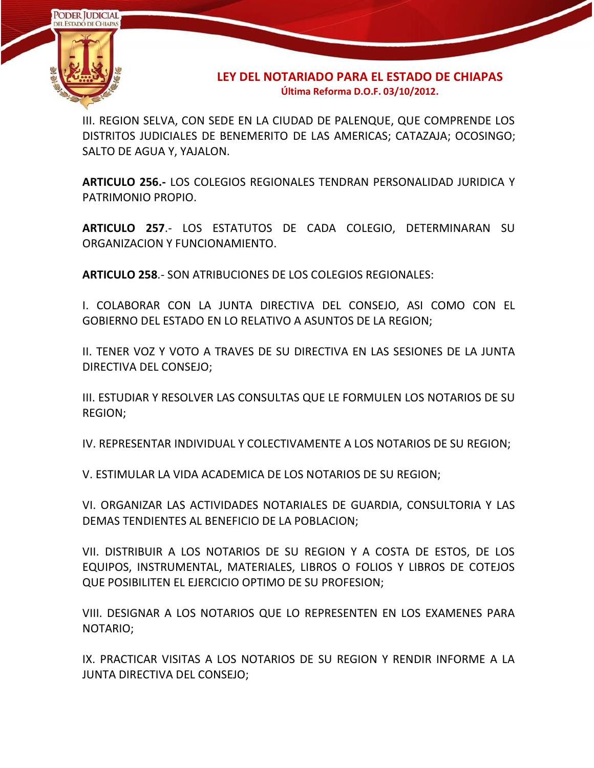

III. REGION SELVA, CON SEDE EN LA CIUDAD DE PALENQUE, QUE COMPRENDE LOS DISTRITOS JUDICIALES DE BENEMERITO DE LAS AMERICAS; CATAZAJA; OCOSINGO; SALTO DE AGUA Y, YAJALON.

**ARTICULO 256.-** LOS COLEGIOS REGIONALES TENDRAN PERSONALIDAD JURIDICA Y PATRIMONIO PROPIO.

**ARTICULO 257**.- LOS ESTATUTOS DE CADA COLEGIO, DETERMINARAN SU ORGANIZACION Y FUNCIONAMIENTO.

**ARTICULO 258**.- SON ATRIBUCIONES DE LOS COLEGIOS REGIONALES:

I. COLABORAR CON LA JUNTA DIRECTIVA DEL CONSEJO, ASI COMO CON EL GOBIERNO DEL ESTADO EN LO RELATIVO A ASUNTOS DE LA REGION;

II. TENER VOZ Y VOTO A TRAVES DE SU DIRECTIVA EN LAS SESIONES DE LA JUNTA DIRECTIVA DEL CONSEJO;

III. ESTUDIAR Y RESOLVER LAS CONSULTAS QUE LE FORMULEN LOS NOTARIOS DE SU REGION;

IV. REPRESENTAR INDIVIDUAL Y COLECTIVAMENTE A LOS NOTARIOS DE SU REGION;

V. ESTIMULAR LA VIDA ACADEMICA DE LOS NOTARIOS DE SU REGION;

VI. ORGANIZAR LAS ACTIVIDADES NOTARIALES DE GUARDIA, CONSULTORIA Y LAS DEMAS TENDIENTES AL BENEFICIO DE LA POBLACION;

VII. DISTRIBUIR A LOS NOTARIOS DE SU REGION Y A COSTA DE ESTOS, DE LOS EQUIPOS, INSTRUMENTAL, MATERIALES, LIBROS O FOLIOS Y LIBROS DE COTEJOS QUE POSIBILITEN EL EJERCICIO OPTIMO DE SU PROFESION;

VIII. DESIGNAR A LOS NOTARIOS QUE LO REPRESENTEN EN LOS EXAMENES PARA NOTARIO;

IX. PRACTICAR VISITAS A LOS NOTARIOS DE SU REGION Y RENDIR INFORME A LA JUNTA DIRECTIVA DEL CONSEJO;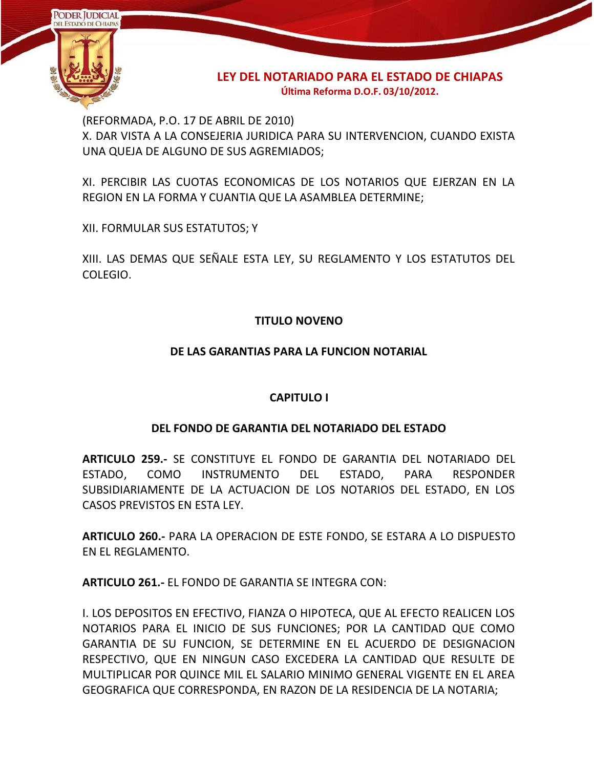

(REFORMADA, P.O. 17 DE ABRIL DE 2010) X. DAR VISTA A LA CONSEJERIA JURIDICA PARA SU INTERVENCION, CUANDO EXISTA UNA QUEJA DE ALGUNO DE SUS AGREMIADOS;

XI. PERCIBIR LAS CUOTAS ECONOMICAS DE LOS NOTARIOS QUE EJERZAN EN LA REGION EN LA FORMA Y CUANTIA QUE LA ASAMBLEA DETERMINE;

XII. FORMULAR SUS ESTATUTOS; Y

XIII. LAS DEMAS QUE SEÑALE ESTA LEY, SU REGLAMENTO Y LOS ESTATUTOS DEL COLEGIO.

# **TITULO NOVENO**

# **DE LAS GARANTIAS PARA LA FUNCION NOTARIAL**

# **CAPITULO I**

### **DEL FONDO DE GARANTIA DEL NOTARIADO DEL ESTADO**

**ARTICULO 259.-** SE CONSTITUYE EL FONDO DE GARANTIA DEL NOTARIADO DEL ESTADO, COMO INSTRUMENTO DEL ESTADO, PARA RESPONDER SUBSIDIARIAMENTE DE LA ACTUACION DE LOS NOTARIOS DEL ESTADO, EN LOS CASOS PREVISTOS EN ESTA LEY.

**ARTICULO 260.-** PARA LA OPERACION DE ESTE FONDO, SE ESTARA A LO DISPUESTO EN EL REGLAMENTO.

**ARTICULO 261.-** EL FONDO DE GARANTIA SE INTEGRA CON:

I. LOS DEPOSITOS EN EFECTIVO, FIANZA O HIPOTECA, QUE AL EFECTO REALICEN LOS NOTARIOS PARA EL INICIO DE SUS FUNCIONES; POR LA CANTIDAD QUE COMO GARANTIA DE SU FUNCION, SE DETERMINE EN EL ACUERDO DE DESIGNACION RESPECTIVO, QUE EN NINGUN CASO EXCEDERA LA CANTIDAD QUE RESULTE DE MULTIPLICAR POR QUINCE MIL EL SALARIO MINIMO GENERAL VIGENTE EN EL AREA GEOGRAFICA QUE CORRESPONDA, EN RAZON DE LA RESIDENCIA DE LA NOTARIA;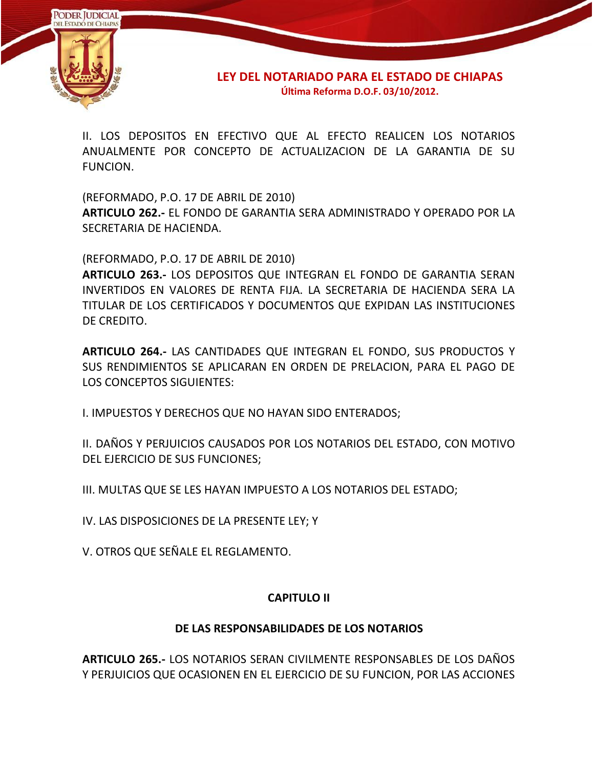

II. LOS DEPOSITOS EN EFECTIVO QUE AL EFECTO REALICEN LOS NOTARIOS ANUALMENTE POR CONCEPTO DE ACTUALIZACION DE LA GARANTIA DE SU FUNCION.

(REFORMADO, P.O. 17 DE ABRIL DE 2010)

**ARTICULO 262.-** EL FONDO DE GARANTIA SERA ADMINISTRADO Y OPERADO POR LA SECRETARIA DE HACIENDA.

(REFORMADO, P.O. 17 DE ABRIL DE 2010)

**ARTICULO 263.-** LOS DEPOSITOS QUE INTEGRAN EL FONDO DE GARANTIA SERAN INVERTIDOS EN VALORES DE RENTA FIJA. LA SECRETARIA DE HACIENDA SERA LA TITULAR DE LOS CERTIFICADOS Y DOCUMENTOS QUE EXPIDAN LAS INSTITUCIONES DE CREDITO.

**ARTICULO 264.-** LAS CANTIDADES QUE INTEGRAN EL FONDO, SUS PRODUCTOS Y SUS RENDIMIENTOS SE APLICARAN EN ORDEN DE PRELACION, PARA EL PAGO DE LOS CONCEPTOS SIGUIENTES:

I. IMPUESTOS Y DERECHOS QUE NO HAYAN SIDO ENTERADOS;

II. DAÑOS Y PERJUICIOS CAUSADOS POR LOS NOTARIOS DEL ESTADO, CON MOTIVO DEL EJERCICIO DE SUS FUNCIONES;

III. MULTAS QUE SE LES HAYAN IMPUESTO A LOS NOTARIOS DEL ESTADO;

IV. LAS DISPOSICIONES DE LA PRESENTE LEY; Y

V. OTROS QUE SEÑALE EL REGLAMENTO.

### **CAPITULO II**

### **DE LAS RESPONSABILIDADES DE LOS NOTARIOS**

**ARTICULO 265.-** LOS NOTARIOS SERAN CIVILMENTE RESPONSABLES DE LOS DAÑOS Y PERJUICIOS QUE OCASIONEN EN EL EJERCICIO DE SU FUNCION, POR LAS ACCIONES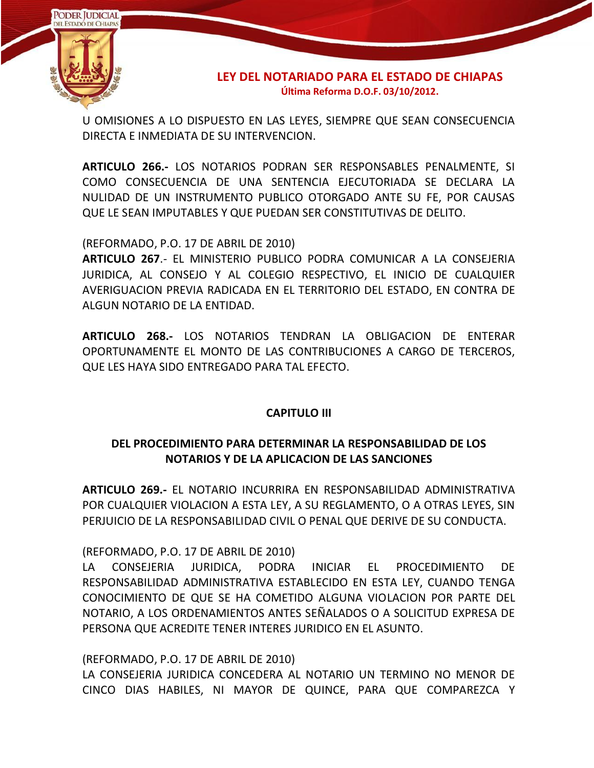

U OMISIONES A LO DISPUESTO EN LAS LEYES, SIEMPRE QUE SEAN CONSECUENCIA DIRECTA E INMEDIATA DE SU INTERVENCION.

**ARTICULO 266.-** LOS NOTARIOS PODRAN SER RESPONSABLES PENALMENTE, SI COMO CONSECUENCIA DE UNA SENTENCIA EJECUTORIADA SE DECLARA LA NULIDAD DE UN INSTRUMENTO PUBLICO OTORGADO ANTE SU FE, POR CAUSAS QUE LE SEAN IMPUTABLES Y QUE PUEDAN SER CONSTITUTIVAS DE DELITO.

(REFORMADO, P.O. 17 DE ABRIL DE 2010)

**ARTICULO 267**.- EL MINISTERIO PUBLICO PODRA COMUNICAR A LA CONSEJERIA JURIDICA, AL CONSEJO Y AL COLEGIO RESPECTIVO, EL INICIO DE CUALQUIER AVERIGUACION PREVIA RADICADA EN EL TERRITORIO DEL ESTADO, EN CONTRA DE ALGUN NOTARIO DE LA ENTIDAD.

**ARTICULO 268.-** LOS NOTARIOS TENDRAN LA OBLIGACION DE ENTERAR OPORTUNAMENTE EL MONTO DE LAS CONTRIBUCIONES A CARGO DE TERCEROS, QUE LES HAYA SIDO ENTREGADO PARA TAL EFECTO.

### **CAPITULO III**

# **DEL PROCEDIMIENTO PARA DETERMINAR LA RESPONSABILIDAD DE LOS NOTARIOS Y DE LA APLICACION DE LAS SANCIONES**

**ARTICULO 269.-** EL NOTARIO INCURRIRA EN RESPONSABILIDAD ADMINISTRATIVA POR CUALQUIER VIOLACION A ESTA LEY, A SU REGLAMENTO, O A OTRAS LEYES, SIN PERJUICIO DE LA RESPONSABILIDAD CIVIL O PENAL QUE DERIVE DE SU CONDUCTA.

(REFORMADO, P.O. 17 DE ABRIL DE 2010)

LA CONSEJERIA JURIDICA, PODRA INICIAR EL PROCEDIMIENTO DE RESPONSABILIDAD ADMINISTRATIVA ESTABLECIDO EN ESTA LEY, CUANDO TENGA CONOCIMIENTO DE QUE SE HA COMETIDO ALGUNA VIOLACION POR PARTE DEL NOTARIO, A LOS ORDENAMIENTOS ANTES SEÑALADOS O A SOLICITUD EXPRESA DE PERSONA QUE ACREDITE TENER INTERES JURIDICO EN EL ASUNTO.

(REFORMADO, P.O. 17 DE ABRIL DE 2010)

LA CONSEJERIA JURIDICA CONCEDERA AL NOTARIO UN TERMINO NO MENOR DE CINCO DIAS HABILES, NI MAYOR DE QUINCE, PARA QUE COMPAREZCA Y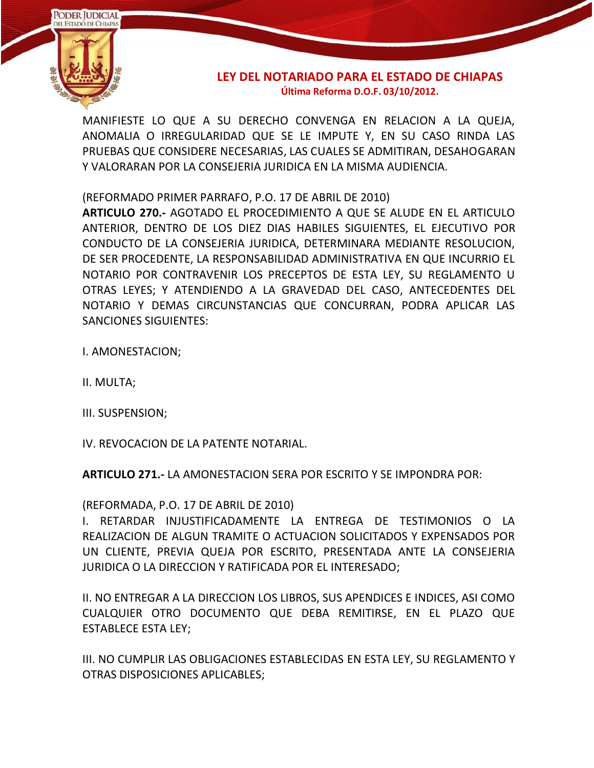

MANIFIESTE LO QUE A SU DERECHO CONVENGA EN RELACION A LA QUEJA, ANOMALIA O IRREGULARIDAD QUE SE LE IMPUTE Y, EN SU CASO RINDA LAS PRUEBAS QUE CONSIDERE NECESARIAS, LAS CUALES SE ADMITIRAN, DESAHOGARAN Y VALORARAN POR LA CONSEJERIA JURIDICA EN LA MISMA AUDIENCIA.

(REFORMADO PRIMER PARRAFO, P.O. 17 DE ABRIL DE 2010)

**ARTICULO 270.-** AGOTADO EL PROCEDIMIENTO A QUE SE ALUDE EN EL ARTICULO ANTERIOR, DENTRO DE LOS DIEZ DIAS HABILES SIGUIENTES, EL EJECUTIVO POR CONDUCTO DE LA CONSEJERIA JURIDICA, DETERMINARA MEDIANTE RESOLUCION, DE SER PROCEDENTE, LA RESPONSABILIDAD ADMINISTRATIVA EN QUE INCURRIO EL NOTARIO POR CONTRAVENIR LOS PRECEPTOS DE ESTA LEY, SU REGLAMENTO U OTRAS LEYES; Y ATENDIENDO A LA GRAVEDAD DEL CASO, ANTECEDENTES DEL NOTARIO Y DEMAS CIRCUNSTANCIAS QUE CONCURRAN, PODRA APLICAR LAS SANCIONES SIGUIENTES:

I. AMONESTACION;

II. MULTA;

III. SUSPENSION;

IV. REVOCACION DE LA PATENTE NOTARIAL.

**ARTICULO 271.-** LA AMONESTACION SERA POR ESCRITO Y SE IMPONDRA POR:

(REFORMADA, P.O. 17 DE ABRIL DE 2010)

I. RETARDAR INJUSTIFICADAMENTE LA ENTREGA DE TESTIMONIOS O LA REALIZACION DE ALGUN TRAMITE O ACTUACION SOLICITADOS Y EXPENSADOS POR UN CLIENTE, PREVIA QUEJA POR ESCRITO, PRESENTADA ANTE LA CONSEJERIA JURIDICA O LA DIRECCION Y RATIFICADA POR EL INTERESADO;

II. NO ENTREGAR A LA DIRECCION LOS LIBROS, SUS APENDICES E INDICES, ASI COMO CUALQUIER OTRO DOCUMENTO QUE DEBA REMITIRSE, EN EL PLAZO QUE ESTABLECE ESTA LEY;

III. NO CUMPLIR LAS OBLIGACIONES ESTABLECIDAS EN ESTA LEY, SU REGLAMENTO Y OTRAS DISPOSICIONES APLICABLES;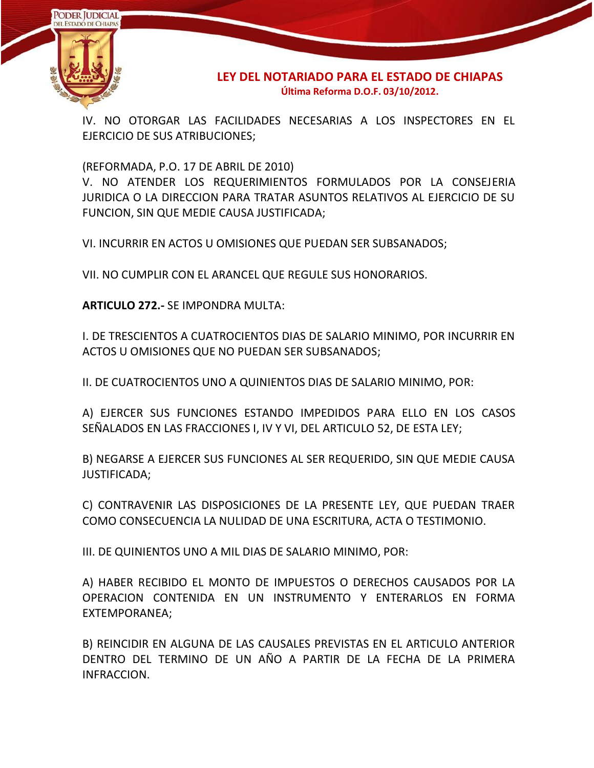

IV. NO OTORGAR LAS FACILIDADES NECESARIAS A LOS INSPECTORES EN EL EJERCICIO DE SUS ATRIBUCIONES;

(REFORMADA, P.O. 17 DE ABRIL DE 2010)

V. NO ATENDER LOS REQUERIMIENTOS FORMULADOS POR LA CONSEJERIA JURIDICA O LA DIRECCION PARA TRATAR ASUNTOS RELATIVOS AL EJERCICIO DE SU FUNCION, SIN QUE MEDIE CAUSA JUSTIFICADA;

VI. INCURRIR EN ACTOS U OMISIONES QUE PUEDAN SER SUBSANADOS;

VII. NO CUMPLIR CON EL ARANCEL QUE REGULE SUS HONORARIOS.

**ARTICULO 272.-** SE IMPONDRA MULTA:

I. DE TRESCIENTOS A CUATROCIENTOS DIAS DE SALARIO MINIMO, POR INCURRIR EN ACTOS U OMISIONES QUE NO PUEDAN SER SUBSANADOS;

II. DE CUATROCIENTOS UNO A QUINIENTOS DIAS DE SALARIO MINIMO, POR:

A) EJERCER SUS FUNCIONES ESTANDO IMPEDIDOS PARA ELLO EN LOS CASOS SEÑALADOS EN LAS FRACCIONES I, IV Y VI, DEL ARTICULO 52, DE ESTA LEY;

B) NEGARSE A EJERCER SUS FUNCIONES AL SER REQUERIDO, SIN QUE MEDIE CAUSA JUSTIFICADA;

C) CONTRAVENIR LAS DISPOSICIONES DE LA PRESENTE LEY, QUE PUEDAN TRAER COMO CONSECUENCIA LA NULIDAD DE UNA ESCRITURA, ACTA O TESTIMONIO.

III. DE QUINIENTOS UNO A MIL DIAS DE SALARIO MINIMO, POR:

A) HABER RECIBIDO EL MONTO DE IMPUESTOS O DERECHOS CAUSADOS POR LA OPERACION CONTENIDA EN UN INSTRUMENTO Y ENTERARLOS EN FORMA EXTEMPORANEA;

B) REINCIDIR EN ALGUNA DE LAS CAUSALES PREVISTAS EN EL ARTICULO ANTERIOR DENTRO DEL TERMINO DE UN AÑO A PARTIR DE LA FECHA DE LA PRIMERA INFRACCION.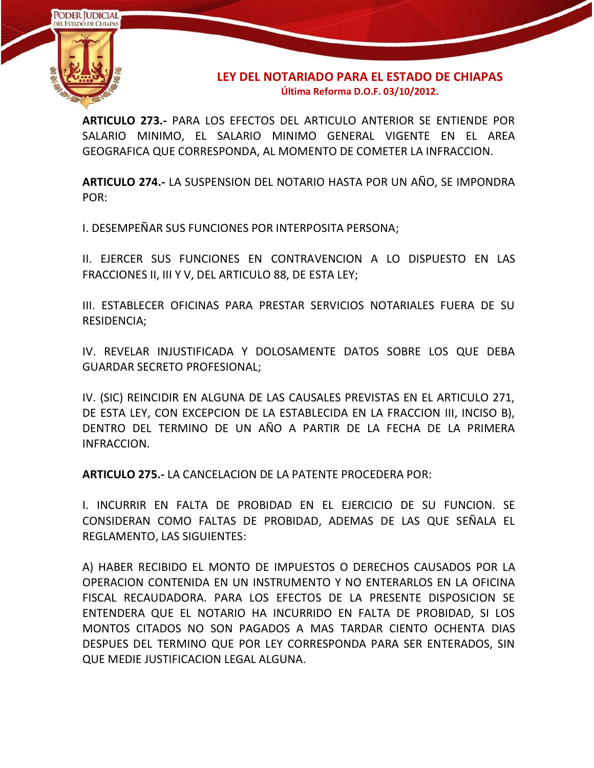

**ARTICULO 273.-** PARA LOS EFECTOS DEL ARTICULO ANTERIOR SE ENTIENDE POR SALARIO MINIMO, EL SALARIO MINIMO GENERAL VIGENTE EN EL AREA GEOGRAFICA QUE CORRESPONDA, AL MOMENTO DE COMETER LA INFRACCION.

**ARTICULO 274.-** LA SUSPENSION DEL NOTARIO HASTA POR UN AÑO, SE IMPONDRA POR:

I. DESEMPEÑAR SUS FUNCIONES POR INTERPOSITA PERSONA;

II. EJERCER SUS FUNCIONES EN CONTRAVENCION A LO DISPUESTO EN LAS FRACCIONES II, III Y V, DEL ARTICULO 88, DE ESTA LEY;

III. ESTABLECER OFICINAS PARA PRESTAR SERVICIOS NOTARIALES FUERA DE SU RESIDENCIA;

IV. REVELAR INJUSTIFICADA Y DOLOSAMENTE DATOS SOBRE LOS QUE DEBA GUARDAR SECRETO PROFESIONAL;

IV. (SIC) REINCIDIR EN ALGUNA DE LAS CAUSALES PREVISTAS EN EL ARTICULO 271, DE ESTA LEY, CON EXCEPCION DE LA ESTABLECIDA EN LA FRACCION III, INCISO B), DENTRO DEL TERMINO DE UN AÑO A PARTIR DE LA FECHA DE LA PRIMERA INFRACCION.

**ARTICULO 275.-** LA CANCELACION DE LA PATENTE PROCEDERA POR:

I. INCURRIR EN FALTA DE PROBIDAD EN EL EJERCICIO DE SU FUNCION. SE CONSIDERAN COMO FALTAS DE PROBIDAD, ADEMAS DE LAS QUE SEÑALA EL REGLAMENTO, LAS SIGUIENTES:

A) HABER RECIBIDO EL MONTO DE IMPUESTOS O DERECHOS CAUSADOS POR LA OPERACION CONTENIDA EN UN INSTRUMENTO Y NO ENTERARLOS EN LA OFICINA FISCAL RECAUDADORA. PARA LOS EFECTOS DE LA PRESENTE DISPOSICION SE ENTENDERA QUE EL NOTARIO HA INCURRIDO EN FALTA DE PROBIDAD, SI LOS MONTOS CITADOS NO SON PAGADOS A MAS TARDAR CIENTO OCHENTA DIAS DESPUES DEL TERMINO QUE POR LEY CORRESPONDA PARA SER ENTERADOS, SIN QUE MEDIE JUSTIFICACION LEGAL ALGUNA.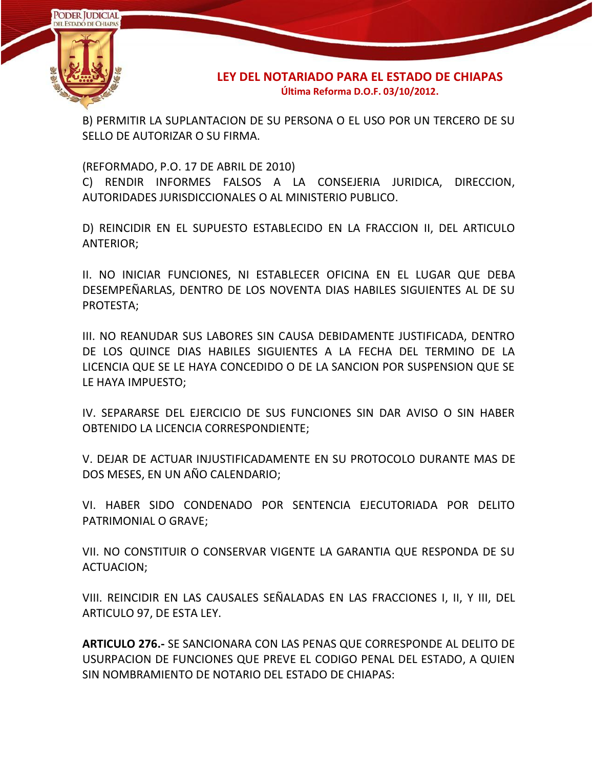

B) PERMITIR LA SUPLANTACION DE SU PERSONA O EL USO POR UN TERCERO DE SU SELLO DE AUTORIZAR O SU FIRMA.

(REFORMADO, P.O. 17 DE ABRIL DE 2010)

C) RENDIR INFORMES FALSOS A LA CONSEJERIA JURIDICA, DIRECCION, AUTORIDADES JURISDICCIONALES O AL MINISTERIO PUBLICO.

D) REINCIDIR EN EL SUPUESTO ESTABLECIDO EN LA FRACCION II, DEL ARTICULO ANTERIOR;

II. NO INICIAR FUNCIONES, NI ESTABLECER OFICINA EN EL LUGAR QUE DEBA DESEMPEÑARLAS, DENTRO DE LOS NOVENTA DIAS HABILES SIGUIENTES AL DE SU PROTESTA;

III. NO REANUDAR SUS LABORES SIN CAUSA DEBIDAMENTE JUSTIFICADA, DENTRO DE LOS QUINCE DIAS HABILES SIGUIENTES A LA FECHA DEL TERMINO DE LA LICENCIA QUE SE LE HAYA CONCEDIDO O DE LA SANCION POR SUSPENSION QUE SE LE HAYA IMPUESTO;

IV. SEPARARSE DEL EJERCICIO DE SUS FUNCIONES SIN DAR AVISO O SIN HABER OBTENIDO LA LICENCIA CORRESPONDIENTE;

V. DEJAR DE ACTUAR INJUSTIFICADAMENTE EN SU PROTOCOLO DURANTE MAS DE DOS MESES, EN UN AÑO CALENDARIO;

VI. HABER SIDO CONDENADO POR SENTENCIA EJECUTORIADA POR DELITO PATRIMONIAL O GRAVE;

VII. NO CONSTITUIR O CONSERVAR VIGENTE LA GARANTIA QUE RESPONDA DE SU ACTUACION;

VIII. REINCIDIR EN LAS CAUSALES SEÑALADAS EN LAS FRACCIONES I, II, Y III, DEL ARTICULO 97, DE ESTA LEY.

**ARTICULO 276.-** SE SANCIONARA CON LAS PENAS QUE CORRESPONDE AL DELITO DE USURPACION DE FUNCIONES QUE PREVE EL CODIGO PENAL DEL ESTADO, A QUIEN SIN NOMBRAMIENTO DE NOTARIO DEL ESTADO DE CHIAPAS: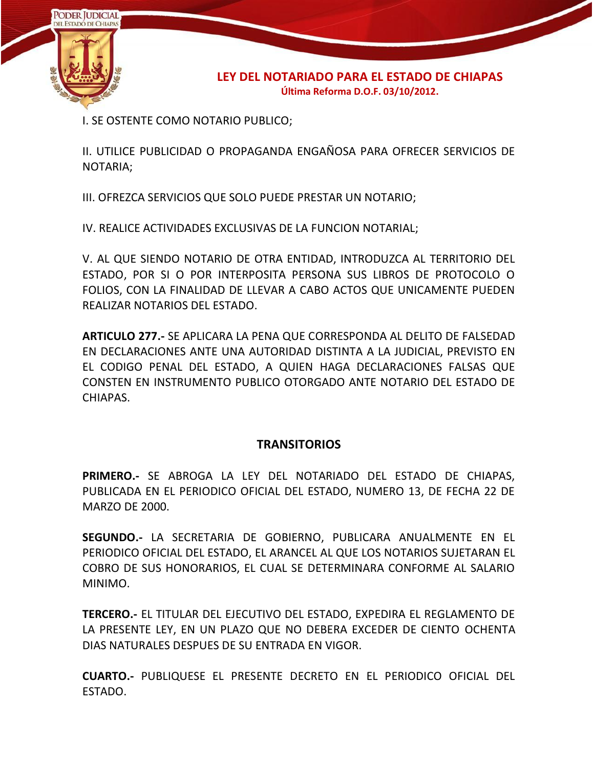

**LEY DEL NOTARIADO PARA EL ESTADO DE CHIAPAS Última Reforma D.O.F. 03/10/2012.**

I. SE OSTENTE COMO NOTARIO PUBLICO;

II. UTILICE PUBLICIDAD O PROPAGANDA ENGAÑOSA PARA OFRECER SERVICIOS DE NOTARIA;

III. OFREZCA SERVICIOS QUE SOLO PUEDE PRESTAR UN NOTARIO;

IV. REALICE ACTIVIDADES EXCLUSIVAS DE LA FUNCION NOTARIAL;

V. AL QUE SIENDO NOTARIO DE OTRA ENTIDAD, INTRODUZCA AL TERRITORIO DEL ESTADO, POR SI O POR INTERPOSITA PERSONA SUS LIBROS DE PROTOCOLO O FOLIOS, CON LA FINALIDAD DE LLEVAR A CABO ACTOS QUE UNICAMENTE PUEDEN REALIZAR NOTARIOS DEL ESTADO.

**ARTICULO 277.-** SE APLICARA LA PENA QUE CORRESPONDA AL DELITO DE FALSEDAD EN DECLARACIONES ANTE UNA AUTORIDAD DISTINTA A LA JUDICIAL, PREVISTO EN EL CODIGO PENAL DEL ESTADO, A QUIEN HAGA DECLARACIONES FALSAS QUE CONSTEN EN INSTRUMENTO PUBLICO OTORGADO ANTE NOTARIO DEL ESTADO DE CHIAPAS.

## **TRANSITORIOS**

**PRIMERO.-** SE ABROGA LA LEY DEL NOTARIADO DEL ESTADO DE CHIAPAS, PUBLICADA EN EL PERIODICO OFICIAL DEL ESTADO, NUMERO 13, DE FECHA 22 DE MARZO DE 2000.

**SEGUNDO.-** LA SECRETARIA DE GOBIERNO, PUBLICARA ANUALMENTE EN EL PERIODICO OFICIAL DEL ESTADO, EL ARANCEL AL QUE LOS NOTARIOS SUJETARAN EL COBRO DE SUS HONORARIOS, EL CUAL SE DETERMINARA CONFORME AL SALARIO MINIMO.

**TERCERO.-** EL TITULAR DEL EJECUTIVO DEL ESTADO, EXPEDIRA EL REGLAMENTO DE LA PRESENTE LEY, EN UN PLAZO QUE NO DEBERA EXCEDER DE CIENTO OCHENTA DIAS NATURALES DESPUES DE SU ENTRADA EN VIGOR.

**CUARTO.-** PUBLIQUESE EL PRESENTE DECRETO EN EL PERIODICO OFICIAL DEL ESTADO.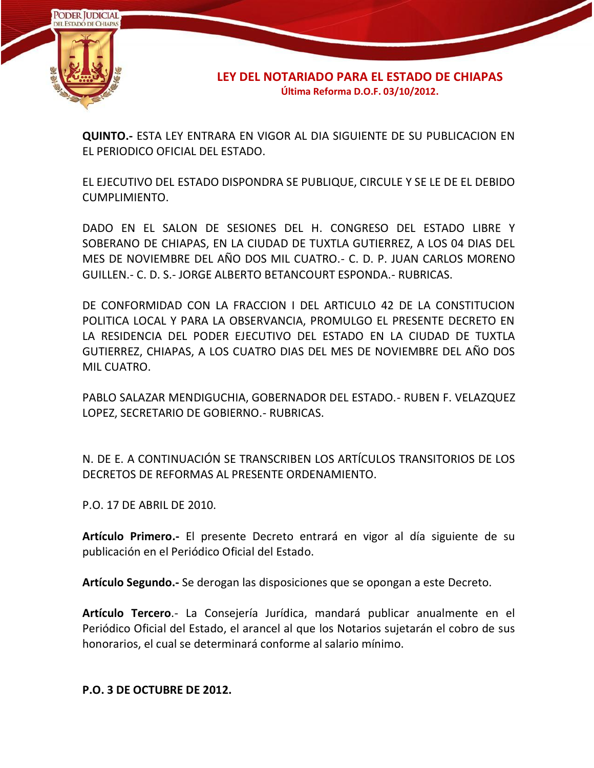

**LEY DEL NOTARIADO PARA EL ESTADO DE CHIAPAS Última Reforma D.O.F. 03/10/2012.**

**QUINTO.-** ESTA LEY ENTRARA EN VIGOR AL DIA SIGUIENTE DE SU PUBLICACION EN EL PERIODICO OFICIAL DEL ESTADO.

EL EJECUTIVO DEL ESTADO DISPONDRA SE PUBLIQUE, CIRCULE Y SE LE DE EL DEBIDO CUMPLIMIENTO.

DADO EN EL SALON DE SESIONES DEL H. CONGRESO DEL ESTADO LIBRE Y SOBERANO DE CHIAPAS, EN LA CIUDAD DE TUXTLA GUTIERREZ, A LOS 04 DIAS DEL MES DE NOVIEMBRE DEL AÑO DOS MIL CUATRO.- C. D. P. JUAN CARLOS MORENO GUILLEN.- C. D. S.- JORGE ALBERTO BETANCOURT ESPONDA.- RUBRICAS.

DE CONFORMIDAD CON LA FRACCION I DEL ARTICULO 42 DE LA CONSTITUCION POLITICA LOCAL Y PARA LA OBSERVANCIA, PROMULGO EL PRESENTE DECRETO EN LA RESIDENCIA DEL PODER EJECUTIVO DEL ESTADO EN LA CIUDAD DE TUXTLA GUTIERREZ, CHIAPAS, A LOS CUATRO DIAS DEL MES DE NOVIEMBRE DEL AÑO DOS MIL CUATRO.

PABLO SALAZAR MENDIGUCHIA, GOBERNADOR DEL ESTADO.- RUBEN F. VELAZQUEZ LOPEZ, SECRETARIO DE GOBIERNO.- RUBRICAS.

N. DE E. A CONTINUACIÓN SE TRANSCRIBEN LOS ARTÍCULOS TRANSITORIOS DE LOS DECRETOS DE REFORMAS AL PRESENTE ORDENAMIENTO.

P.O. 17 DE ABRIL DE 2010.

**Artículo Primero.-** El presente Decreto entrará en vigor al día siguiente de su publicación en el Periódico Oficial del Estado.

**Artículo Segundo.-** Se derogan las disposiciones que se opongan a este Decreto.

**Artículo Tercero**.- La Consejería Jurídica, mandará publicar anualmente en el Periódico Oficial del Estado, el arancel al que los Notarios sujetarán el cobro de sus honorarios, el cual se determinará conforme al salario mínimo.

**P.O. 3 DE OCTUBRE DE 2012.**